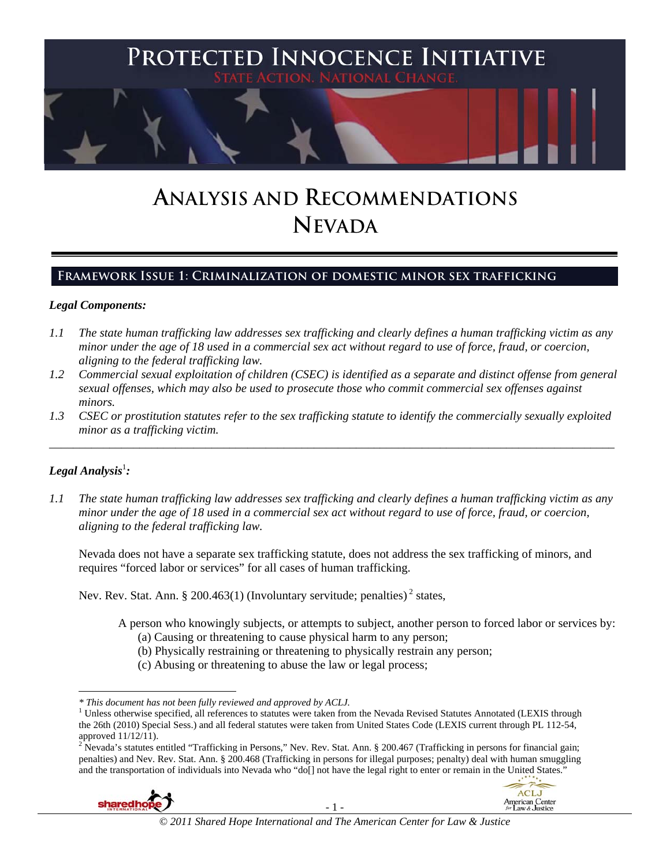

# **ANALYSIS AND RECOMMENDATIONS NEVADA**

# **Framework Issue 1: Criminalization of domestic minor sex trafficking**

## *Legal Components:*

- *1.1 The state human trafficking law addresses sex trafficking and clearly defines a human trafficking victim as any minor under the age of 18 used in a commercial sex act without regard to use of force, fraud, or coercion, aligning to the federal trafficking law.*
- *1.2 Commercial sexual exploitation of children (CSEC) is identified as a separate and distinct offense from general sexual offenses, which may also be used to prosecute those who commit commercial sex offenses against minors.*
- *1.3 CSEC or prostitution statutes refer to the sex trafficking statute to identify the commercially sexually exploited minor as a trafficking victim.*  \_\_\_\_\_\_\_\_\_\_\_\_\_\_\_\_\_\_\_\_\_\_\_\_\_\_\_\_\_\_\_\_\_\_\_\_\_\_\_\_\_\_\_\_\_\_\_\_\_\_\_\_\_\_\_\_\_\_\_\_\_\_\_\_\_\_\_\_\_\_\_\_\_\_\_\_\_\_\_\_\_\_\_\_\_\_\_\_\_\_\_\_\_\_

# $\bm{\mathit{Legal\, Analysis}^{\text{!}}:}$

*1.1 The state human trafficking law addresses sex trafficking and clearly defines a human trafficking victim as any minor under the age of 18 used in a commercial sex act without regard to use of force, fraud, or coercion, aligning to the federal trafficking law.*

Nevada does not have a separate sex trafficking statute, does not address the sex trafficking of minors, and requires "forced labor or services" for all cases of human trafficking.

Nev. Rev. Stat. Ann. § 200.463(1) (Involuntary servitude; penalties)<sup>2</sup> states,

A person who knowingly subjects, or attempts to subject, another person to forced labor or services by:

- (a) Causing or threatening to cause physical harm to any person;
- (b) Physically restraining or threatening to physically restrain any person;
- (c) Abusing or threatening to abuse the law or legal process;

penalties) and Nev. Rev. Stat. Ann. § 200.468 (Trafficking in persons for illegal purposes; penalty) deal with human smuggling and the transportation of individuals into Nevada who "do[] not have the legal right to enter or remain in the United States."





 $\overline{\phantom{a}}$ *\* This document has not been fully reviewed and approved by ACLJ.* <sup>1</sup>

<sup>&</sup>lt;sup>1</sup> Unless otherwise specified, all references to statutes were taken from the Nevada Revised Statutes Annotated (LEXIS through the 26th (2010) Special Sess.) and all federal statutes were taken from United States Code (LEXIS current through PL 112-54, approved 11/12/11).<br><sup>2</sup> Nevada's statutes entitled "Trafficking in Persons," Nev. Rev. Stat. Ann. § 200.467 (Trafficking in persons for financial gain;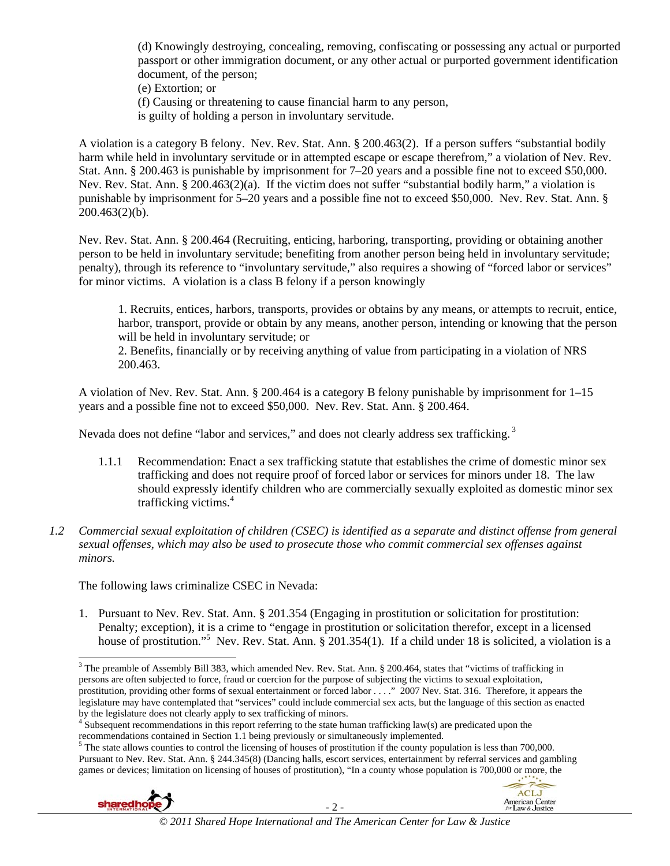(d) Knowingly destroying, concealing, removing, confiscating or possessing any actual or purported passport or other immigration document, or any other actual or purported government identification document, of the person;

(e) Extortion; or

(f) Causing or threatening to cause financial harm to any person,

is guilty of holding a person in involuntary servitude.

A violation is a category B felony. Nev. Rev. Stat. Ann. § 200.463(2). If a person suffers "substantial bodily harm while held in involuntary servitude or in attempted escape or escape therefrom," a violation of Nev. Rev. Stat. Ann. § 200.463 is punishable by imprisonment for 7–20 years and a possible fine not to exceed \$50,000. Nev. Rev. Stat. Ann. § 200.463(2)(a). If the victim does not suffer "substantial bodily harm," a violation is punishable by imprisonment for 5–20 years and a possible fine not to exceed \$50,000. Nev. Rev. Stat. Ann. §  $200.463(2)(b)$ .

Nev. Rev. Stat. Ann. § 200.464 (Recruiting, enticing, harboring, transporting, providing or obtaining another person to be held in involuntary servitude; benefiting from another person being held in involuntary servitude; penalty), through its reference to "involuntary servitude," also requires a showing of "forced labor or services" for minor victims. A violation is a class B felony if a person knowingly

1. Recruits, entices, harbors, transports, provides or obtains by any means, or attempts to recruit, entice, harbor, transport, provide or obtain by any means, another person, intending or knowing that the person will be held in involuntary servitude; or

2. Benefits, financially or by receiving anything of value from participating in a violation of NRS 200.463.

A violation of Nev. Rev. Stat. Ann. § 200.464 is a category B felony punishable by imprisonment for 1–15 years and a possible fine not to exceed \$50,000. Nev. Rev. Stat. Ann. § 200.464.

Nevada does not define "labor and services," and does not clearly address sex trafficking.<sup>3</sup>

- 1.1.1 Recommendation: Enact a sex trafficking statute that establishes the crime of domestic minor sex trafficking and does not require proof of forced labor or services for minors under 18. The law should expressly identify children who are commercially sexually exploited as domestic minor sex trafficking victims.<sup>4</sup>
- *1.2 Commercial sexual exploitation of children (CSEC) is identified as a separate and distinct offense from general sexual offenses, which may also be used to prosecute those who commit commercial sex offenses against minors.*

The following laws criminalize CSEC in Nevada:

1. Pursuant to Nev. Rev. Stat. Ann. § 201.354 (Engaging in prostitution or solicitation for prostitution: Penalty; exception), it is a crime to "engage in prostitution or solicitation therefor, except in a licensed house of prostitution."<sup>5</sup> Nev. Rev. Stat. Ann. § 201.354(1). If a child under 18 is solicited, a violation is a

The state allows counties to control the licensing of houses of prostitution if the county population is less than 700,000. Pursuant to Nev. Rev. Stat. Ann. § 244.345(8) (Dancing halls, escort services, entertainment by referral services and gambling games or devices; limitation on licensing of houses of prostitution), "In a county whose population is 700,000 or more, the



 $\overline{\phantom{a}}$ 



<sup>&</sup>lt;sup>3</sup> The preamble of Assembly Bill 383, which amended Nev. Rev. Stat. Ann. § 200.464, states that "victims of trafficking in persons are often subjected to force, fraud or coercion for the purpose of subjecting the victims to sexual exploitation, prostitution, providing other forms of sexual entertainment or forced labor . . . ." 2007 Nev. Stat. 316. Therefore, it appears the legislature may have contemplated that "services" could include commercial sex acts, but the language of this section as enacted by the legislature does not clearly apply to sex trafficking of minors. 4

<sup>&</sup>lt;sup>4</sup> Subsequent recommendations in this report referring to the state human trafficking law(s) are predicated upon the recommendations contained in Section 1.1 being previously or simultaneously implemented. 5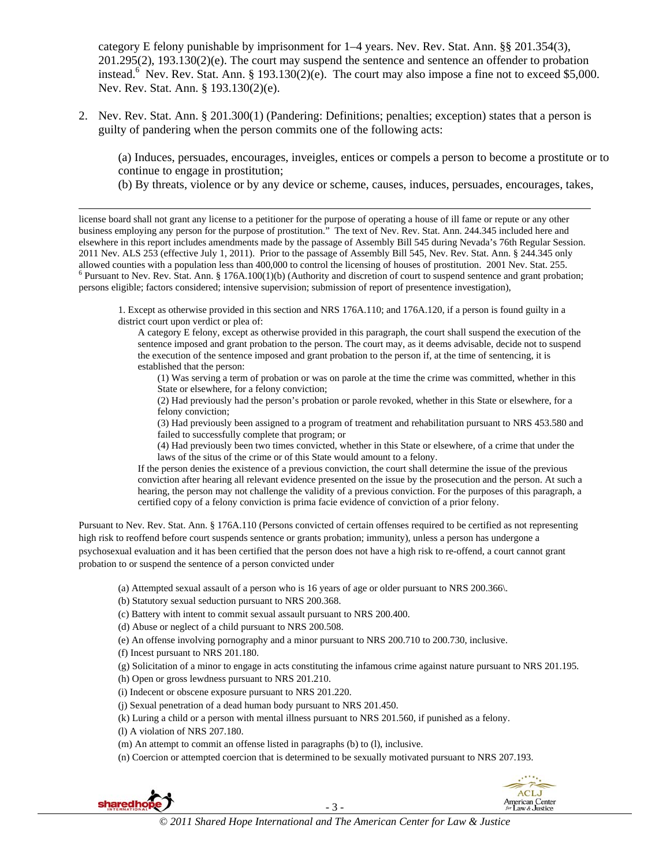category E felony punishable by imprisonment for 1–4 years. Nev. Rev. Stat. Ann. §§ 201.354(3), 201.295(2), 193.130(2)(e). The court may suspend the sentence and sentence an offender to probation instead.<sup>6</sup> Nev. Rev. Stat. Ann. § 193.130(2)(e). The court may also impose a fine not to exceed \$5,000. Nev. Rev. Stat. Ann. § 193.130(2)(e).

2. Nev. Rev. Stat. Ann. § 201.300(1) (Pandering: Definitions; penalties; exception) states that a person is guilty of pandering when the person commits one of the following acts:

(a) Induces, persuades, encourages, inveigles, entices or compels a person to become a prostitute or to continue to engage in prostitution;

(b) By threats, violence or by any device or scheme, causes, induces, persuades, encourages, takes,

license board shall not grant any license to a petitioner for the purpose of operating a house of ill fame or repute or any other business employing any person for the purpose of prostitution." The text of Nev. Rev. Stat. Ann. 244.345 included here and elsewhere in this report includes amendments made by the passage of Assembly Bill 545 during Nevada's 76th Regular Session. 2011 Nev. ALS 253 (effective July 1, 2011). Prior to the passage of Assembly Bill 545, Nev. Rev. Stat. Ann. § 244.345 only allowed counties with a population less than 400,000 to control the licensing of houses of prostitution. 2001 Nev. Stat. 255.  $6$  Pursuant to Nev. Rev. Stat. Ann. § 176A.100(1)(b) (Authority and discretion of court to suspend sentence and grant probation; persons eligible; factors considered; intensive supervision; submission of report of presentence investigation),

1. Except as otherwise provided in this section and NRS 176A.110; and 176A.120, if a person is found guilty in a district court upon verdict or plea of:

A category E felony, except as otherwise provided in this paragraph, the court shall suspend the execution of the sentence imposed and grant probation to the person. The court may, as it deems advisable, decide not to suspend the execution of the sentence imposed and grant probation to the person if, at the time of sentencing, it is established that the person:

(1) Was serving a term of probation or was on parole at the time the crime was committed, whether in this State or elsewhere, for a felony conviction;

(2) Had previously had the person's probation or parole revoked, whether in this State or elsewhere, for a felony conviction;

(3) Had previously been assigned to a program of treatment and rehabilitation pursuant to NRS 453.580 and failed to successfully complete that program; or

(4) Had previously been two times convicted, whether in this State or elsewhere, of a crime that under the laws of the situs of the crime or of this State would amount to a felony.

If the person denies the existence of a previous conviction, the court shall determine the issue of the previous conviction after hearing all relevant evidence presented on the issue by the prosecution and the person. At such a hearing, the person may not challenge the validity of a previous conviction. For the purposes of this paragraph, a certified copy of a felony conviction is prima facie evidence of conviction of a prior felony.

Pursuant to Nev. Rev. Stat. Ann. § 176A.110 (Persons convicted of certain offenses required to be certified as not representing high risk to reoffend before court suspends sentence or grants probation; immunity), unless a person has undergone a psychosexual evaluation and it has been certified that the person does not have a high risk to re-offend, a court cannot grant probation to or suspend the sentence of a person convicted under

(a) Attempted sexual assault of a person who is 16 years of age or older pursuant to NRS 200.366\.

(b) Statutory sexual seduction pursuant to NRS 200.368.

(c) Battery with intent to commit sexual assault pursuant to NRS 200.400.

(d) Abuse or neglect of a child pursuant to NRS 200.508.

(e) An offense involving pornography and a minor pursuant to NRS 200.710 to 200.730, inclusive.

(f) Incest pursuant to NRS 201.180.

(g) Solicitation of a minor to engage in acts constituting the infamous crime against nature pursuant to NRS 201.195.

(h) Open or gross lewdness pursuant to NRS 201.210.

(i) Indecent or obscene exposure pursuant to NRS 201.220.

(j) Sexual penetration of a dead human body pursuant to NRS 201.450.

(k) Luring a child or a person with mental illness pursuant to NRS 201.560, if punished as a felony.

(l) A violation of NRS 207.180.

(m) An attempt to commit an offense listed in paragraphs (b) to (l), inclusive.

(n) Coercion or attempted coercion that is determined to be sexually motivated pursuant to NRS 207.193.



 $\overline{\phantom{a}}$ 

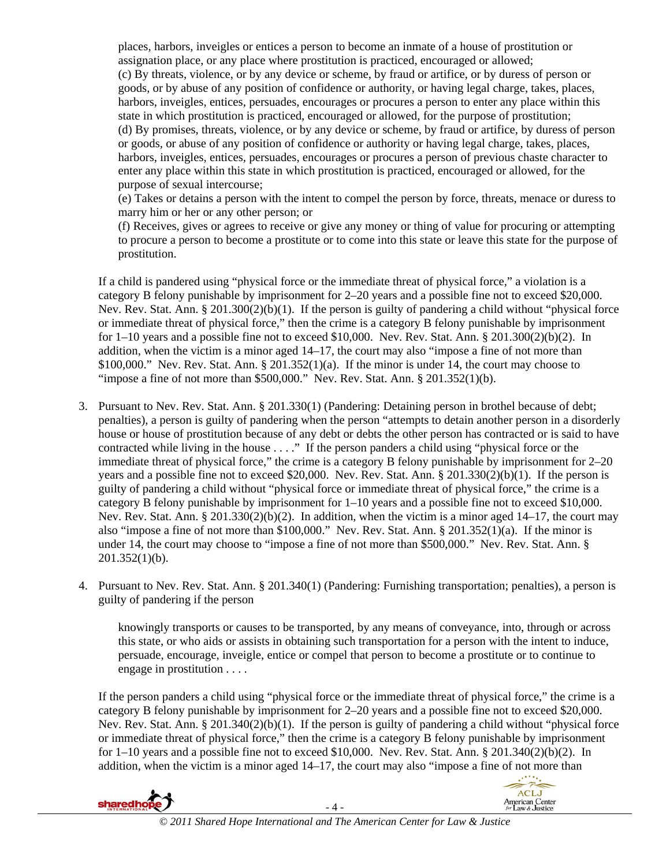places, harbors, inveigles or entices a person to become an inmate of a house of prostitution or assignation place, or any place where prostitution is practiced, encouraged or allowed; (c) By threats, violence, or by any device or scheme, by fraud or artifice, or by duress of person or goods, or by abuse of any position of confidence or authority, or having legal charge, takes, places, harbors, inveigles, entices, persuades, encourages or procures a person to enter any place within this state in which prostitution is practiced, encouraged or allowed, for the purpose of prostitution; (d) By promises, threats, violence, or by any device or scheme, by fraud or artifice, by duress of person or goods, or abuse of any position of confidence or authority or having legal charge, takes, places, harbors, inveigles, entices, persuades, encourages or procures a person of previous chaste character to enter any place within this state in which prostitution is practiced, encouraged or allowed, for the purpose of sexual intercourse;

(e) Takes or detains a person with the intent to compel the person by force, threats, menace or duress to marry him or her or any other person; or

(f) Receives, gives or agrees to receive or give any money or thing of value for procuring or attempting to procure a person to become a prostitute or to come into this state or leave this state for the purpose of prostitution.

If a child is pandered using "physical force or the immediate threat of physical force," a violation is a category B felony punishable by imprisonment for 2–20 years and a possible fine not to exceed \$20,000. Nev. Rev. Stat. Ann. § 201.300(2)(b)(1). If the person is guilty of pandering a child without "physical force or immediate threat of physical force," then the crime is a category B felony punishable by imprisonment for 1–10 years and a possible fine not to exceed \$10,000. Nev. Rev. Stat. Ann. § 201.300(2)(b)(2). In addition, when the victim is a minor aged 14–17, the court may also "impose a fine of not more than \$100,000." Nev. Rev. Stat. Ann.  $\S 201.352(1)(a)$ . If the minor is under 14, the court may choose to "impose a fine of not more than \$500,000." Nev. Rev. Stat. Ann.  $\S 201.352(1)(b)$ .

- 3. Pursuant to Nev. Rev. Stat. Ann. § 201.330(1) (Pandering: Detaining person in brothel because of debt; penalties), a person is guilty of pandering when the person "attempts to detain another person in a disorderly house or house of prostitution because of any debt or debts the other person has contracted or is said to have contracted while living in the house . . . ." If the person panders a child using "physical force or the immediate threat of physical force," the crime is a category B felony punishable by imprisonment for 2–20 years and a possible fine not to exceed \$20,000. Nev. Rev. Stat. Ann. § 201.330(2)(b)(1). If the person is guilty of pandering a child without "physical force or immediate threat of physical force," the crime is a category B felony punishable by imprisonment for  $1-10$  years and a possible fine not to exceed \$10,000. Nev. Rev. Stat. Ann. § 201.330(2)(b)(2). In addition, when the victim is a minor aged 14–17, the court may also "impose a fine of not more than \$100,000." Nev. Rev. Stat. Ann. § 201.352(1)(a). If the minor is under 14, the court may choose to "impose a fine of not more than \$500,000." Nev. Rev. Stat. Ann. § 201.352(1)(b).
- 4. Pursuant to Nev. Rev. Stat. Ann. § 201.340(1) (Pandering: Furnishing transportation; penalties), a person is guilty of pandering if the person

knowingly transports or causes to be transported, by any means of conveyance, into, through or across this state, or who aids or assists in obtaining such transportation for a person with the intent to induce, persuade, encourage, inveigle, entice or compel that person to become a prostitute or to continue to engage in prostitution . . . .

If the person panders a child using "physical force or the immediate threat of physical force," the crime is a category B felony punishable by imprisonment for 2–20 years and a possible fine not to exceed \$20,000. Nev. Rev. Stat. Ann. § 201.340(2)(b)(1). If the person is guilty of pandering a child without "physical force or immediate threat of physical force," then the crime is a category B felony punishable by imprisonment for 1–10 years and a possible fine not to exceed \$10,000. Nev. Rev. Stat. Ann. § 201.340(2)(b)(2). In addition, when the victim is a minor aged 14–17, the court may also "impose a fine of not more than

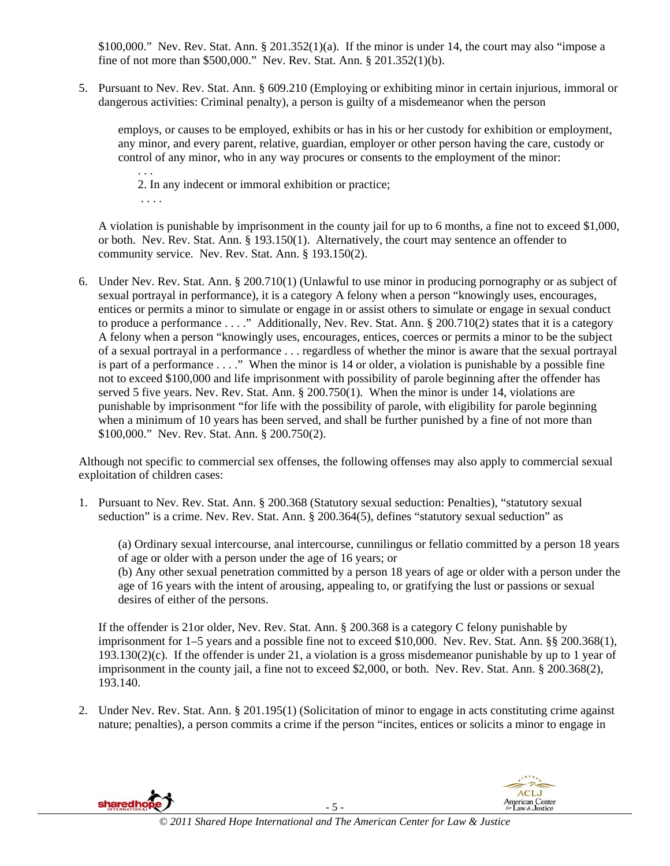$$100,000."$  Nev. Rev. Stat. Ann.  $$201.352(1)(a)$ . If the minor is under 14, the court may also "impose a fine of not more than \$500,000." Nev. Rev. Stat. Ann. § 201.352(1)(b).

5. Pursuant to Nev. Rev. Stat. Ann. § 609.210 (Employing or exhibiting minor in certain injurious, immoral or dangerous activities: Criminal penalty), a person is guilty of a misdemeanor when the person

employs, or causes to be employed, exhibits or has in his or her custody for exhibition or employment, any minor, and every parent, relative, guardian, employer or other person having the care, custody or control of any minor, who in any way procures or consents to the employment of the minor:

. . . 2. In any indecent or immoral exhibition or practice; . . . .

A violation is punishable by imprisonment in the county jail for up to 6 months, a fine not to exceed \$1,000, or both. Nev. Rev. Stat. Ann. § 193.150(1). Alternatively, the court may sentence an offender to community service. Nev. Rev. Stat. Ann. § 193.150(2).

6. Under Nev. Rev. Stat. Ann. § 200.710(1) (Unlawful to use minor in producing pornography or as subject of sexual portrayal in performance), it is a category A felony when a person "knowingly uses, encourages, entices or permits a minor to simulate or engage in or assist others to simulate or engage in sexual conduct to produce a performance . . . ." Additionally, Nev. Rev. Stat. Ann. § 200.710(2) states that it is a category A felony when a person "knowingly uses, encourages, entices, coerces or permits a minor to be the subject of a sexual portrayal in a performance . . . regardless of whether the minor is aware that the sexual portrayal is part of a performance . . . ." When the minor is 14 or older, a violation is punishable by a possible fine not to exceed \$100,000 and life imprisonment with possibility of parole beginning after the offender has served 5 five years. Nev. Rev. Stat. Ann. § 200.750(1). When the minor is under 14, violations are punishable by imprisonment "for life with the possibility of parole, with eligibility for parole beginning when a minimum of 10 years has been served, and shall be further punished by a fine of not more than \$100,000." Nev. Rev. Stat. Ann. § 200.750(2).

Although not specific to commercial sex offenses, the following offenses may also apply to commercial sexual exploitation of children cases:

1. Pursuant to Nev. Rev. Stat. Ann. § 200.368 (Statutory sexual seduction: Penalties), "statutory sexual seduction" is a crime. Nev. Rev. Stat. Ann. § 200.364(5), defines "statutory sexual seduction" as

(a) Ordinary sexual intercourse, anal intercourse, cunnilingus or fellatio committed by a person 18 years of age or older with a person under the age of 16 years; or (b) Any other sexual penetration committed by a person 18 years of age or older with a person under the age of 16 years with the intent of arousing, appealing to, or gratifying the lust or passions or sexual desires of either of the persons.

If the offender is 21or older, Nev. Rev. Stat. Ann. § 200.368 is a category C felony punishable by imprisonment for 1–5 years and a possible fine not to exceed \$10,000. Nev. Rev. Stat. Ann. §§ 200.368(1), 193.130(2)(c). If the offender is under 21, a violation is a gross misdemeanor punishable by up to 1 year of imprisonment in the county jail, a fine not to exceed \$2,000, or both. Nev. Rev. Stat. Ann. § 200.368(2), 193.140.

2. Under Nev. Rev. Stat. Ann. § 201.195(1) (Solicitation of minor to engage in acts constituting crime against nature; penalties), a person commits a crime if the person "incites, entices or solicits a minor to engage in

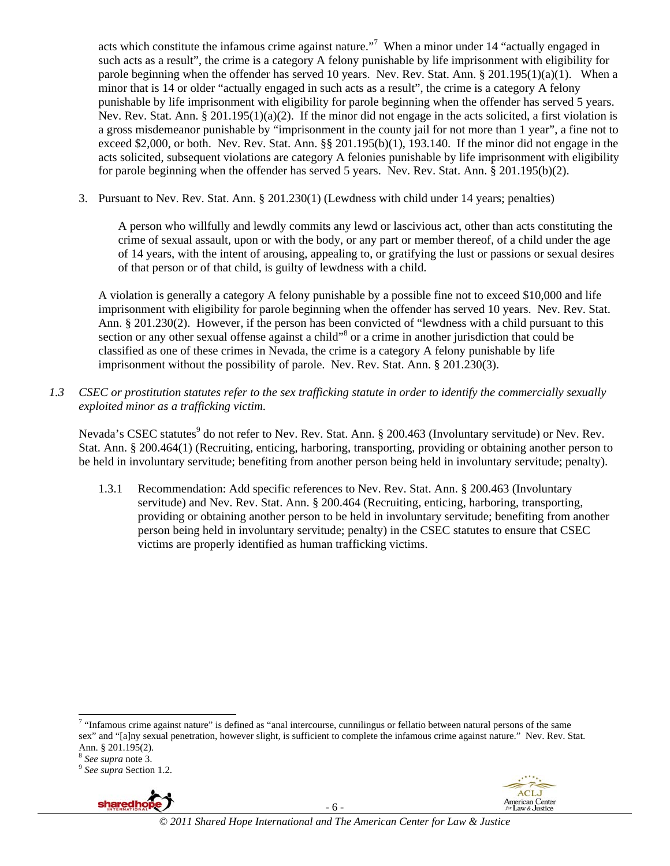acts which constitute the infamous crime against nature."<sup>7</sup> When a minor under 14 "actually engaged in such acts as a result", the crime is a category A felony punishable by life imprisonment with eligibility for parole beginning when the offender has served 10 years. Nev. Rev. Stat. Ann. § 201.195(1)(a)(1). When a minor that is 14 or older "actually engaged in such acts as a result", the crime is a category A felony punishable by life imprisonment with eligibility for parole beginning when the offender has served 5 years. Nev. Rev. Stat. Ann. § 201.195(1)(a)(2). If the minor did not engage in the acts solicited, a first violation is a gross misdemeanor punishable by "imprisonment in the county jail for not more than 1 year", a fine not to exceed \$2,000, or both. Nev. Rev. Stat. Ann. §§ 201.195(b)(1), 193.140. If the minor did not engage in the acts solicited, subsequent violations are category A felonies punishable by life imprisonment with eligibility for parole beginning when the offender has served 5 years. Nev. Rev. Stat. Ann. § 201.195(b)(2).

3. Pursuant to Nev. Rev. Stat. Ann. § 201.230(1) (Lewdness with child under 14 years; penalties)

A person who willfully and lewdly commits any lewd or lascivious act, other than acts constituting the crime of sexual assault, upon or with the body, or any part or member thereof, of a child under the age of 14 years, with the intent of arousing, appealing to, or gratifying the lust or passions or sexual desires of that person or of that child, is guilty of lewdness with a child.

A violation is generally a category A felony punishable by a possible fine not to exceed \$10,000 and life imprisonment with eligibility for parole beginning when the offender has served 10 years. Nev. Rev. Stat. Ann. § 201.230(2). However, if the person has been convicted of "lewdness with a child pursuant to this section or any other sexual offense against a child"<sup>8</sup> or a crime in another jurisdiction that could be classified as one of these crimes in Nevada, the crime is a category A felony punishable by life imprisonment without the possibility of parole. Nev. Rev. Stat. Ann. § 201.230(3).

*1.3 CSEC or prostitution statutes refer to the sex trafficking statute in order to identify the commercially sexually exploited minor as a trafficking victim.*

Nevada's CSEC statutes<sup>9</sup> do not refer to Nev. Rev. Stat. Ann. § 200.463 (Involuntary servitude) or Nev. Rev. Stat. Ann. § 200.464(1) (Recruiting, enticing, harboring, transporting, providing or obtaining another person to be held in involuntary servitude; benefiting from another person being held in involuntary servitude; penalty).

1.3.1 Recommendation: Add specific references to Nev. Rev. Stat. Ann. § 200.463 (Involuntary servitude) and Nev. Rev. Stat. Ann. § 200.464 (Recruiting, enticing, harboring, transporting, providing or obtaining another person to be held in involuntary servitude; benefiting from another person being held in involuntary servitude; penalty) in the CSEC statutes to ensure that CSEC victims are properly identified as human trafficking victims.

<sup>&</sup>lt;sup>9</sup> See supra Section 1.2.



- 6 -



 7 "Infamous crime against nature" is defined as "anal intercourse, cunnilingus or fellatio between natural persons of the same sex" and "[a]ny sexual penetration, however slight, is sufficient to complete the infamous crime against nature." Nev. Rev. Stat. Ann. § 201.195(2).<br><sup>8</sup> See supra note 3.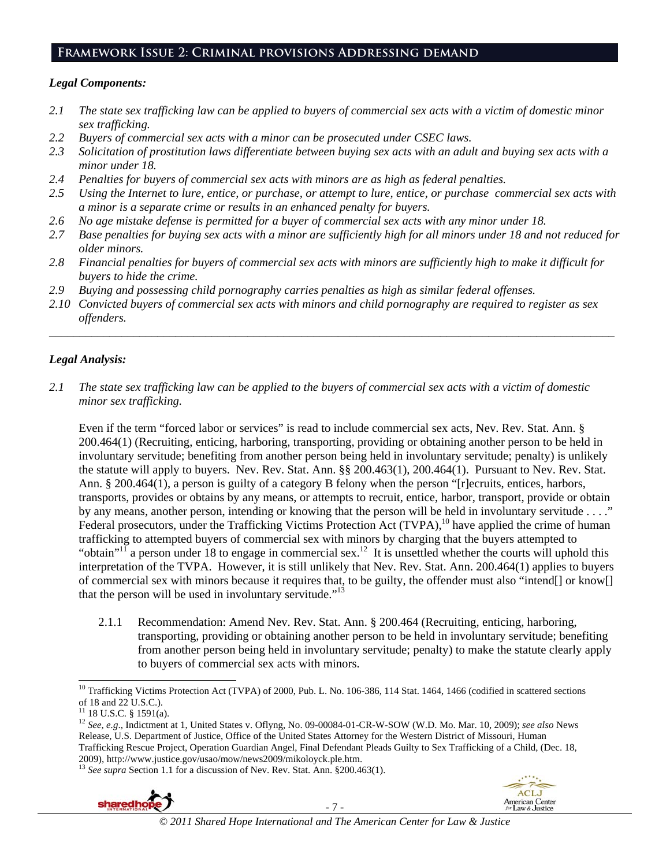## **Framework Issue 2: Criminal provisions Addressing demand**

#### *Legal Components:*

- *2.1 The state sex trafficking law can be applied to buyers of commercial sex acts with a victim of domestic minor sex trafficking.*
- *2.2 Buyers of commercial sex acts with a minor can be prosecuted under CSEC laws.*
- *2.3 Solicitation of prostitution laws differentiate between buying sex acts with an adult and buying sex acts with a minor under 18.*
- *2.4 Penalties for buyers of commercial sex acts with minors are as high as federal penalties.*
- *2.5 Using the Internet to lure, entice, or purchase, or attempt to lure, entice, or purchase commercial sex acts with a minor is a separate crime or results in an enhanced penalty for buyers.*
- *2.6 No age mistake defense is permitted for a buyer of commercial sex acts with any minor under 18.*
- *2.7 Base penalties for buying sex acts with a minor are sufficiently high for all minors under 18 and not reduced for older minors.*
- *2.8 Financial penalties for buyers of commercial sex acts with minors are sufficiently high to make it difficult for buyers to hide the crime.*
- *2.9 Buying and possessing child pornography carries penalties as high as similar federal offenses.*
- *2.10 Convicted buyers of commercial sex acts with minors and child pornography are required to register as sex offenders.*

\_\_\_\_\_\_\_\_\_\_\_\_\_\_\_\_\_\_\_\_\_\_\_\_\_\_\_\_\_\_\_\_\_\_\_\_\_\_\_\_\_\_\_\_\_\_\_\_\_\_\_\_\_\_\_\_\_\_\_\_\_\_\_\_\_\_\_\_\_\_\_\_\_\_\_\_\_\_\_\_\_\_\_\_\_\_\_\_\_\_\_\_\_\_

# *Legal Analysis:*

*2.1 The state sex trafficking law can be applied to the buyers of commercial sex acts with a victim of domestic minor sex trafficking.*

Even if the term "forced labor or services" is read to include commercial sex acts, Nev. Rev. Stat. Ann. § 200.464(1) (Recruiting, enticing, harboring, transporting, providing or obtaining another person to be held in involuntary servitude; benefiting from another person being held in involuntary servitude; penalty) is unlikely the statute will apply to buyers. Nev. Rev. Stat. Ann. §§ 200.463(1), 200.464(1). Pursuant to Nev. Rev. Stat. Ann. § 200.464(1), a person is guilty of a category B felony when the person "[r]ecruits, entices, harbors, transports, provides or obtains by any means, or attempts to recruit, entice, harbor, transport, provide or obtain by any means, another person, intending or knowing that the person will be held in involuntary servitude . . . ." Federal prosecutors, under the Trafficking Victims Protection Act (TVPA),<sup>10</sup> have applied the crime of human trafficking to attempted buyers of commercial sex with minors by charging that the buyers attempted to "obtain"<sup>11</sup> a person under 18 to engage in commercial sex.<sup>12</sup> It is unsettled whether the courts will uphold this interpretation of the TVPA. However, it is still unlikely that Nev. Rev. Stat. Ann. 200.464(1) applies to buyers of commercial sex with minors because it requires that, to be guilty, the offender must also "intend[] or know[] that the person will be used in involuntary servitude."<sup>13</sup>

2.1.1 Recommendation: Amend Nev. Rev. Stat. Ann. § 200.464 (Recruiting, enticing, harboring, transporting, providing or obtaining another person to be held in involuntary servitude; benefiting from another person being held in involuntary servitude; penalty) to make the statute clearly apply to buyers of commercial sex acts with minors.

 $\overline{\phantom{a}}$ 





<sup>&</sup>lt;sup>10</sup> Trafficking Victims Protection Act (TVPA) of 2000, Pub. L. No. 106-386, 114 Stat. 1464, 1466 (codified in scattered sections of 18 and 22 U.S.C.).

 $11$  18 U.S.C. § 1591(a).

<sup>12</sup> *See, e.g*., Indictment at 1, United States v. Oflyng, No. 09-00084-01-CR-W-SOW (W.D. Mo. Mar. 10, 2009); *see also* News Release, U.S. Department of Justice, Office of the United States Attorney for the Western District of Missouri, Human Trafficking Rescue Project, Operation Guardian Angel, Final Defendant Pleads Guilty to Sex Trafficking of a Child, (Dec. 18, 2009), http://www.justice.gov/usao/mow/news2009/mikoloyck.ple.htm. 13 *See supra* Section 1.1 for a discussion of Nev. Rev. Stat. Ann. §200.463(1).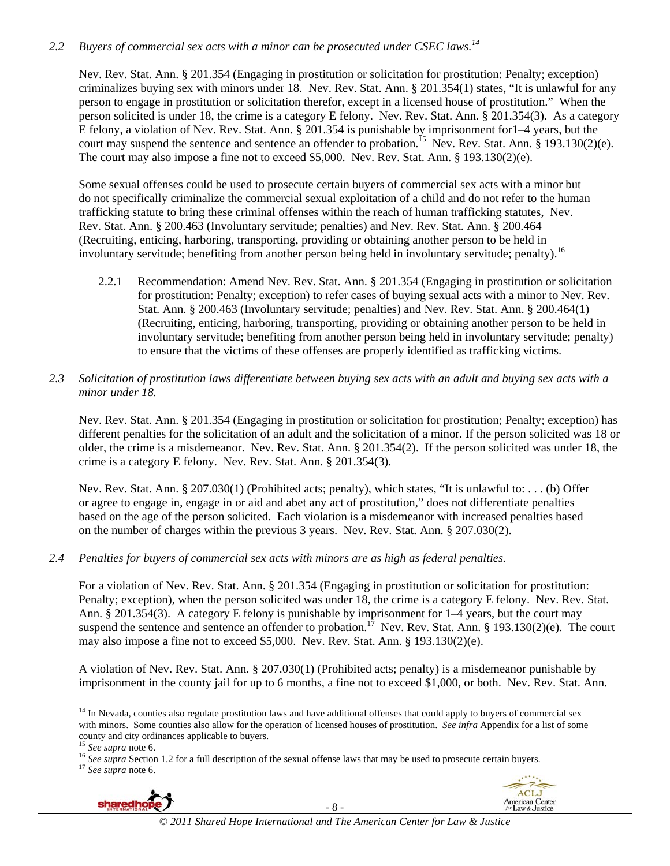# *2.2 Buyers of commercial sex acts with a minor can be prosecuted under CSEC laws.14*

Nev. Rev. Stat. Ann. § 201.354 (Engaging in prostitution or solicitation for prostitution: Penalty; exception) criminalizes buying sex with minors under 18. Nev. Rev. Stat. Ann. § 201.354(1) states, "It is unlawful for any person to engage in prostitution or solicitation therefor, except in a licensed house of prostitution." When the person solicited is under 18, the crime is a category E felony. Nev. Rev. Stat. Ann. § 201.354(3). As a category E felony, a violation of Nev. Rev. Stat. Ann. § 201.354 is punishable by imprisonment for1–4 years, but the court may suspend the sentence and sentence an offender to probation.<sup>15</sup> Nev. Rev. Stat. Ann. § 193.130(2)(e). The court may also impose a fine not to exceed \$5,000. Nev. Rev. Stat. Ann. § 193.130(2)(e).

Some sexual offenses could be used to prosecute certain buyers of commercial sex acts with a minor but do not specifically criminalize the commercial sexual exploitation of a child and do not refer to the human trafficking statute to bring these criminal offenses within the reach of human trafficking statutes, Nev. Rev. Stat. Ann. § 200.463 (Involuntary servitude; penalties) and Nev. Rev. Stat. Ann. § 200.464 (Recruiting, enticing, harboring, transporting, providing or obtaining another person to be held in involuntary servitude; benefiting from another person being held in involuntary servitude; penalty).<sup>16</sup>

- 2.2.1 Recommendation: Amend Nev. Rev. Stat. Ann. § 201.354 (Engaging in prostitution or solicitation for prostitution: Penalty; exception) to refer cases of buying sexual acts with a minor to Nev. Rev. Stat. Ann. § 200.463 (Involuntary servitude; penalties) and Nev. Rev. Stat. Ann. § 200.464(1) (Recruiting, enticing, harboring, transporting, providing or obtaining another person to be held in involuntary servitude; benefiting from another person being held in involuntary servitude; penalty) to ensure that the victims of these offenses are properly identified as trafficking victims.
- *2.3 Solicitation of prostitution laws differentiate between buying sex acts with an adult and buying sex acts with a minor under 18.*

Nev. Rev. Stat. Ann. § 201.354 (Engaging in prostitution or solicitation for prostitution; Penalty; exception) has different penalties for the solicitation of an adult and the solicitation of a minor. If the person solicited was 18 or older, the crime is a misdemeanor. Nev. Rev. Stat. Ann. § 201.354(2). If the person solicited was under 18, the crime is a category E felony. Nev. Rev. Stat. Ann. § 201.354(3).

Nev. Rev. Stat. Ann. § 207.030(1) (Prohibited acts; penalty), which states, "It is unlawful to: . . . (b) Offer or agree to engage in, engage in or aid and abet any act of prostitution," does not differentiate penalties based on the age of the person solicited. Each violation is a misdemeanor with increased penalties based on the number of charges within the previous 3 years. Nev. Rev. Stat. Ann. § 207.030(2).

*2.4 Penalties for buyers of commercial sex acts with minors are as high as federal penalties.* 

For a violation of Nev. Rev. Stat. Ann. § 201.354 (Engaging in prostitution or solicitation for prostitution: Penalty; exception), when the person solicited was under 18, the crime is a category E felony. Nev. Rev. Stat. Ann. § 201.354(3). A category E felony is punishable by imprisonment for 1–4 years, but the court may suspend the sentence and sentence an offender to probation.<sup>17</sup> Nev. Rev. Stat. Ann. § 193.130(2)(e). The court may also impose a fine not to exceed \$5,000. Nev. Rev. Stat. Ann. § 193.130(2)(e).

A violation of Nev. Rev. Stat. Ann. § 207.030(1) (Prohibited acts; penalty) is a misdemeanor punishable by imprisonment in the county jail for up to 6 months, a fine not to exceed \$1,000, or both. Nev. Rev. Stat. Ann.

 $\overline{\phantom{a}}$ 



- 8 -



<sup>&</sup>lt;sup>14</sup> In Nevada, counties also regulate prostitution laws and have additional offenses that could apply to buyers of commercial sex with minors. Some counties also allow for the operation of licensed houses of prostitution. *See infra* Appendix for a list of some county and city ordinances applicable to buyers.  $^{15}$  See supra note 6.

<sup>&</sup>lt;sup>16</sup> See supra Section 1.2 for a full description of the sexual offense laws that may be used to prosecute certain buyers.<br><sup>17</sup> See supra note 6.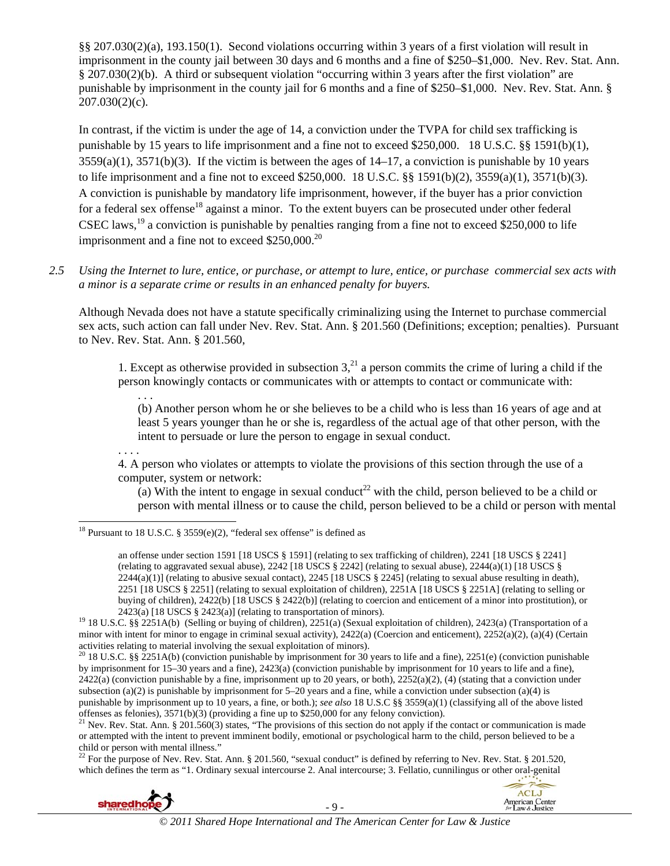§§ 207.030(2)(a), 193.150(1). Second violations occurring within 3 years of a first violation will result in imprisonment in the county jail between 30 days and 6 months and a fine of \$250–\$1,000. Nev. Rev. Stat. Ann. § 207.030(2)(b). A third or subsequent violation "occurring within 3 years after the first violation" are punishable by imprisonment in the county jail for 6 months and a fine of \$250–\$1,000. Nev. Rev. Stat. Ann. § 207.030(2)(c).

In contrast, if the victim is under the age of 14, a conviction under the TVPA for child sex trafficking is punishable by 15 years to life imprisonment and a fine not to exceed \$250,000. 18 U.S.C. §§ 1591(b)(1),  $3559(a)(1)$ ,  $3571(b)(3)$ . If the victim is between the ages of  $14-17$ , a conviction is punishable by 10 years to life imprisonment and a fine not to exceed \$250,000. 18 U.S.C. §§ 1591(b)(2), 3559(a)(1), 3571(b)(3). A conviction is punishable by mandatory life imprisonment, however, if the buyer has a prior conviction for a federal sex offense<sup>18</sup> against a minor. To the extent buyers can be prosecuted under other federal CSEC laws,<sup>19</sup> a conviction is punishable by penalties ranging from a fine not to exceed \$250,000 to life imprisonment and a fine not to exceed  $$250,000.<sup>20</sup>$ 

*2.5 Using the Internet to lure, entice, or purchase, or attempt to lure, entice, or purchase commercial sex acts with a minor is a separate crime or results in an enhanced penalty for buyers.* 

Although Nevada does not have a statute specifically criminalizing using the Internet to purchase commercial sex acts, such action can fall under Nev. Rev. Stat. Ann. § 201.560 (Definitions; exception; penalties). Pursuant to Nev. Rev. Stat. Ann. § 201.560,

1. Except as otherwise provided in subsection  $3<sup>21</sup>$  a person commits the crime of luring a child if the person knowingly contacts or communicates with or attempts to contact or communicate with:

(b) Another person whom he or she believes to be a child who is less than 16 years of age and at least 5 years younger than he or she is, regardless of the actual age of that other person, with the intent to persuade or lure the person to engage in sexual conduct.

. . . .

. . .

4. A person who violates or attempts to violate the provisions of this section through the use of a computer, system or network:

(a) With the intent to engage in sexual conduct<sup>22</sup> with the child, person believed to be a child or person with mental illness or to cause the child, person believed to be a child or person with mental

<sup>22</sup> For the purpose of Nev. Rev. Stat. Ann. § 201.560, "sexual conduct" is defined by referring to Nev. Rev. Stat. § 201.520, which defines the term as "1. Ordinary sexual intercourse 2. Anal intercourse; 3. Fellatio, cunnilingus or other oral-genital





 $\overline{\phantom{a}}$ <sup>18</sup> Pursuant to 18 U.S.C. § 3559 $(e)(2)$ , "federal sex offense" is defined as

an offense under section 1591 [18 USCS § 1591] (relating to sex trafficking of children), 2241 [18 USCS § 2241] (relating to aggravated sexual abuse),  $2242$  [18 USCS § 2242] (relating to sexual abuse),  $2244(a)(1)$  [18 USCS §  $2244(a)(1)$  (relating to abusive sexual contact),  $2245$  [18 USCS § 2245] (relating to sexual abuse resulting in death), 2251 [18 USCS § 2251] (relating to sexual exploitation of children), 2251A [18 USCS § 2251A] (relating to selling or buying of children), 2422(b) [18 USCS § 2422(b)] (relating to coercion and enticement of a minor into prostitution), or

<sup>2423(</sup>a) [18 USCS § 2423(a)] (relating to transportation of minors).<br><sup>19</sup> 18 U.S.C. §§ 2251A(b) (Selling or buying of children), 2251(a) (Sexual exploitation of children), 2423(a) (Transportation of a minor with intent for minor to engage in criminal sexual activity), 2422(a) (Coercion and enticement), 2252(a)(2), (a)(4) (Certain activities relating to material involving the sexual exploitation of minors).

<sup>&</sup>lt;sup>20</sup> 18 U.S.C. §§ 2251A(b) (conviction punishable by imprisonment for 30 years to life and a fine), 2251(e) (conviction punishable by imprisonment for 15–30 years and a fine), 2423(a) (conviction punishable by imprisonment for 10 years to life and a fine),  $2422(a)$  (conviction punishable by a fine, imprisonment up to 20 years, or both),  $2252(a)(2)$ , (4) (stating that a conviction under subsection (a)(2) is punishable by imprisonment for 5–20 years and a fine, while a conviction under subsection (a)(4) is punishable by imprisonment up to 10 years, a fine, or both.); *see also* 18 U.S.C §§ 3559(a)(1) (classifying all of the above listed offenses as felonies), 3571(b)(3) (providing a fine up to \$250,000 for any felony conviction).<br><sup>21</sup> Nev. Rev. Stat. Ann. § 201.560(3) states, "The provisions of this section do not apply if the contact or communication is

or attempted with the intent to prevent imminent bodily, emotional or psychological harm to the child, person believed to be a child or person with mental illness."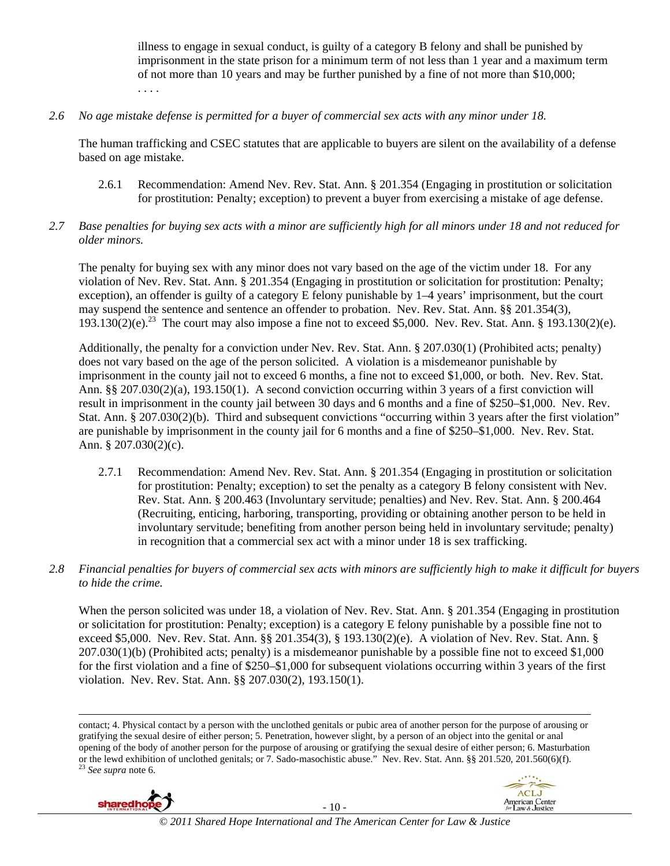illness to engage in sexual conduct, is guilty of a category B felony and shall be punished by imprisonment in the state prison for a minimum term of not less than 1 year and a maximum term of not more than 10 years and may be further punished by a fine of not more than \$10,000; . . . .

# *2.6 No age mistake defense is permitted for a buyer of commercial sex acts with any minor under 18.*

The human trafficking and CSEC statutes that are applicable to buyers are silent on the availability of a defense based on age mistake.

- 2.6.1 Recommendation: Amend Nev. Rev. Stat. Ann. § 201.354 (Engaging in prostitution or solicitation for prostitution: Penalty; exception) to prevent a buyer from exercising a mistake of age defense.
- *2.7 Base penalties for buying sex acts with a minor are sufficiently high for all minors under 18 and not reduced for older minors.*

The penalty for buying sex with any minor does not vary based on the age of the victim under 18. For any violation of Nev. Rev. Stat. Ann. § 201.354 (Engaging in prostitution or solicitation for prostitution: Penalty; exception), an offender is guilty of a category E felony punishable by 1–4 years' imprisonment, but the court may suspend the sentence and sentence an offender to probation. Nev. Rev. Stat. Ann. §§ 201.354(3), 193.130(2)(e).<sup>23</sup> The court may also impose a fine not to exceed \$5,000. Nev. Rev. Stat. Ann. § 193.130(2)(e).

Additionally, the penalty for a conviction under Nev. Rev. Stat. Ann. § 207.030(1) (Prohibited acts; penalty) does not vary based on the age of the person solicited. A violation is a misdemeanor punishable by imprisonment in the county jail not to exceed 6 months, a fine not to exceed \$1,000, or both. Nev. Rev. Stat. Ann. §§ 207.030(2)(a), 193.150(1). A second conviction occurring within 3 years of a first conviction will result in imprisonment in the county jail between 30 days and 6 months and a fine of \$250–\$1,000. Nev. Rev. Stat. Ann. § 207.030(2)(b). Third and subsequent convictions "occurring within 3 years after the first violation" are punishable by imprisonment in the county jail for 6 months and a fine of \$250–\$1,000. Nev. Rev. Stat. Ann. § 207.030(2)(c).

- 2.7.1 Recommendation: Amend Nev. Rev. Stat. Ann. § 201.354 (Engaging in prostitution or solicitation for prostitution: Penalty; exception) to set the penalty as a category B felony consistent with Nev. Rev. Stat. Ann. § 200.463 (Involuntary servitude; penalties) and Nev. Rev. Stat. Ann. § 200.464 (Recruiting, enticing, harboring, transporting, providing or obtaining another person to be held in involuntary servitude; benefiting from another person being held in involuntary servitude; penalty) in recognition that a commercial sex act with a minor under 18 is sex trafficking.
- *2.8 Financial penalties for buyers of commercial sex acts with minors are sufficiently high to make it difficult for buyers to hide the crime.*

When the person solicited was under 18, a violation of Nev. Rev. Stat. Ann. § 201.354 (Engaging in prostitution or solicitation for prostitution: Penalty; exception) is a category E felony punishable by a possible fine not to exceed \$5,000. Nev. Rev. Stat. Ann. §§ 201.354(3), § 193.130(2)(e). A violation of Nev. Rev. Stat. Ann. § 207.030(1)(b) (Prohibited acts; penalty) is a misdemeanor punishable by a possible fine not to exceed \$1,000 for the first violation and a fine of \$250–\$1,000 for subsequent violations occurring within 3 years of the first violation. Nev. Rev. Stat. Ann. §§ 207.030(2), 193.150(1).

 $\overline{\phantom{a}}$ contact; 4. Physical contact by a person with the unclothed genitals or pubic area of another person for the purpose of arousing or gratifying the sexual desire of either person; 5. Penetration, however slight, by a person of an object into the genital or anal opening of the body of another person for the purpose of arousing or gratifying the sexual desire of either person; 6. Masturbation or the lewd exhibition of unclothed genitals; or 7. Sado-masochistic abuse." Nev. Rev. Stat. Ann. §§ 201.520, 201.560(6)(f). 23 *See supra* note 6.



- 10 -

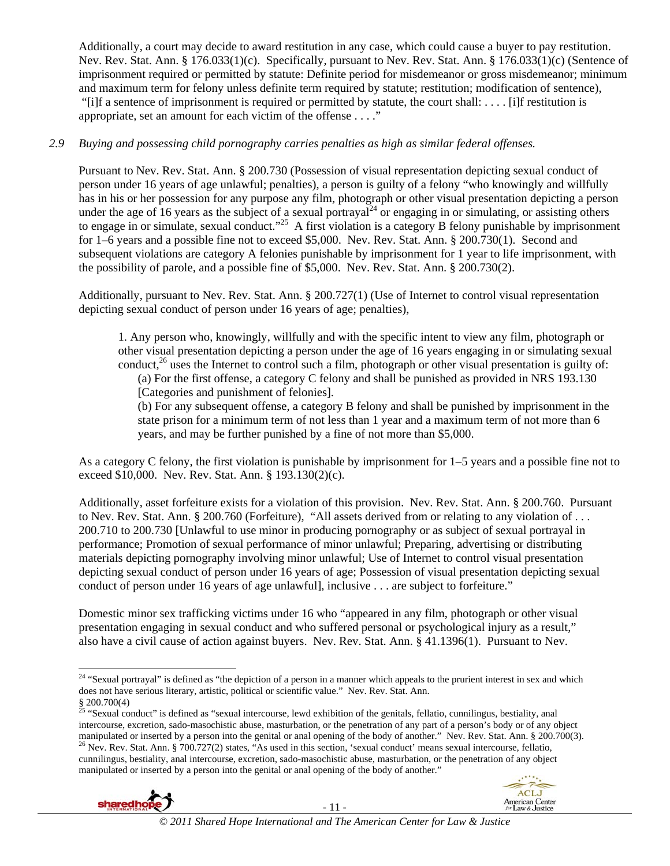Additionally, a court may decide to award restitution in any case, which could cause a buyer to pay restitution. Nev. Rev. Stat. Ann. § 176.033(1)(c). Specifically, pursuant to Nev. Rev. Stat. Ann. § 176.033(1)(c) (Sentence of imprisonment required or permitted by statute: Definite period for misdemeanor or gross misdemeanor; minimum and maximum term for felony unless definite term required by statute; restitution; modification of sentence), "[i]f a sentence of imprisonment is required or permitted by statute, the court shall: ... . [i]f restitution is appropriate, set an amount for each victim of the offense . . . ."

# *2.9 Buying and possessing child pornography carries penalties as high as similar federal offenses.*

Pursuant to Nev. Rev. Stat. Ann. § 200.730 (Possession of visual representation depicting sexual conduct of person under 16 years of age unlawful; penalties), a person is guilty of a felony "who knowingly and willfully has in his or her possession for any purpose any film, photograph or other visual presentation depicting a person under the age of 16 years as the subject of a sexual portrayal<sup>24</sup> or engaging in or simulating, or assisting others to engage in or simulate, sexual conduct."<sup>25</sup> A first violation is a category B felony punishable by imprisonment for 1–6 years and a possible fine not to exceed \$5,000. Nev. Rev. Stat. Ann. § 200.730(1). Second and subsequent violations are category A felonies punishable by imprisonment for 1 year to life imprisonment, with the possibility of parole, and a possible fine of \$5,000. Nev. Rev. Stat. Ann. § 200.730(2).

Additionally, pursuant to Nev. Rev. Stat. Ann. § 200.727(1) (Use of Internet to control visual representation depicting sexual conduct of person under 16 years of age; penalties),

1. Any person who, knowingly, willfully and with the specific intent to view any film, photograph or other visual presentation depicting a person under the age of 16 years engaging in or simulating sexual conduct, $^{26}$  uses the Internet to control such a film, photograph or other visual presentation is guilty of:

(a) For the first offense, a category C felony and shall be punished as provided in NRS 193.130 [Categories and punishment of felonies].

(b) For any subsequent offense, a category B felony and shall be punished by imprisonment in the state prison for a minimum term of not less than 1 year and a maximum term of not more than 6 years, and may be further punished by a fine of not more than \$5,000.

As a category C felony, the first violation is punishable by imprisonment for 1–5 years and a possible fine not to exceed \$10,000. Nev. Rev. Stat. Ann. § 193.130(2)(c).

Additionally, asset forfeiture exists for a violation of this provision. Nev. Rev. Stat. Ann. § 200.760. Pursuant to Nev. Rev. Stat. Ann. § 200.760 (Forfeiture), "All assets derived from or relating to any violation of . . . 200.710 to 200.730 [Unlawful to use minor in producing pornography or as subject of sexual portrayal in performance; Promotion of sexual performance of minor unlawful; Preparing, advertising or distributing materials depicting pornography involving minor unlawful; Use of Internet to control visual presentation depicting sexual conduct of person under 16 years of age; Possession of visual presentation depicting sexual conduct of person under 16 years of age unlawful], inclusive . . . are subject to forfeiture."

Domestic minor sex trafficking victims under 16 who "appeared in any film, photograph or other visual presentation engaging in sexual conduct and who suffered personal or psychological injury as a result," also have a civil cause of action against buyers. Nev. Rev. Stat. Ann. § 41.1396(1). Pursuant to Nev.

<sup>&</sup>lt;sup>25</sup> "Sexual conduct" is defined as "sexual intercourse, lewd exhibition of the genitals, fellatio, cunnilingus, bestiality, anal intercourse, excretion, sado-masochistic abuse, masturbation, or the penetration of any part of a person's body or of any object manipulated or inserted by a person into the genital or anal opening of the body of another." Nev. Rev. Stat. Ann. § 200.700(3).<br><sup>26</sup> Nev. Rev. Stat. Ann. § 700.727(2) states, "As used in this section, 'sexual conduct' mea cunnilingus, bestiality, anal intercourse, excretion, sado-masochistic abuse, masturbation, or the penetration of any object manipulated or inserted by a person into the genital or anal opening of the body of another."





 $\overline{a}$ 

 $^{24}$  "Sexual portrayal" is defined as "the depiction of a person in a manner which appeals to the prurient interest in sex and which does not have serious literary, artistic, political or scientific value." Nev. Rev. Stat. Ann. § 200.700(4)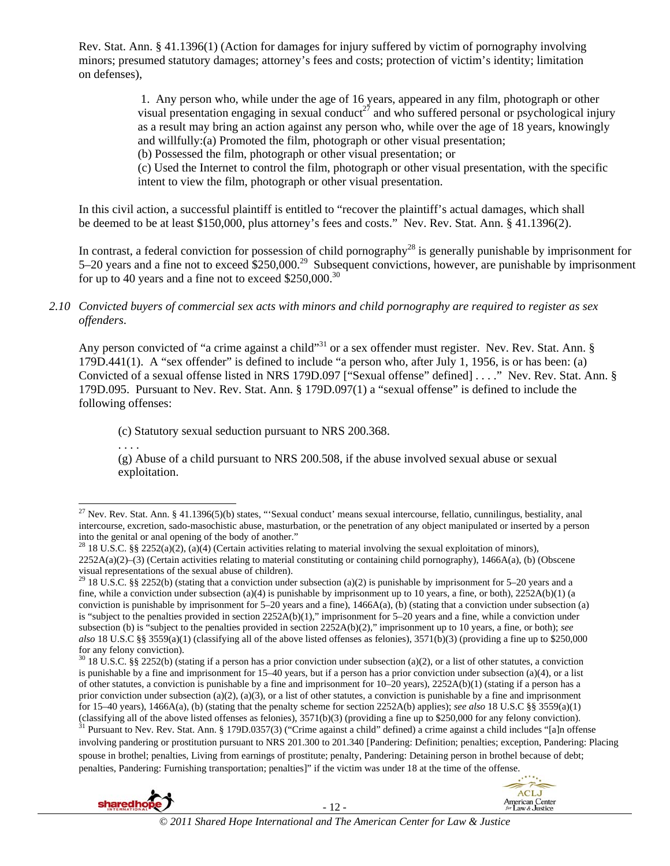Rev. Stat. Ann. § 41.1396(1) (Action for damages for injury suffered by victim of pornography involving minors; presumed statutory damages; attorney's fees and costs; protection of victim's identity; limitation on defenses),

> 1. Any person who, while under the age of 16 years, appeared in any film, photograph or other visual presentation engaging in sexual conduct<sup>27</sup> and who suffered personal or psychological injury as a result may bring an action against any person who, while over the age of 18 years, knowingly and willfully:(a) Promoted the film, photograph or other visual presentation;

(b) Possessed the film, photograph or other visual presentation; or

(c) Used the Internet to control the film, photograph or other visual presentation, with the specific intent to view the film, photograph or other visual presentation.

In this civil action, a successful plaintiff is entitled to "recover the plaintiff's actual damages, which shall be deemed to be at least \$150,000, plus attorney's fees and costs." Nev. Rev. Stat. Ann. § 41.1396(2).

In contrast, a federal conviction for possession of child pornography<sup>28</sup> is generally punishable by imprisonment for 5–20 years and a fine not to exceed \$250,000.29 Subsequent convictions, however, are punishable by imprisonment for up to 40 years and a fine not to exceed \$250,000.<sup>30</sup>

### *2.10 Convicted buyers of commercial sex acts with minors and child pornography are required to register as sex offenders*.

Any person convicted of "a crime against a child"<sup>31</sup> or a sex offender must register. Nev. Rev. Stat. Ann. § 179D.441(1). A "sex offender" is defined to include "a person who, after July 1, 1956, is or has been: (a) Convicted of a sexual offense listed in NRS 179D.097 ["Sexual offense" defined] . . . ." Nev. Rev. Stat. Ann. § 179D.095. Pursuant to Nev. Rev. Stat. Ann. § 179D.097(1) a "sexual offense" is defined to include the following offenses:

(c) Statutory sexual seduction pursuant to NRS 200.368.

. . . .

(g) Abuse of a child pursuant to NRS 200.508, if the abuse involved sexual abuse or sexual exploitation.

 $30\,18\,$  U.S.C. §§ 2252(b) (stating if a person has a prior conviction under subsection (a)(2), or a list of other statutes, a conviction is punishable by a fine and imprisonment for 15–40 years, but if a person has a prior conviction under subsection (a)(4), or a list of other statutes, a conviction is punishable by a fine and imprisonment for  $10-20$  years),  $2252A(b)(1)$  (stating if a person has a prior conviction under subsection (a)(2), (a)(3), or a list of other statutes, a conviction is punishable by a fine and imprisonment for 15–40 years), 1466A(a), (b) (stating that the penalty scheme for section 2252A(b) applies); *see also* 18 U.S.C §§ 3559(a)(1) (classifying all of the above listed offenses as felonies),  $3571(b)(3)$  (providing a fine up to \$250,000 for any felony conviction).<br><sup>31</sup> Pursuant to Nev. Rev. Stat. Ann. § 179D.0357(3) ("Crime against a child" defined) a involving pandering or prostitution pursuant to NRS 201.300 to 201.340 [Pandering: Definition; penalties; exception, Pandering: Placing spouse in brothel; penalties, Living from earnings of prostitute; penalty, Pandering: Detaining person in brothel because of debt; penalties, Pandering: Furnishing transportation; penalties]" if the victim was under 18 at the time of the offense.





 $\overline{a}$ <sup>27</sup> Nev. Rev. Stat. Ann. § 41.1396(5)(b) states, "Sexual conduct' means sexual intercourse, fellatio, cunnilingus, bestiality, anal intercourse, excretion, sado-masochistic abuse, masturbation, or the penetration of any object manipulated or inserted by a person into the genital or anal opening of the body of another."

<sup>&</sup>lt;sup>28</sup> 18 U.S.C. §§ 2252(a)(2), (a)(4) (Certain activities relating to material involving the sexual exploitation of minors), 2252A(a)(2)–(3) (Certain activities relating to material constituting or containing child pornography), 1466A(a), (b) (Obscene visual representations of the sexual abuse of children).

<sup>&</sup>lt;sup>29</sup> 18 U.S.C. §§ 2252(b) (stating that a conviction under subsection (a)(2) is punishable by imprisonment for 5–20 years and a fine, while a conviction under subsection (a)(4) is punishable by imprisonment up to 10 years, a fine, or both),  $2252A(b)(1)$  (a conviction is punishable by imprisonment for  $5-20$  years and a fine),  $1466A(a)$ , (b) (stating that a conviction under subsection (a) is "subject to the penalties provided in section 2252A(b)(1)," imprisonment for 5–20 years and a fine, while a conviction under subsection (b) is "subject to the penalties provided in section 2252A(b)(2)," imprisonment up to 10 years, a fine, or both); *see also* 18 U.S.C §§ 3559(a)(1) (classifying all of the above listed offenses as felonies), 3571(b)(3) (providing a fine up to \$250,000 for any felony conviction).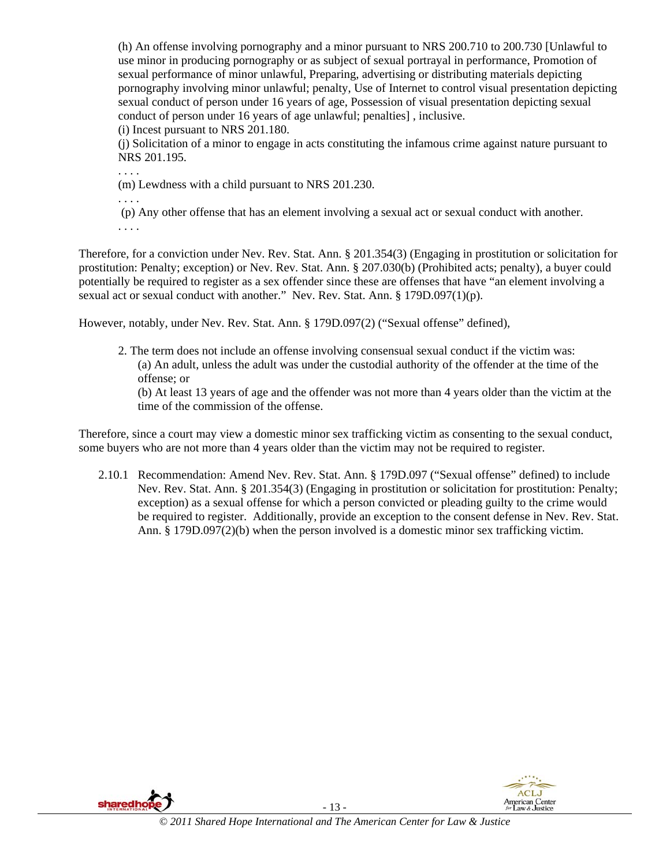(h) An offense involving pornography and a minor pursuant to NRS 200.710 to 200.730 [Unlawful to use minor in producing pornography or as subject of sexual portrayal in performance, Promotion of sexual performance of minor unlawful, Preparing, advertising or distributing materials depicting pornography involving minor unlawful; penalty, Use of Internet to control visual presentation depicting sexual conduct of person under 16 years of age, Possession of visual presentation depicting sexual conduct of person under 16 years of age unlawful; penalties] , inclusive.

(i) Incest pursuant to NRS 201.180.

(j) Solicitation of a minor to engage in acts constituting the infamous crime against nature pursuant to NRS 201.195.

. . . .

(m) Lewdness with a child pursuant to NRS 201.230.

. . . .

(p) Any other offense that has an element involving a sexual act or sexual conduct with another.

. . . .

Therefore, for a conviction under Nev. Rev. Stat. Ann. § 201.354(3) (Engaging in prostitution or solicitation for prostitution: Penalty; exception) or Nev. Rev. Stat. Ann. § 207.030(b) (Prohibited acts; penalty), a buyer could potentially be required to register as a sex offender since these are offenses that have "an element involving a sexual act or sexual conduct with another." Nev. Rev. Stat. Ann. § 179D.097(1)(p).

However, notably, under Nev. Rev. Stat. Ann. § 179D.097(2) ("Sexual offense" defined),

2. The term does not include an offense involving consensual sexual conduct if the victim was: (a) An adult, unless the adult was under the custodial authority of the offender at the time of the offense; or

(b) At least 13 years of age and the offender was not more than 4 years older than the victim at the time of the commission of the offense.

Therefore, since a court may view a domestic minor sex trafficking victim as consenting to the sexual conduct, some buyers who are not more than 4 years older than the victim may not be required to register.

2.10.1 Recommendation: Amend Nev. Rev. Stat. Ann. § 179D.097 ("Sexual offense" defined) to include Nev. Rev. Stat. Ann. § 201.354(3) (Engaging in prostitution or solicitation for prostitution: Penalty; exception) as a sexual offense for which a person convicted or pleading guilty to the crime would be required to register. Additionally, provide an exception to the consent defense in Nev. Rev. Stat. Ann. § 179D.097(2)(b) when the person involved is a domestic minor sex trafficking victim.

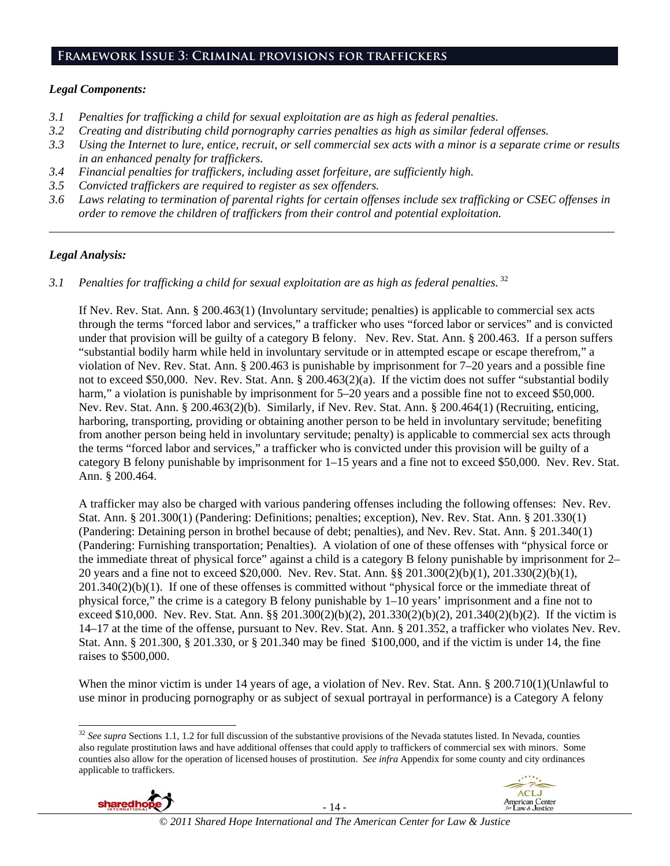# **Framework Issue 3: Criminal provisions for traffickers**

## *Legal Components:*

- *3.1 Penalties for trafficking a child for sexual exploitation are as high as federal penalties.*
- *3.2 Creating and distributing child pornography carries penalties as high as similar federal offenses.*
- *3.3 Using the Internet to lure, entice, recruit, or sell commercial sex acts with a minor is a separate crime or results in an enhanced penalty for traffickers.*
- *3.4 Financial penalties for traffickers, including asset forfeiture, are sufficiently high.*
- *3.5 Convicted traffickers are required to register as sex offenders.*
- *3.6 Laws relating to termination of parental rights for certain offenses include sex trafficking or CSEC offenses in order to remove the children of traffickers from their control and potential exploitation.*

*\_\_\_\_\_\_\_\_\_\_\_\_\_\_\_\_\_\_\_\_\_\_\_\_\_\_\_\_\_\_\_\_\_\_\_\_\_\_\_\_\_\_\_\_\_\_\_\_\_\_\_\_\_\_\_\_\_\_\_\_\_\_\_\_\_\_\_\_\_\_\_\_\_\_\_\_\_\_\_\_\_\_\_\_\_\_\_\_\_\_\_\_\_\_* 

## *Legal Analysis:*

*3.1 Penalties for trafficking a child for sexual exploitation are as high as federal penalties.* <sup>32</sup>

If Nev. Rev. Stat. Ann. § 200.463(1) (Involuntary servitude; penalties) is applicable to commercial sex acts through the terms "forced labor and services," a trafficker who uses "forced labor or services" and is convicted under that provision will be guilty of a category B felony. Nev. Rev. Stat. Ann. § 200.463. If a person suffers "substantial bodily harm while held in involuntary servitude or in attempted escape or escape therefrom," a violation of Nev. Rev. Stat. Ann. § 200.463 is punishable by imprisonment for 7–20 years and a possible fine not to exceed \$50,000. Nev. Rev. Stat. Ann. § 200.463(2)(a). If the victim does not suffer "substantial bodily harm," a violation is punishable by imprisonment for  $5-20$  years and a possible fine not to exceed \$50,000. Nev. Rev. Stat. Ann. § 200.463(2)(b). Similarly, if Nev. Rev. Stat. Ann. § 200.464(1) (Recruiting, enticing, harboring, transporting, providing or obtaining another person to be held in involuntary servitude; benefiting from another person being held in involuntary servitude; penalty) is applicable to commercial sex acts through the terms "forced labor and services," a trafficker who is convicted under this provision will be guilty of a category B felony punishable by imprisonment for 1–15 years and a fine not to exceed \$50,000. Nev. Rev. Stat. Ann. § 200.464.

A trafficker may also be charged with various pandering offenses including the following offenses: Nev. Rev. Stat. Ann. § 201.300(1) (Pandering: Definitions; penalties; exception), Nev. Rev. Stat. Ann. § 201.330(1) (Pandering: Detaining person in brothel because of debt; penalties), and Nev. Rev. Stat. Ann. § 201.340(1) (Pandering: Furnishing transportation; Penalties). A violation of one of these offenses with "physical force or the immediate threat of physical force" against a child is a category B felony punishable by imprisonment for 2– 20 years and a fine not to exceed \$20,000. Nev. Rev. Stat. Ann. §§ 201.300(2)(b)(1), 201.330(2)(b)(1), 201.340(2)(b)(1). If one of these offenses is committed without "physical force or the immediate threat of physical force," the crime is a category B felony punishable by 1–10 years' imprisonment and a fine not to exceed \$10,000. Nev. Rev. Stat. Ann. §§ 201.300(2)(b)(2), 201.330(2)(b)(2), 201.340(2)(b)(2). If the victim is 14–17 at the time of the offense, pursuant to Nev. Rev. Stat. Ann. § 201.352, a trafficker who violates Nev. Rev. Stat. Ann. § 201.300, § 201.330, or § 201.340 may be fined \$100,000, and if the victim is under 14, the fine raises to \$500,000.

When the minor victim is under 14 years of age, a violation of Nev. Rev. Stat. Ann. § 200.710(1)(Unlawful to use minor in producing pornography or as subject of sexual portrayal in performance) is a Category A felony

<sup>&</sup>lt;sup>32</sup> See supra Sections 1.1, 1.2 for full discussion of the substantive provisions of the Nevada statutes listed. In Nevada, counties also regulate prostitution laws and have additional offenses that could apply to traffickers of commercial sex with minors. Some counties also allow for the operation of licensed houses of prostitution. *See infra* Appendix for some county and city ordinances applicable to traffickers.



 $\overline{a}$ 

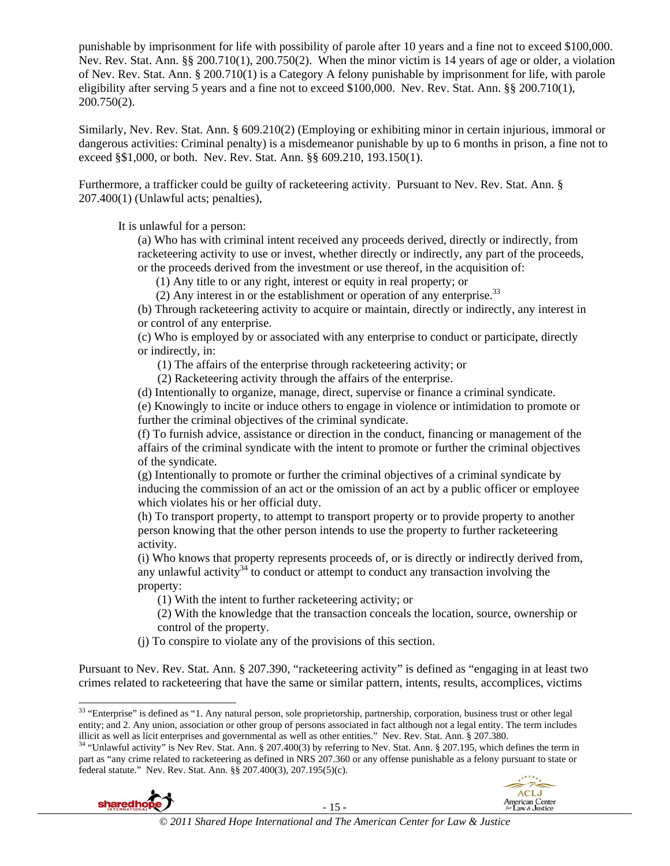punishable by imprisonment for life with possibility of parole after 10 years and a fine not to exceed \$100,000. Nev. Rev. Stat. Ann. §§ 200.710(1), 200.750(2). When the minor victim is 14 years of age or older, a violation of Nev. Rev. Stat. Ann. § 200.710(1) is a Category A felony punishable by imprisonment for life, with parole eligibility after serving 5 years and a fine not to exceed \$100,000. Nev. Rev. Stat. Ann. §§ 200.710(1), 200.750(2).

Similarly, Nev. Rev. Stat. Ann. § 609.210(2) (Employing or exhibiting minor in certain injurious, immoral or dangerous activities: Criminal penalty) is a misdemeanor punishable by up to 6 months in prison, a fine not to exceed §\$1,000, or both. Nev. Rev. Stat. Ann. §§ 609.210, 193.150(1).

Furthermore, a trafficker could be guilty of racketeering activity. Pursuant to Nev. Rev. Stat. Ann. § 207.400(1) (Unlawful acts; penalties),

It is unlawful for a person:

(a) Who has with criminal intent received any proceeds derived, directly or indirectly, from racketeering activity to use or invest, whether directly or indirectly, any part of the proceeds, or the proceeds derived from the investment or use thereof, in the acquisition of:

(1) Any title to or any right, interest or equity in real property; or

(2) Any interest in or the establishment or operation of any enterprise. $33$ 

(b) Through racketeering activity to acquire or maintain, directly or indirectly, any interest in or control of any enterprise.

(c) Who is employed by or associated with any enterprise to conduct or participate, directly or indirectly, in:

(1) The affairs of the enterprise through racketeering activity; or

(2) Racketeering activity through the affairs of the enterprise.

(d) Intentionally to organize, manage, direct, supervise or finance a criminal syndicate.

(e) Knowingly to incite or induce others to engage in violence or intimidation to promote or further the criminal objectives of the criminal syndicate.

(f) To furnish advice, assistance or direction in the conduct, financing or management of the affairs of the criminal syndicate with the intent to promote or further the criminal objectives of the syndicate.

(g) Intentionally to promote or further the criminal objectives of a criminal syndicate by inducing the commission of an act or the omission of an act by a public officer or employee which violates his or her official duty.

(h) To transport property, to attempt to transport property or to provide property to another person knowing that the other person intends to use the property to further racketeering activity.

(i) Who knows that property represents proceeds of, or is directly or indirectly derived from, any unlawful activity<sup>34</sup> to conduct or attempt to conduct any transaction involving the property:

(1) With the intent to further racketeering activity; or

(2) With the knowledge that the transaction conceals the location, source, ownership or control of the property.

(j) To conspire to violate any of the provisions of this section.

Pursuant to Nev. Rev. Stat. Ann. § 207.390, "racketeering activity" is defined as "engaging in at least two crimes related to racketeering that have the same or similar pattern, intents, results, accomplices, victims

illicit as well as licit enterprises and governmental as well as other entities." Nev. Rev. Stat. Ann. § 207.380.<br><sup>34</sup> "Unlawful activity" is Nev Rev. Stat. Ann. § 207.400(3) by referring to Nev. Stat. Ann. § 207.195, whic part as "any crime related to racketeering as defined in NRS 207.360 or any offense punishable as a felony pursuant to state or federal statute." Nev. Rev. Stat. Ann. §§ 207.400(3), 207.195(5)(c).





 $\overline{\phantom{a}}$ 

<sup>&</sup>lt;sup>33</sup> "Enterprise" is defined as "1. Any natural person, sole proprietorship, partnership, corporation, business trust or other legal entity; and 2. Any union, association or other group of persons associated in fact although not a legal entity. The term includes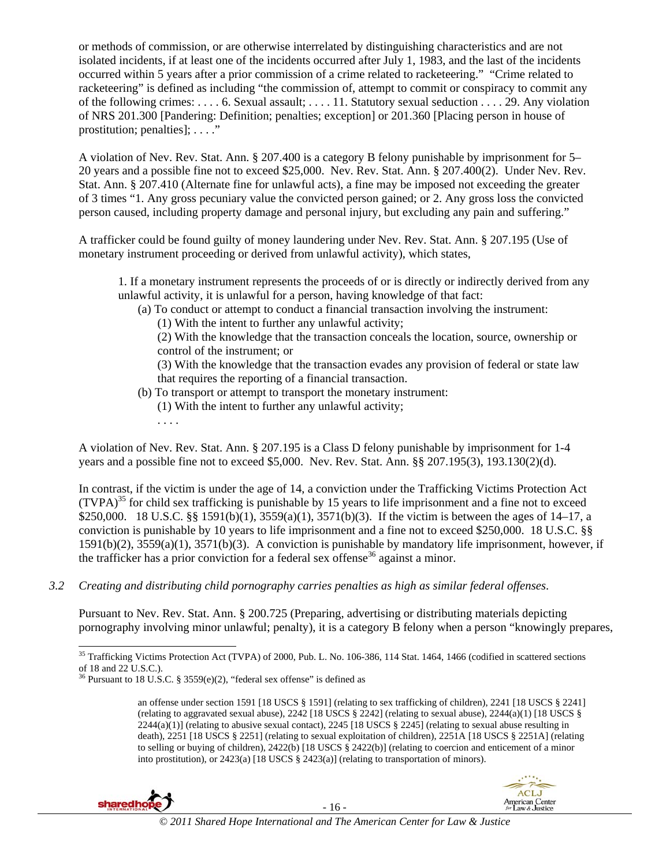or methods of commission, or are otherwise interrelated by distinguishing characteristics and are not isolated incidents, if at least one of the incidents occurred after July 1, 1983, and the last of the incidents occurred within 5 years after a prior commission of a crime related to racketeering." "Crime related to racketeering" is defined as including "the commission of, attempt to commit or conspiracy to commit any of the following crimes: . . . . 6. Sexual assault; . . . . 11. Statutory sexual seduction . . . . 29. Any violation of NRS 201.300 [Pandering: Definition; penalties; exception] or 201.360 [Placing person in house of prostitution; penalties]; . . . ."

A violation of Nev. Rev. Stat. Ann. § 207.400 is a category B felony punishable by imprisonment for 5– 20 years and a possible fine not to exceed \$25,000. Nev. Rev. Stat. Ann. § 207.400(2). Under Nev. Rev. Stat. Ann. § 207.410 (Alternate fine for unlawful acts), a fine may be imposed not exceeding the greater of 3 times "1. Any gross pecuniary value the convicted person gained; or 2. Any gross loss the convicted person caused, including property damage and personal injury, but excluding any pain and suffering."

A trafficker could be found guilty of money laundering under Nev. Rev. Stat. Ann. § 207.195 (Use of monetary instrument proceeding or derived from unlawful activity), which states,

1. If a monetary instrument represents the proceeds of or is directly or indirectly derived from any unlawful activity, it is unlawful for a person, having knowledge of that fact:

(a) To conduct or attempt to conduct a financial transaction involving the instrument:

(1) With the intent to further any unlawful activity;

(2) With the knowledge that the transaction conceals the location, source, ownership or control of the instrument; or

(3) With the knowledge that the transaction evades any provision of federal or state law that requires the reporting of a financial transaction.

- (b) To transport or attempt to transport the monetary instrument:
	- (1) With the intent to further any unlawful activity;

A violation of Nev. Rev. Stat. Ann. § 207.195 is a Class D felony punishable by imprisonment for 1-4 years and a possible fine not to exceed \$5,000. Nev. Rev. Stat. Ann. §§ 207.195(3), 193.130(2)(d).

In contrast, if the victim is under the age of 14, a conviction under the Trafficking Victims Protection Act  $(TVPA)<sup>35</sup>$  for child sex trafficking is punishable by 15 years to life imprisonment and a fine not to exceed \$250,000. 18 U.S.C. §§ 1591(b)(1), 3559(a)(1), 3571(b)(3). If the victim is between the ages of 14–17, a conviction is punishable by 10 years to life imprisonment and a fine not to exceed \$250,000. 18 U.S.C. §§ 1591(b)(2), 3559(a)(1), 3571(b)(3). A conviction is punishable by mandatory life imprisonment, however, if the trafficker has a prior conviction for a federal sex offense<sup>36</sup> against a minor.

*3.2 Creating and distributing child pornography carries penalties as high as similar federal offenses*.

Pursuant to Nev. Rev. Stat. Ann. § 200.725 (Preparing, advertising or distributing materials depicting pornography involving minor unlawful; penalty), it is a category B felony when a person "knowingly prepares,

an offense under section 1591 [18 USCS § 1591] (relating to sex trafficking of children), 2241 [18 USCS § 2241] (relating to aggravated sexual abuse),  $2242$  [18 USCS § 2242] (relating to sexual abuse),  $2244(a)(1)$  [18 USCS §  $2244(a)(1)$  (relating to abusive sexual contact),  $2245$  [18 USCS § 2245] (relating to sexual abuse resulting in death), 2251 [18 USCS § 2251] (relating to sexual exploitation of children), 2251A [18 USCS § 2251A] (relating to selling or buying of children), 2422(b) [18 USCS § 2422(b)] (relating to coercion and enticement of a minor into prostitution), or 2423(a) [18 USCS § 2423(a)] (relating to transportation of minors).



. . . .



 $\overline{\phantom{a}}$ <sup>35</sup> Trafficking Victims Protection Act (TVPA) of 2000, Pub. L. No. 106-386, 114 Stat. 1464, 1466 (codified in scattered sections of 18 and 22 U.S.C.).

<sup>&</sup>lt;sup>36</sup> Pursuant to 18 U.S.C. § 3559 $(e)(2)$ , "federal sex offense" is defined as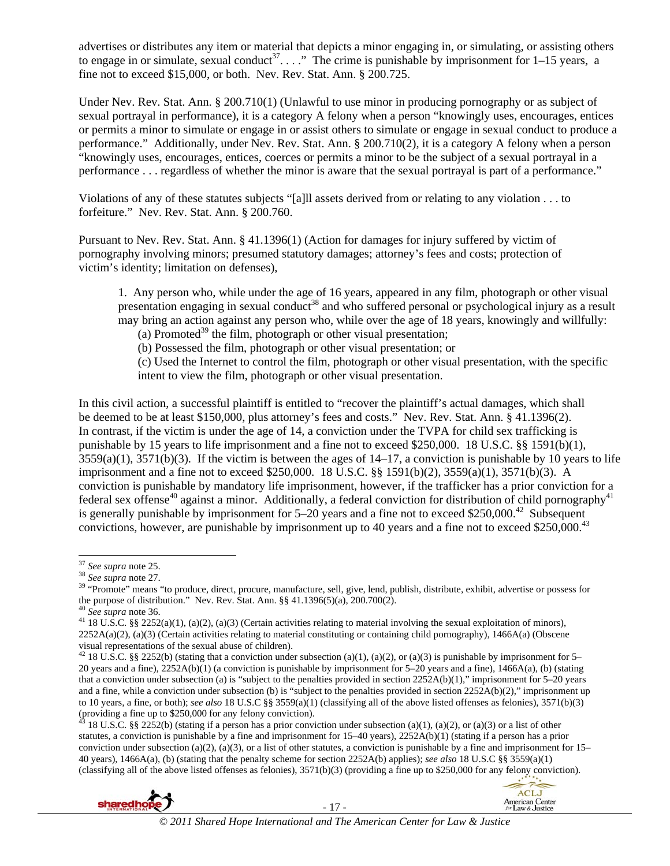advertises or distributes any item or material that depicts a minor engaging in, or simulating, or assisting others to engage in or simulate, sexual conduct<sup>37</sup>...." The crime is punishable by imprisonment for  $1-15$  years, a fine not to exceed \$15,000, or both. Nev. Rev. Stat. Ann.  $\S 200.725$ .

Under Nev. Rev. Stat. Ann. § 200.710(1) (Unlawful to use minor in producing pornography or as subject of sexual portrayal in performance), it is a category A felony when a person "knowingly uses, encourages, entices or permits a minor to simulate or engage in or assist others to simulate or engage in sexual conduct to produce a performance." Additionally, under Nev. Rev. Stat. Ann. § 200.710(2), it is a category A felony when a person "knowingly uses, encourages, entices, coerces or permits a minor to be the subject of a sexual portrayal in a performance . . . regardless of whether the minor is aware that the sexual portrayal is part of a performance."

Violations of any of these statutes subjects "[a]ll assets derived from or relating to any violation . . . to forfeiture." Nev. Rev. Stat. Ann. § 200.760.

Pursuant to Nev. Rev. Stat. Ann. § 41.1396(1) (Action for damages for injury suffered by victim of pornography involving minors; presumed statutory damages; attorney's fees and costs; protection of victim's identity; limitation on defenses),

1. Any person who, while under the age of 16 years, appeared in any film, photograph or other visual presentation engaging in sexual conduct<sup>38</sup> and who suffered personal or psychological injury as a result may bring an action against any person who, while over the age of 18 years, knowingly and willfully:

(a) Promoted<sup>39</sup> the film, photograph or other visual presentation;

(b) Possessed the film, photograph or other visual presentation; or

(c) Used the Internet to control the film, photograph or other visual presentation, with the specific intent to view the film, photograph or other visual presentation.

In this civil action, a successful plaintiff is entitled to "recover the plaintiff's actual damages, which shall be deemed to be at least \$150,000, plus attorney's fees and costs." Nev. Rev. Stat. Ann. § 41.1396(2). In contrast, if the victim is under the age of 14, a conviction under the TVPA for child sex trafficking is punishable by 15 years to life imprisonment and a fine not to exceed \$250,000. 18 U.S.C. §§ 1591(b)(1),  $3559(a)(1)$ ,  $3571(b)(3)$ . If the victim is between the ages of  $14-17$ , a conviction is punishable by 10 years to life imprisonment and a fine not to exceed \$250,000. 18 U.S.C. §§ 1591(b)(2), 3559(a)(1), 3571(b)(3). A conviction is punishable by mandatory life imprisonment, however, if the trafficker has a prior conviction for a federal sex offense<sup>40</sup> against a minor. Additionally, a federal conviction for distribution of child pornography<sup>41</sup> is generally punishable by imprisonment for  $5-20$  years and a fine not to exceed \$250,000.<sup>42</sup> Subsequent convictions, however, are punishable by imprisonment up to 40 years and a fine not to exceed \$250,000.<sup>43</sup>

<sup>&</sup>lt;sup>43</sup> 18 U.S.C. §§ 2252(b) (stating if a person has a prior conviction under subsection (a)(1), (a)(2), or (a)(3) or a list of other statutes, a conviction is punishable by a fine and imprisonment for  $15-40$  years),  $2252A(b)(1)$  (stating if a person has a prior conviction under subsection (a)(2), (a)(3), or a list of other statutes, a conviction is punishable by a fine and imprisonment for  $15-$ 40 years), 1466A(a), (b) (stating that the penalty scheme for section 2252A(b) applies); *see also* 18 U.S.C §§ 3559(a)(1) (classifying all of the above listed offenses as felonies), 3571(b)(3) (providing a fine up to \$250,000 for any felony conviction).





 $^{37}$  See supra note 25.

<sup>&</sup>lt;sup>38</sup> *See supra* note 25.<br><sup>38</sup> *See supra* note 27.<br><sup>39</sup> "Promote" means "to produce, direct, procure, manufacture, sell, give, lend, publish, distribute, exhibit, advertise or possess for the purpose of distribution." Nev. Rev. Stat. Ann. §§ 41.1396(5)(a), 200.700(2).<br><sup>40</sup> See supra note 36.<br><sup>41</sup> 18 U.S.C. §§ 2252(a)(1), (a)(2), (a)(3) (Certain activities relating to material involving the sexual exploitat

 $2252A(a)(2)$ , (a)(3) (Certain activities relating to material constituting or containing child pornography), 1466A(a) (Obscene visual representations of the sexual abuse of children).

<sup>&</sup>lt;sup>42</sup> 18 U.S.C. §§ 2252(b) (stating that a conviction under subsection (a)(1), (a)(2), or (a)(3) is punishable by imprisonment for 5– 20 years and a fine), 2252A(b)(1) (a conviction is punishable by imprisonment for 5–20 years and a fine), 1466A(a), (b) (stating that a conviction under subsection (a) is "subject to the penalties provided in section 2252A(b)(1)," imprisonment for 5–20 years and a fine, while a conviction under subsection (b) is "subject to the penalties provided in section 2252A(b)(2)," imprisonment up to 10 years, a fine, or both); *see also* 18 U.S.C §§ 3559(a)(1) (classifying all of the above listed offenses as felonies), 3571(b)(3) (providing a fine up to \$250,000 for any felony conviction).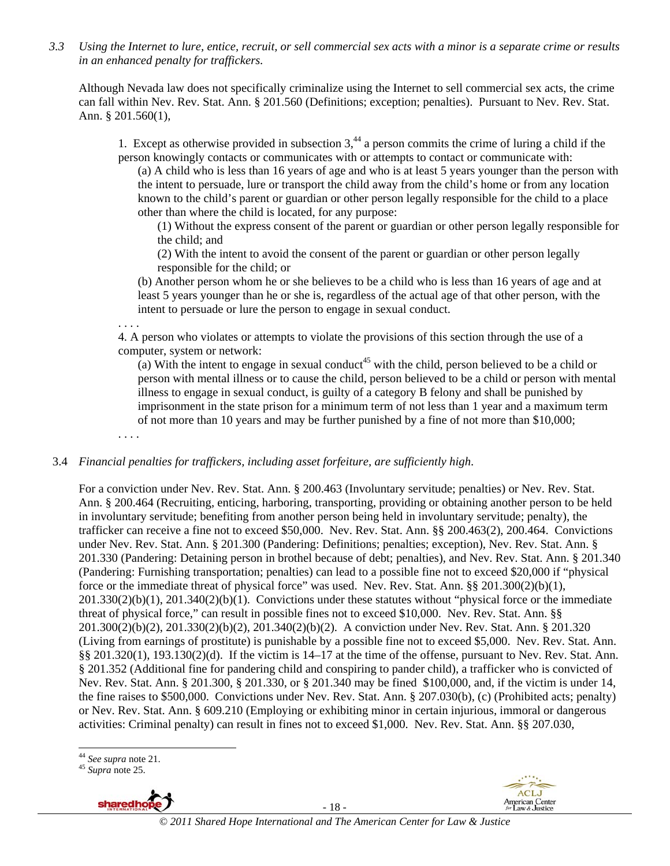*3.3 Using the Internet to lure, entice, recruit, or sell commercial sex acts with a minor is a separate crime or results in an enhanced penalty for traffickers.* 

Although Nevada law does not specifically criminalize using the Internet to sell commercial sex acts, the crime can fall within Nev. Rev. Stat. Ann. § 201.560 (Definitions; exception; penalties). Pursuant to Nev. Rev. Stat. Ann. § 201.560(1),

1. Except as otherwise provided in subsection  $3<sup>44</sup>$  a person commits the crime of luring a child if the person knowingly contacts or communicates with or attempts to contact or communicate with:

(a) A child who is less than 16 years of age and who is at least 5 years younger than the person with the intent to persuade, lure or transport the child away from the child's home or from any location known to the child's parent or guardian or other person legally responsible for the child to a place other than where the child is located, for any purpose:

(1) Without the express consent of the parent or guardian or other person legally responsible for the child; and

(2) With the intent to avoid the consent of the parent or guardian or other person legally responsible for the child; or

(b) Another person whom he or she believes to be a child who is less than 16 years of age and at least 5 years younger than he or she is, regardless of the actual age of that other person, with the intent to persuade or lure the person to engage in sexual conduct.

. . . .

4. A person who violates or attempts to violate the provisions of this section through the use of a computer, system or network:

(a) With the intent to engage in sexual conduct<sup>45</sup> with the child, person believed to be a child or person with mental illness or to cause the child, person believed to be a child or person with mental illness to engage in sexual conduct, is guilty of a category B felony and shall be punished by imprisonment in the state prison for a minimum term of not less than 1 year and a maximum term of not more than 10 years and may be further punished by a fine of not more than \$10,000;

. . . .

#### 3.4 *Financial penalties for traffickers, including asset forfeiture, are sufficiently high*.

For a conviction under Nev. Rev. Stat. Ann. § 200.463 (Involuntary servitude; penalties) or Nev. Rev. Stat. Ann. § 200.464 (Recruiting, enticing, harboring, transporting, providing or obtaining another person to be held in involuntary servitude; benefiting from another person being held in involuntary servitude; penalty), the trafficker can receive a fine not to exceed \$50,000. Nev. Rev. Stat. Ann. §§ 200.463(2), 200.464. Convictions under Nev. Rev. Stat. Ann. § 201.300 (Pandering: Definitions; penalties; exception), Nev. Rev. Stat. Ann. § 201.330 (Pandering: Detaining person in brothel because of debt; penalties), and Nev. Rev. Stat. Ann. § 201.340 (Pandering: Furnishing transportation; penalties) can lead to a possible fine not to exceed \$20,000 if "physical force or the immediate threat of physical force" was used. Nev. Rev. Stat. Ann. §§ 201.300(2)(b)(1), 201.330(2)(b)(1), 201.340(2)(b)(1). Convictions under these statutes without "physical force or the immediate threat of physical force," can result in possible fines not to exceed \$10,000. Nev. Rev. Stat. Ann. §§ 201.300(2)(b)(2), 201.330(2)(b)(2), 201.340(2)(b)(2). A conviction under Nev. Rev. Stat. Ann. § 201.320 (Living from earnings of prostitute) is punishable by a possible fine not to exceed \$5,000. Nev. Rev. Stat. Ann. §§ 201.320(1), 193.130(2)(d). If the victim is  $14-17$  at the time of the offense, pursuant to Nev. Rev. Stat. Ann. § 201.352 (Additional fine for pandering child and conspiring to pander child), a trafficker who is convicted of Nev. Rev. Stat. Ann. § 201.300, § 201.330, or § 201.340 may be fined \$100,000, and, if the victim is under 14, the fine raises to \$500,000. Convictions under Nev. Rev. Stat. Ann. § 207.030(b), (c) (Prohibited acts; penalty) or Nev. Rev. Stat. Ann. § 609.210 (Employing or exhibiting minor in certain injurious, immoral or dangerous activities: Criminal penalty) can result in fines not to exceed \$1,000. Nev. Rev. Stat. Ann. §§ 207.030,

 $\overline{a}$ 



- 18 -



<sup>44</sup> *See supra* note 21. 45 *Supra* note 25.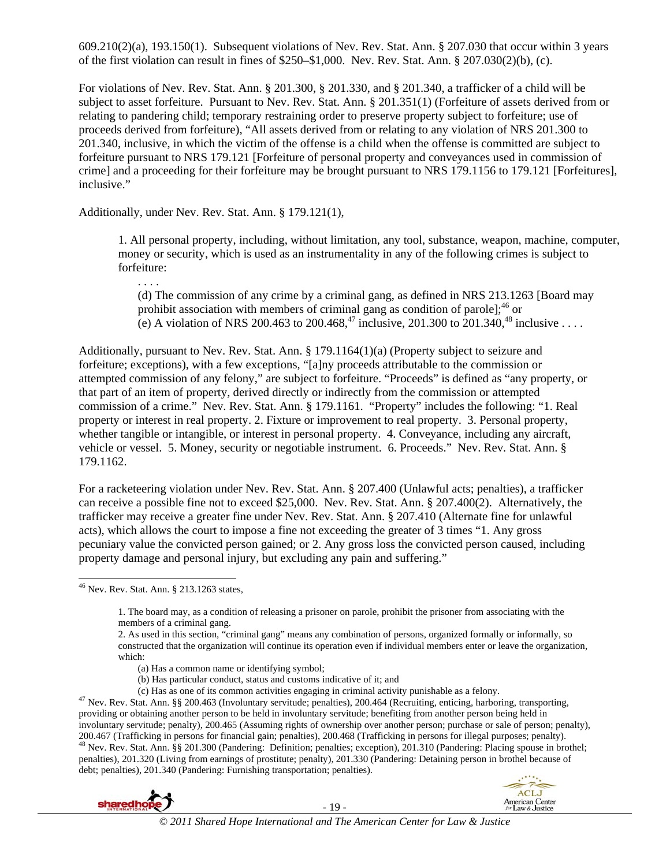609.210(2)(a), 193.150(1). Subsequent violations of Nev. Rev. Stat. Ann. § 207.030 that occur within 3 years of the first violation can result in fines of \$250–\$1,000. Nev. Rev. Stat. Ann. § 207.030(2)(b), (c).

For violations of Nev. Rev. Stat. Ann. § 201.300, § 201.330, and § 201.340, a trafficker of a child will be subject to asset forfeiture. Pursuant to Nev. Rev. Stat. Ann. § 201.351(1) (Forfeiture of assets derived from or relating to pandering child; temporary restraining order to preserve property subject to forfeiture; use of proceeds derived from forfeiture), "All assets derived from or relating to any violation of NRS 201.300 to 201.340, inclusive, in which the victim of the offense is a child when the offense is committed are subject to forfeiture pursuant to NRS 179.121 [Forfeiture of personal property and conveyances used in commission of crime] and a proceeding for their forfeiture may be brought pursuant to NRS 179.1156 to 179.121 [Forfeitures], inclusive."

Additionally, under Nev. Rev. Stat. Ann. § 179.121(1),

1. All personal property, including, without limitation, any tool, substance, weapon, machine, computer, money or security, which is used as an instrumentality in any of the following crimes is subject to forfeiture:

(d) The commission of any crime by a criminal gang, as defined in NRS 213.1263 [Board may prohibit association with members of criminal gang as condition of parole];  $^{46}$  or (e) A violation of NRS 200.463 to 200.468,<sup>47</sup> inclusive, 201.300 to 201.340,<sup>48</sup> inclusive . . . .

Additionally, pursuant to Nev. Rev. Stat. Ann. § 179.1164(1)(a) (Property subject to seizure and forfeiture; exceptions), with a few exceptions, "[a]ny proceeds attributable to the commission or attempted commission of any felony," are subject to forfeiture. "Proceeds" is defined as "any property, or that part of an item of property, derived directly or indirectly from the commission or attempted commission of a crime." Nev. Rev. Stat. Ann. § 179.1161. "Property" includes the following: "1. Real property or interest in real property. 2. Fixture or improvement to real property. 3. Personal property, whether tangible or intangible, or interest in personal property. 4. Conveyance, including any aircraft, vehicle or vessel. 5. Money, security or negotiable instrument. 6. Proceeds." Nev. Rev. Stat. Ann. § 179.1162.

For a racketeering violation under Nev. Rev. Stat. Ann. § 207.400 (Unlawful acts; penalties), a trafficker can receive a possible fine not to exceed \$25,000. Nev. Rev. Stat. Ann. § 207.400(2). Alternatively, the trafficker may receive a greater fine under Nev. Rev. Stat. Ann. § 207.410 (Alternate fine for unlawful acts), which allows the court to impose a fine not exceeding the greater of 3 times "1. Any gross pecuniary value the convicted person gained; or 2. Any gross loss the convicted person caused, including property damage and personal injury, but excluding any pain and suffering."

 $\overline{\phantom{a}}$ 

. . . .

2. As used in this section, "criminal gang" means any combination of persons, organized formally or informally, so constructed that the organization will continue its operation even if individual members enter or leave the organization, which:

- (a) Has a common name or identifying symbol;
- 
- (b) Has particular conduct, status and customs indicative of it; and (c) Has as one of its common activities engaging in criminal activity punishable as a felony.

<sup>47</sup> Nev. Rev. Stat. Ann. §§ 200.463 (Involuntary servitude; penalties), 200.464 (Recruiting, enticing, harboring, transporting, providing or obtaining another person to be held in involuntary servitude; benefiting from another person being held in involuntary servitude; penalty), 200.465 (Assuming rights of ownership over another person; purchase or sale of person; penalty), 200.467 (Trafficking in persons for financial gain; penalties), 200.468 (Trafficking in persons for illegal purposes; penalty).  $^{48}$  Nev. Rev. Stat. Ann. §§ 201.300 (Pandering: Definition; penalties; exception), 201.310 penalties), 201.320 (Living from earnings of prostitute; penalty), 201.330 (Pandering: Detaining person in brothel because of debt; penalties), 201.340 (Pandering: Furnishing transportation; penalties).





 $46$  Nev. Rev. Stat. Ann. § 213.1263 states,

<sup>1.</sup> The board may, as a condition of releasing a prisoner on parole, prohibit the prisoner from associating with the members of a criminal gang.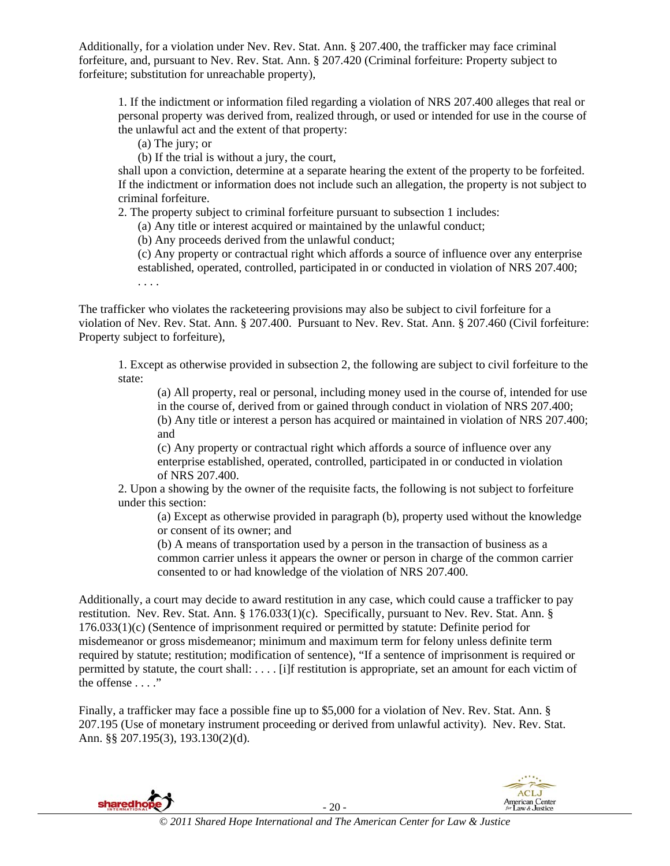Additionally, for a violation under Nev. Rev. Stat. Ann. § 207.400, the trafficker may face criminal forfeiture, and, pursuant to Nev. Rev. Stat. Ann. § 207.420 (Criminal forfeiture: Property subject to forfeiture; substitution for unreachable property),

1. If the indictment or information filed regarding a violation of NRS 207.400 alleges that real or personal property was derived from, realized through, or used or intended for use in the course of the unlawful act and the extent of that property:

(a) The jury; or

(b) If the trial is without a jury, the court,

shall upon a conviction, determine at a separate hearing the extent of the property to be forfeited. If the indictment or information does not include such an allegation, the property is not subject to criminal forfeiture.

2. The property subject to criminal forfeiture pursuant to subsection 1 includes:

(a) Any title or interest acquired or maintained by the unlawful conduct;

(b) Any proceeds derived from the unlawful conduct;

(c) Any property or contractual right which affords a source of influence over any enterprise established, operated, controlled, participated in or conducted in violation of NRS 207.400; . . . .

The trafficker who violates the racketeering provisions may also be subject to civil forfeiture for a violation of Nev. Rev. Stat. Ann. § 207.400. Pursuant to Nev. Rev. Stat. Ann. § 207.460 (Civil forfeiture: Property subject to forfeiture),

1. Except as otherwise provided in subsection 2, the following are subject to civil forfeiture to the state:

(a) All property, real or personal, including money used in the course of, intended for use in the course of, derived from or gained through conduct in violation of NRS 207.400; (b) Any title or interest a person has acquired or maintained in violation of NRS 207.400; and

(c) Any property or contractual right which affords a source of influence over any enterprise established, operated, controlled, participated in or conducted in violation of NRS 207.400.

2. Upon a showing by the owner of the requisite facts, the following is not subject to forfeiture under this section:

(a) Except as otherwise provided in paragraph (b), property used without the knowledge or consent of its owner; and

(b) A means of transportation used by a person in the transaction of business as a common carrier unless it appears the owner or person in charge of the common carrier consented to or had knowledge of the violation of NRS 207.400.

Additionally, a court may decide to award restitution in any case, which could cause a trafficker to pay restitution. Nev. Rev. Stat. Ann. § 176.033(1)(c). Specifically, pursuant to Nev. Rev. Stat. Ann. § 176.033(1)(c) (Sentence of imprisonment required or permitted by statute: Definite period for misdemeanor or gross misdemeanor; minimum and maximum term for felony unless definite term required by statute; restitution; modification of sentence), "If a sentence of imprisonment is required or permitted by statute, the court shall: . . . . [i]f restitution is appropriate, set an amount for each victim of the offense . . . ."

Finally, a trafficker may face a possible fine up to \$5,000 for a violation of Nev. Rev. Stat. Ann. § 207.195 (Use of monetary instrument proceeding or derived from unlawful activity). Nev. Rev. Stat. Ann. §§ 207.195(3), 193.130(2)(d).

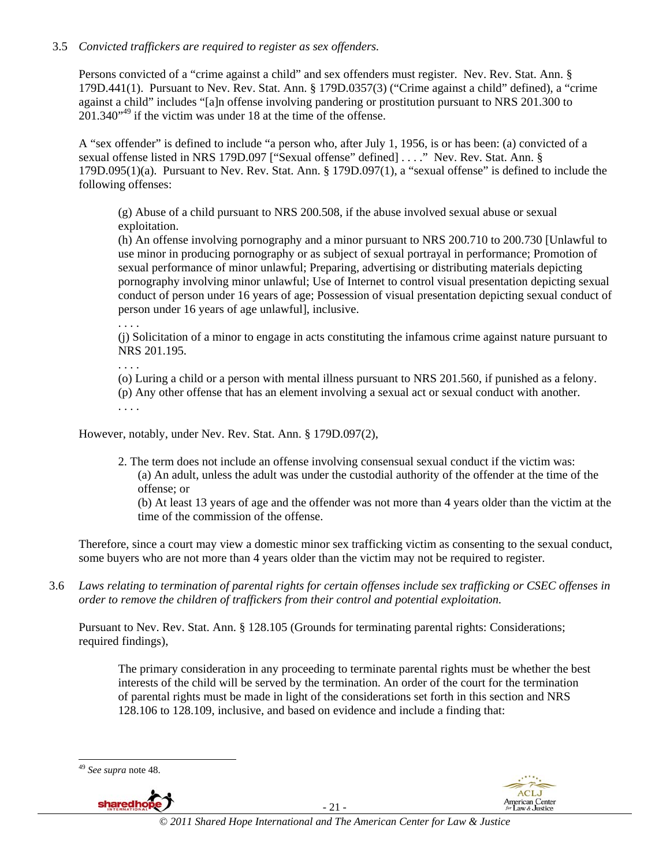# 3.5 *Convicted traffickers are required to register as sex offenders.*

Persons convicted of a "crime against a child" and sex offenders must register. Nev. Rev. Stat. Ann. § 179D.441(1). Pursuant to Nev. Rev. Stat. Ann. § 179D.0357(3) ("Crime against a child" defined), a "crime against a child" includes "[a]n offense involving pandering or prostitution pursuant to NRS 201.300 to  $201.340^{949}$  if the victim was under 18 at the time of the offense.

A "sex offender" is defined to include "a person who, after July 1, 1956, is or has been: (a) convicted of a sexual offense listed in NRS 179D.097 ["Sexual offense" defined] . . . ." Nev. Rev. Stat. Ann. § 179D.095(1)(a). Pursuant to Nev. Rev. Stat. Ann. § 179D.097(1), a "sexual offense" is defined to include the following offenses:

(g) Abuse of a child pursuant to NRS 200.508, if the abuse involved sexual abuse or sexual exploitation.

(h) An offense involving pornography and a minor pursuant to NRS 200.710 to 200.730 [Unlawful to use minor in producing pornography or as subject of sexual portrayal in performance; Promotion of sexual performance of minor unlawful; Preparing, advertising or distributing materials depicting pornography involving minor unlawful; Use of Internet to control visual presentation depicting sexual conduct of person under 16 years of age; Possession of visual presentation depicting sexual conduct of person under 16 years of age unlawful], inclusive.

. . . .

(j) Solicitation of a minor to engage in acts constituting the infamous crime against nature pursuant to NRS 201.195.

. . . .

(o) Luring a child or a person with mental illness pursuant to NRS 201.560, if punished as a felony.

(p) Any other offense that has an element involving a sexual act or sexual conduct with another. . . . .

However, notably, under Nev. Rev. Stat. Ann. § 179D.097(2),

2. The term does not include an offense involving consensual sexual conduct if the victim was: (a) An adult, unless the adult was under the custodial authority of the offender at the time of the offense; or

(b) At least 13 years of age and the offender was not more than 4 years older than the victim at the time of the commission of the offense.

Therefore, since a court may view a domestic minor sex trafficking victim as consenting to the sexual conduct, some buyers who are not more than 4 years older than the victim may not be required to register.

3.6 *Laws relating to termination of parental rights for certain offenses include sex trafficking or CSEC offenses in order to remove the children of traffickers from their control and potential exploitation.*

Pursuant to Nev. Rev. Stat. Ann. § 128.105 (Grounds for terminating parental rights: Considerations; required findings),

The primary consideration in any proceeding to terminate parental rights must be whether the best interests of the child will be served by the termination. An order of the court for the termination of parental rights must be made in light of the considerations set forth in this section and NRS 128.106 to 128.109, inclusive, and based on evidence and include a finding that:

 $\overline{\phantom{a}}$ 



- 21 -



<sup>49</sup> *See supra* note 48.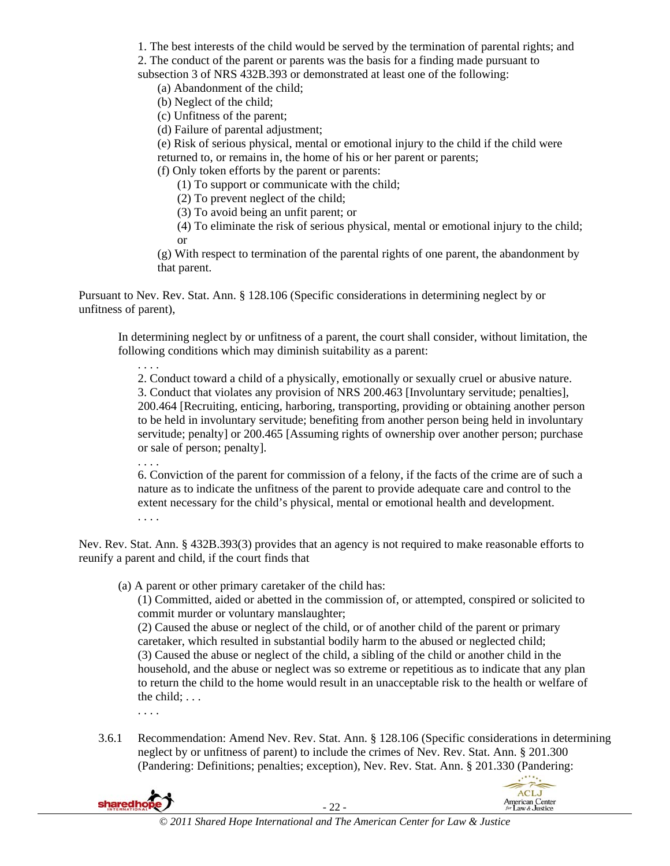1. The best interests of the child would be served by the termination of parental rights; and

2. The conduct of the parent or parents was the basis for a finding made pursuant to

subsection 3 of NRS 432B.393 or demonstrated at least one of the following:

(a) Abandonment of the child;

(b) Neglect of the child;

(c) Unfitness of the parent;

(d) Failure of parental adjustment;

(e) Risk of serious physical, mental or emotional injury to the child if the child were returned to, or remains in, the home of his or her parent or parents;

(f) Only token efforts by the parent or parents:

(1) To support or communicate with the child;

(2) To prevent neglect of the child;

(3) To avoid being an unfit parent; or

(4) To eliminate the risk of serious physical, mental or emotional injury to the child; or

(g) With respect to termination of the parental rights of one parent, the abandonment by that parent.

Pursuant to Nev. Rev. Stat. Ann. § 128.106 (Specific considerations in determining neglect by or unfitness of parent),

In determining neglect by or unfitness of a parent, the court shall consider, without limitation, the following conditions which may diminish suitability as a parent:

2. Conduct toward a child of a physically, emotionally or sexually cruel or abusive nature. 3. Conduct that violates any provision of NRS 200.463 [Involuntary servitude; penalties], 200.464 [Recruiting, enticing, harboring, transporting, providing or obtaining another person to be held in involuntary servitude; benefiting from another person being held in involuntary servitude; penalty] or 200.465 [Assuming rights of ownership over another person; purchase or sale of person; penalty].

. . . .

. . . .

6. Conviction of the parent for commission of a felony, if the facts of the crime are of such a nature as to indicate the unfitness of the parent to provide adequate care and control to the extent necessary for the child's physical, mental or emotional health and development. . . . .

Nev. Rev. Stat. Ann. § 432B.393(3) provides that an agency is not required to make reasonable efforts to reunify a parent and child, if the court finds that

(a) A parent or other primary caretaker of the child has:

(1) Committed, aided or abetted in the commission of, or attempted, conspired or solicited to commit murder or voluntary manslaughter;

(2) Caused the abuse or neglect of the child, or of another child of the parent or primary caretaker, which resulted in substantial bodily harm to the abused or neglected child; (3) Caused the abuse or neglect of the child, a sibling of the child or another child in the household, and the abuse or neglect was so extreme or repetitious as to indicate that any plan to return the child to the home would result in an unacceptable risk to the health or welfare of the child; . . .

- . . . .
- 3.6.1 Recommendation: Amend Nev. Rev. Stat. Ann. § 128.106 (Specific considerations in determining neglect by or unfitness of parent) to include the crimes of Nev. Rev. Stat. Ann. § 201.300 (Pandering: Definitions; penalties; exception), Nev. Rev. Stat. Ann. § 201.330 (Pandering:

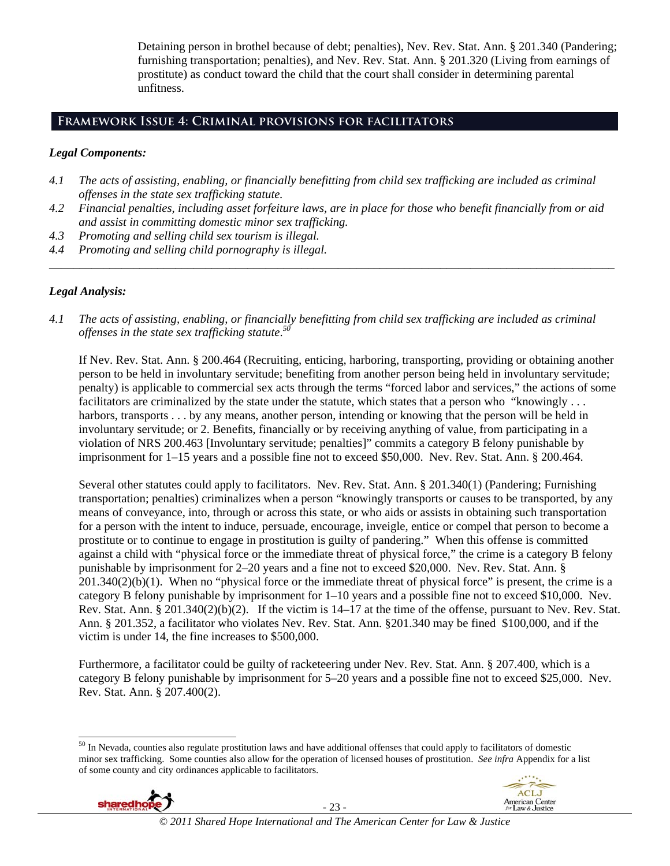Detaining person in brothel because of debt; penalties), Nev. Rev. Stat. Ann. § 201.340 (Pandering; furnishing transportation; penalties), and Nev. Rev. Stat. Ann. § 201.320 (Living from earnings of prostitute) as conduct toward the child that the court shall consider in determining parental unfitness.

# **Framework Issue 4: Criminal provisions for facilitators**

#### *Legal Components:*

- *4.1 The acts of assisting, enabling, or financially benefitting from child sex trafficking are included as criminal offenses in the state sex trafficking statute.*
- *4.2 Financial penalties, including asset forfeiture laws, are in place for those who benefit financially from or aid and assist in committing domestic minor sex trafficking.*

*\_\_\_\_\_\_\_\_\_\_\_\_\_\_\_\_\_\_\_\_\_\_\_\_\_\_\_\_\_\_\_\_\_\_\_\_\_\_\_\_\_\_\_\_\_\_\_\_\_\_\_\_\_\_\_\_\_\_\_\_\_\_\_\_\_\_\_\_\_\_\_\_\_\_\_\_\_\_\_\_\_\_\_\_\_\_\_\_\_\_\_\_\_\_* 

- *4.3 Promoting and selling child sex tourism is illegal.*
- *4.4 Promoting and selling child pornography is illegal.*

# *Legal Analysis:*

*4.1 The acts of assisting, enabling, or financially benefitting from child sex trafficking are included as criminal offenses in the state sex trafficking statute*. *50*

If Nev. Rev. Stat. Ann. § 200.464 (Recruiting, enticing, harboring, transporting, providing or obtaining another person to be held in involuntary servitude; benefiting from another person being held in involuntary servitude; penalty) is applicable to commercial sex acts through the terms "forced labor and services," the actions of some facilitators are criminalized by the state under the statute, which states that a person who "knowingly . . . harbors, transports . . . by any means, another person, intending or knowing that the person will be held in involuntary servitude; or 2. Benefits, financially or by receiving anything of value, from participating in a violation of NRS 200.463 [Involuntary servitude; penalties]" commits a category B felony punishable by imprisonment for 1–15 years and a possible fine not to exceed \$50,000. Nev. Rev. Stat. Ann. § 200.464.

Several other statutes could apply to facilitators. Nev. Rev. Stat. Ann. § 201.340(1) (Pandering; Furnishing transportation; penalties) criminalizes when a person "knowingly transports or causes to be transported, by any means of conveyance, into, through or across this state, or who aids or assists in obtaining such transportation for a person with the intent to induce, persuade, encourage, inveigle, entice or compel that person to become a prostitute or to continue to engage in prostitution is guilty of pandering." When this offense is committed against a child with "physical force or the immediate threat of physical force," the crime is a category B felony punishable by imprisonment for 2–20 years and a fine not to exceed \$20,000. Nev. Rev. Stat. Ann. §  $201.340(2)(b)(1)$ . When no "physical force or the immediate threat of physical force" is present, the crime is a category B felony punishable by imprisonment for 1–10 years and a possible fine not to exceed \$10,000. Nev. Rev. Stat. Ann. § 201.340(2)(b)(2). If the victim is 14–17 at the time of the offense, pursuant to Nev. Rev. Stat. Ann. § 201.352, a facilitator who violates Nev. Rev. Stat. Ann. §201.340 may be fined \$100,000, and if the victim is under 14, the fine increases to \$500,000.

Furthermore, a facilitator could be guilty of racketeering under Nev. Rev. Stat. Ann. § 207.400, which is a category B felony punishable by imprisonment for 5–20 years and a possible fine not to exceed \$25,000. Nev. Rev. Stat. Ann. § 207.400(2).

 $50$  In Nevada, counties also regulate prostitution laws and have additional offenses that could apply to facilitators of domestic minor sex trafficking. Some counties also allow for the operation of licensed houses of prostitution. *See infra* Appendix for a list of some county and city ordinances applicable to facilitators.



 $\overline{\phantom{a}}$ 

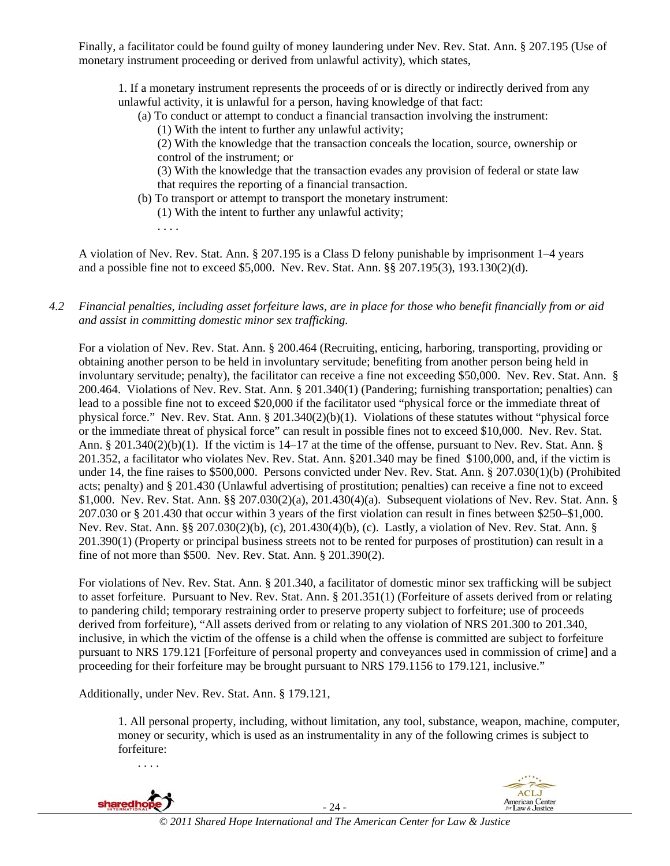Finally, a facilitator could be found guilty of money laundering under Nev. Rev. Stat. Ann. § 207.195 (Use of monetary instrument proceeding or derived from unlawful activity), which states,

1. If a monetary instrument represents the proceeds of or is directly or indirectly derived from any unlawful activity, it is unlawful for a person, having knowledge of that fact:

- (a) To conduct or attempt to conduct a financial transaction involving the instrument:
	- (1) With the intent to further any unlawful activity;

(2) With the knowledge that the transaction conceals the location, source, ownership or control of the instrument; or

(3) With the knowledge that the transaction evades any provision of federal or state law that requires the reporting of a financial transaction.

- (b) To transport or attempt to transport the monetary instrument:
	- (1) With the intent to further any unlawful activity;
	- . . . .

A violation of Nev. Rev. Stat. Ann. § 207.195 is a Class D felony punishable by imprisonment 1–4 years and a possible fine not to exceed \$5,000. Nev. Rev. Stat. Ann. §§ 207.195(3), 193.130(2)(d).

### *4.2 Financial penalties, including asset forfeiture laws, are in place for those who benefit financially from or aid and assist in committing domestic minor sex trafficking.*

For a violation of Nev. Rev. Stat. Ann. § 200.464 (Recruiting, enticing, harboring, transporting, providing or obtaining another person to be held in involuntary servitude; benefiting from another person being held in involuntary servitude; penalty), the facilitator can receive a fine not exceeding \$50,000. Nev. Rev. Stat. Ann. § 200.464. Violations of Nev. Rev. Stat. Ann. § 201.340(1) (Pandering; furnishing transportation; penalties) can lead to a possible fine not to exceed \$20,000 if the facilitator used "physical force or the immediate threat of physical force." Nev. Rev. Stat. Ann. § 201.340(2)(b)(1). Violations of these statutes without "physical force or the immediate threat of physical force" can result in possible fines not to exceed \$10,000. Nev. Rev. Stat. Ann. § 201.340(2)(b)(1). If the victim is 14–17 at the time of the offense, pursuant to Nev. Rev. Stat. Ann. § 201.352, a facilitator who violates Nev. Rev. Stat. Ann. §201.340 may be fined \$100,000, and, if the victim is under 14, the fine raises to \$500,000. Persons convicted under Nev. Rev. Stat. Ann. § 207.030(1)(b) (Prohibited acts; penalty) and § 201.430 (Unlawful advertising of prostitution; penalties) can receive a fine not to exceed \$1,000. Nev. Rev. Stat. Ann. §§ 207.030(2)(a), 201.430(4)(a). Subsequent violations of Nev. Rev. Stat. Ann. § 207.030 or § 201.430 that occur within 3 years of the first violation can result in fines between \$250–\$1,000. Nev. Rev. Stat. Ann. §§ 207.030(2)(b), (c), 201.430(4)(b), (c). Lastly, a violation of Nev. Rev. Stat. Ann. § 201.390(1) (Property or principal business streets not to be rented for purposes of prostitution) can result in a fine of not more than \$500. Nev. Rev. Stat. Ann. § 201.390(2).

For violations of Nev. Rev. Stat. Ann. § 201.340, a facilitator of domestic minor sex trafficking will be subject to asset forfeiture. Pursuant to Nev. Rev. Stat. Ann. § 201.351(1) (Forfeiture of assets derived from or relating to pandering child; temporary restraining order to preserve property subject to forfeiture; use of proceeds derived from forfeiture), "All assets derived from or relating to any violation of NRS 201.300 to 201.340, inclusive, in which the victim of the offense is a child when the offense is committed are subject to forfeiture pursuant to NRS 179.121 [Forfeiture of personal property and conveyances used in commission of crime] and a proceeding for their forfeiture may be brought pursuant to NRS 179.1156 to 179.121, inclusive."

Additionally, under Nev. Rev. Stat. Ann. § 179.121,

. . . .

1. All personal property, including, without limitation, any tool, substance, weapon, machine, computer, money or security, which is used as an instrumentality in any of the following crimes is subject to forfeiture:

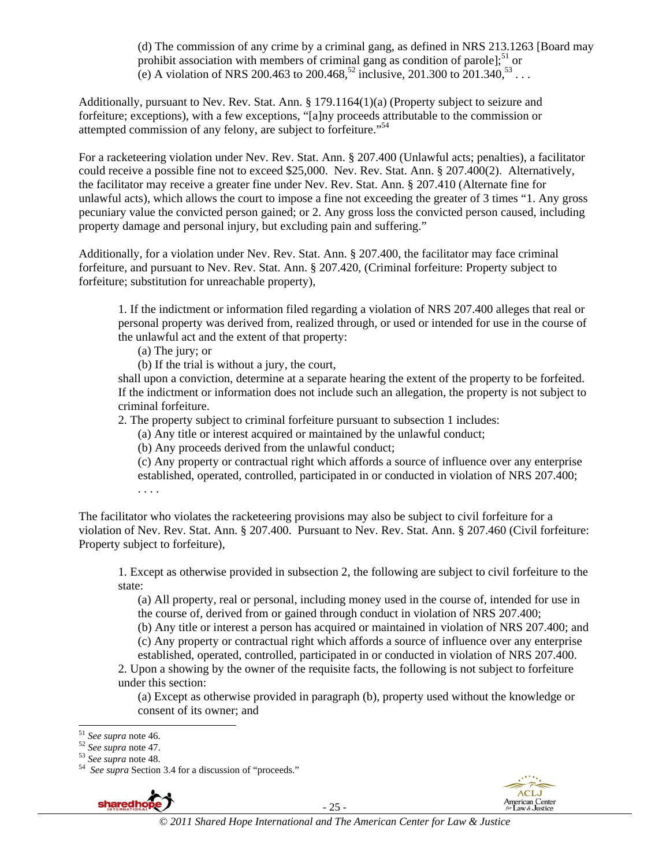(d) The commission of any crime by a criminal gang, as defined in NRS 213.1263 [Board may prohibit association with members of criminal gang as condition of parole];<sup>51</sup> or (e) A violation of NRS 200.463 to 200.468,<sup>52</sup> inclusive, 201.300 to 201.340,<sup>53</sup> . . .

Additionally, pursuant to Nev. Rev. Stat. Ann. § 179.1164(1)(a) (Property subject to seizure and forfeiture; exceptions), with a few exceptions, "[a]ny proceeds attributable to the commission or attempted commission of any felony, are subject to forfeiture."54

For a racketeering violation under Nev. Rev. Stat. Ann. § 207.400 (Unlawful acts; penalties), a facilitator could receive a possible fine not to exceed \$25,000. Nev. Rev. Stat. Ann. § 207.400(2). Alternatively, the facilitator may receive a greater fine under Nev. Rev. Stat. Ann. § 207.410 (Alternate fine for unlawful acts), which allows the court to impose a fine not exceeding the greater of 3 times "1. Any gross pecuniary value the convicted person gained; or 2. Any gross loss the convicted person caused, including property damage and personal injury, but excluding pain and suffering."

Additionally, for a violation under Nev. Rev. Stat. Ann. § 207.400, the facilitator may face criminal forfeiture, and pursuant to Nev. Rev. Stat. Ann. § 207.420, (Criminal forfeiture: Property subject to forfeiture; substitution for unreachable property),

1. If the indictment or information filed regarding a violation of NRS 207.400 alleges that real or personal property was derived from, realized through, or used or intended for use in the course of the unlawful act and the extent of that property:

(a) The jury; or

(b) If the trial is without a jury, the court,

shall upon a conviction, determine at a separate hearing the extent of the property to be forfeited. If the indictment or information does not include such an allegation, the property is not subject to criminal forfeiture.

2. The property subject to criminal forfeiture pursuant to subsection 1 includes:

(a) Any title or interest acquired or maintained by the unlawful conduct;

(b) Any proceeds derived from the unlawful conduct;

(c) Any property or contractual right which affords a source of influence over any enterprise established, operated, controlled, participated in or conducted in violation of NRS 207.400; . . . .

The facilitator who violates the racketeering provisions may also be subject to civil forfeiture for a violation of Nev. Rev. Stat. Ann. § 207.400. Pursuant to Nev. Rev. Stat. Ann. § 207.460 (Civil forfeiture: Property subject to forfeiture),

1. Except as otherwise provided in subsection 2, the following are subject to civil forfeiture to the state:

(a) All property, real or personal, including money used in the course of, intended for use in the course of, derived from or gained through conduct in violation of NRS 207.400;

(b) Any title or interest a person has acquired or maintained in violation of NRS 207.400; and

(c) Any property or contractual right which affords a source of influence over any enterprise

established, operated, controlled, participated in or conducted in violation of NRS 207.400. 2. Upon a showing by the owner of the requisite facts, the following is not subject to forfeiture under this section:

(a) Except as otherwise provided in paragraph (b), property used without the knowledge or consent of its owner; and

<sup>51</sup> *See supra* note 46. 52 *See supra* note 47. 53 *See supra* note 48. 54 *See supra* Section 3.4 for a discussion of "proceeds."



- 25 -



 $\overline{a}$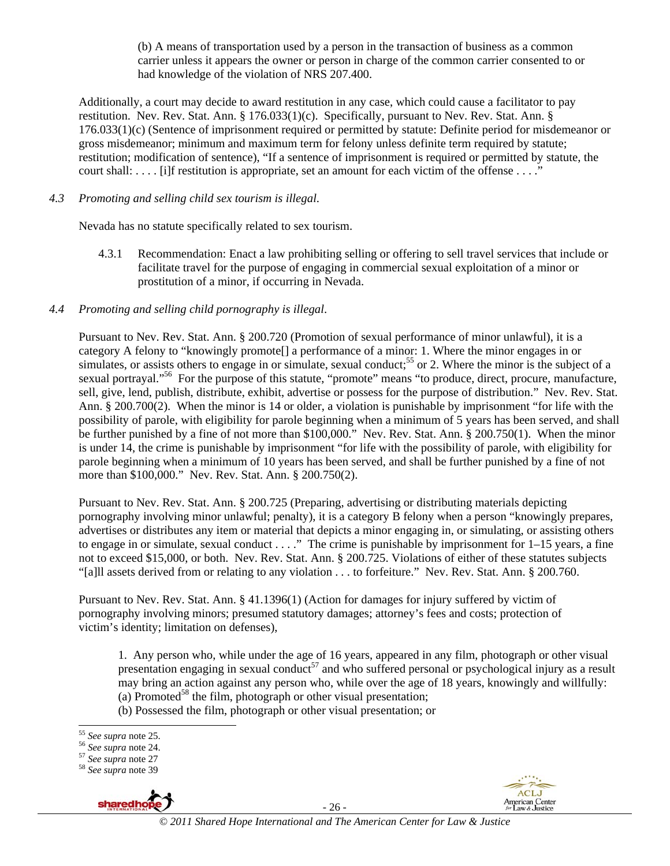(b) A means of transportation used by a person in the transaction of business as a common carrier unless it appears the owner or person in charge of the common carrier consented to or had knowledge of the violation of NRS 207.400.

Additionally, a court may decide to award restitution in any case, which could cause a facilitator to pay restitution. Nev. Rev. Stat. Ann. § 176.033(1)(c). Specifically, pursuant to Nev. Rev. Stat. Ann. § 176.033(1)(c) (Sentence of imprisonment required or permitted by statute: Definite period for misdemeanor or gross misdemeanor; minimum and maximum term for felony unless definite term required by statute; restitution; modification of sentence), "If a sentence of imprisonment is required or permitted by statute, the court shall: . . . . [i]f restitution is appropriate, set an amount for each victim of the offense . . . ."

## *4.3 Promoting and selling child sex tourism is illegal*.

Nevada has no statute specifically related to sex tourism.

4.3.1 Recommendation: Enact a law prohibiting selling or offering to sell travel services that include or facilitate travel for the purpose of engaging in commercial sexual exploitation of a minor or prostitution of a minor, if occurring in Nevada.

## *4.4 Promoting and selling child pornography is illegal*.

Pursuant to Nev. Rev. Stat. Ann. § 200.720 (Promotion of sexual performance of minor unlawful), it is a category A felony to "knowingly promote[] a performance of a minor: 1. Where the minor engages in or simulates, or assists others to engage in or simulate, sexual conduct;<sup>55</sup> or 2. Where the minor is the subject of a sexual portrayal."<sup>56</sup> For the purpose of this statute, "promote" means "to produce, direct, procure, manufacture, sell, give, lend, publish, distribute, exhibit, advertise or possess for the purpose of distribution." Nev. Rev. Stat. Ann. § 200.700(2). When the minor is 14 or older, a violation is punishable by imprisonment "for life with the possibility of parole, with eligibility for parole beginning when a minimum of 5 years has been served, and shall be further punished by a fine of not more than \$100,000." Nev. Rev. Stat. Ann. § 200.750(1). When the minor is under 14, the crime is punishable by imprisonment "for life with the possibility of parole, with eligibility for parole beginning when a minimum of 10 years has been served, and shall be further punished by a fine of not more than \$100,000." Nev. Rev. Stat. Ann. § 200.750(2).

Pursuant to Nev. Rev. Stat. Ann. § 200.725 (Preparing, advertising or distributing materials depicting pornography involving minor unlawful; penalty), it is a category B felony when a person "knowingly prepares, advertises or distributes any item or material that depicts a minor engaging in, or simulating, or assisting others to engage in or simulate, sexual conduct . . . ." The crime is punishable by imprisonment for 1–15 years, a fine not to exceed \$15,000, or both. Nev. Rev. Stat. Ann. § 200.725. Violations of either of these statutes subjects "[a]ll assets derived from or relating to any violation . . . to forfeiture." Nev. Rev. Stat. Ann. § 200.760.

Pursuant to Nev. Rev. Stat. Ann. § 41.1396(1) (Action for damages for injury suffered by victim of pornography involving minors; presumed statutory damages; attorney's fees and costs; protection of victim's identity; limitation on defenses),

1. Any person who, while under the age of 16 years, appeared in any film, photograph or other visual presentation engaging in sexual conduct<sup>57</sup> and who suffered personal or psychological injury as a result may bring an action against any person who, while over the age of 18 years, knowingly and willfully: (a) Promoted<sup>58</sup> the film, photograph or other visual presentation;

(b) Possessed the film, photograph or other visual presentation; or



- 26 -



<sup>&</sup>lt;sup>55</sup> See supra note 25.

<sup>55</sup> *See supra* note 25. 56 *See supra* note 24. 57 *See supra* note 27 58 *See supra* note 39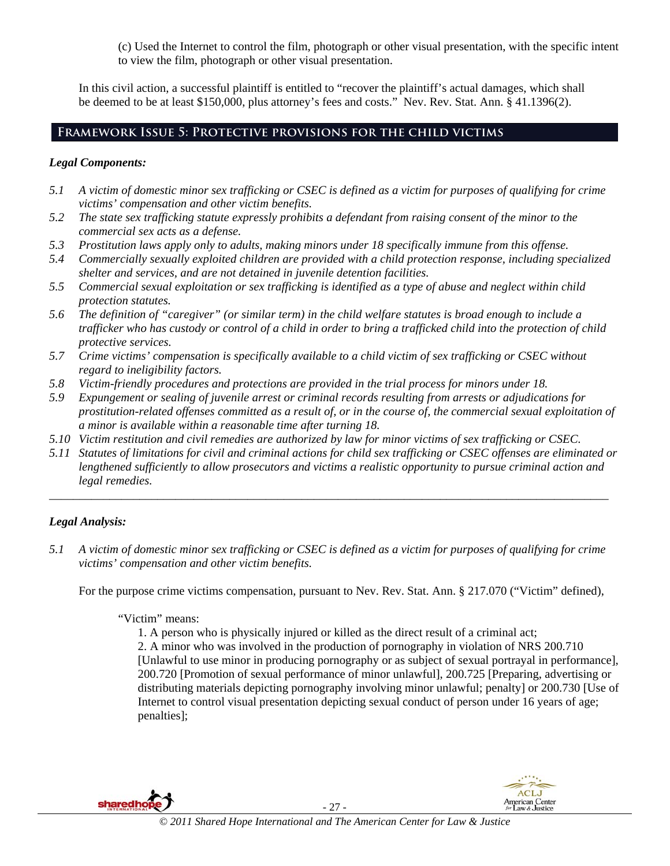(c) Used the Internet to control the film, photograph or other visual presentation, with the specific intent to view the film, photograph or other visual presentation.

In this civil action, a successful plaintiff is entitled to "recover the plaintiff's actual damages, which shall be deemed to be at least \$150,000, plus attorney's fees and costs." Nev. Rev. Stat. Ann. § 41.1396(2).

# **Framework Issue 5: Protective provisions for the child victims**

## *Legal Components:*

- *5.1 A victim of domestic minor sex trafficking or CSEC is defined as a victim for purposes of qualifying for crime victims' compensation and other victim benefits.*
- *5.2 The state sex trafficking statute expressly prohibits a defendant from raising consent of the minor to the commercial sex acts as a defense.*
- *5.3 Prostitution laws apply only to adults, making minors under 18 specifically immune from this offense.*
- *5.4 Commercially sexually exploited children are provided with a child protection response, including specialized shelter and services, and are not detained in juvenile detention facilities.*
- *5.5 Commercial sexual exploitation or sex trafficking is identified as a type of abuse and neglect within child protection statutes.*
- *5.6 The definition of "caregiver" (or similar term) in the child welfare statutes is broad enough to include a trafficker who has custody or control of a child in order to bring a trafficked child into the protection of child protective services.*
- *5.7 Crime victims' compensation is specifically available to a child victim of sex trafficking or CSEC without regard to ineligibility factors.*
- *5.8 Victim-friendly procedures and protections are provided in the trial process for minors under 18.*
- *5.9 Expungement or sealing of juvenile arrest or criminal records resulting from arrests or adjudications for prostitution-related offenses committed as a result of, or in the course of, the commercial sexual exploitation of a minor is available within a reasonable time after turning 18.*
- *5.10 Victim restitution and civil remedies are authorized by law for minor victims of sex trafficking or CSEC.*
- *5.11 Statutes of limitations for civil and criminal actions for child sex trafficking or CSEC offenses are eliminated or lengthened sufficiently to allow prosecutors and victims a realistic opportunity to pursue criminal action and legal remedies.*

*\_\_\_\_\_\_\_\_\_\_\_\_\_\_\_\_\_\_\_\_\_\_\_\_\_\_\_\_\_\_\_\_\_\_\_\_\_\_\_\_\_\_\_\_\_\_\_\_\_\_\_\_\_\_\_\_\_\_\_\_\_\_\_\_\_\_\_\_\_\_\_\_\_\_\_\_\_\_\_\_\_\_\_\_\_\_\_\_\_\_\_\_\_* 

# *Legal Analysis:*

*5.1 A victim of domestic minor sex trafficking or CSEC is defined as a victim for purposes of qualifying for crime victims' compensation and other victim benefits.* 

For the purpose crime victims compensation, pursuant to Nev. Rev. Stat. Ann. § 217.070 ("Victim" defined),

#### "Victim" means:

1. A person who is physically injured or killed as the direct result of a criminal act;

2. A minor who was involved in the production of pornography in violation of NRS 200.710 [Unlawful to use minor in producing pornography or as subject of sexual portrayal in performance], 200.720 [Promotion of sexual performance of minor unlawful], 200.725 [Preparing, advertising or distributing materials depicting pornography involving minor unlawful; penalty] or 200.730 [Use of Internet to control visual presentation depicting sexual conduct of person under 16 years of age; penalties];

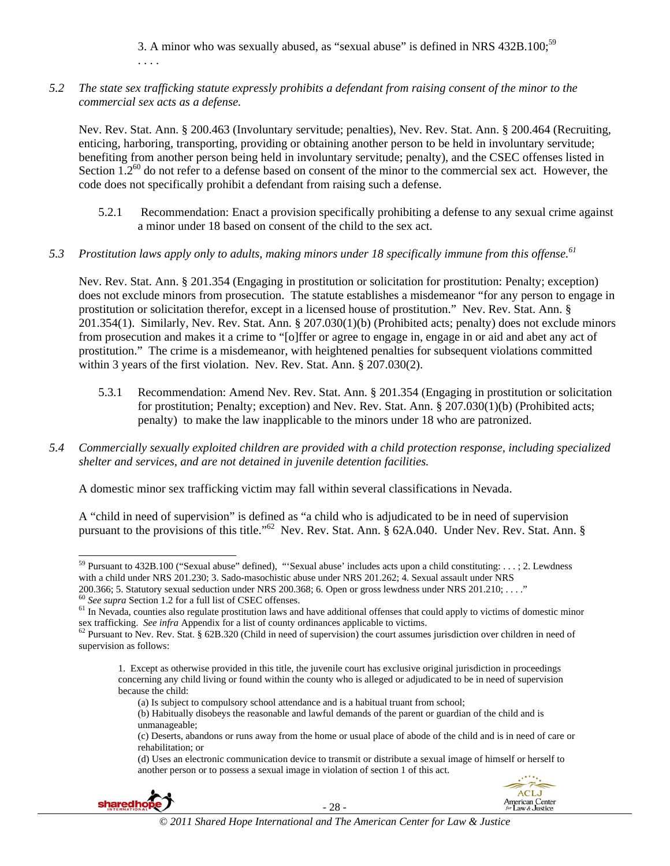3. A minor who was sexually abused, as "sexual abuse" is defined in NRS 432B.100;59 . . . .

*5.2 The state sex trafficking statute expressly prohibits a defendant from raising consent of the minor to the commercial sex acts as a defense.* 

Nev. Rev. Stat. Ann. § 200.463 (Involuntary servitude; penalties), Nev. Rev. Stat. Ann. § 200.464 (Recruiting, enticing, harboring, transporting, providing or obtaining another person to be held in involuntary servitude; benefiting from another person being held in involuntary servitude; penalty), and the CSEC offenses listed in Section  $1.2^{60}$  do not refer to a defense based on consent of the minor to the commercial sex act. However, the code does not specifically prohibit a defendant from raising such a defense.

- 5.2.1 Recommendation: Enact a provision specifically prohibiting a defense to any sexual crime against a minor under 18 based on consent of the child to the sex act.
- 5.3 Prostitution laws apply only to adults, making minors under 18 specifically immune from this offense.<sup>61</sup>

Nev. Rev. Stat. Ann. § 201.354 (Engaging in prostitution or solicitation for prostitution: Penalty; exception) does not exclude minors from prosecution. The statute establishes a misdemeanor "for any person to engage in prostitution or solicitation therefor, except in a licensed house of prostitution." Nev. Rev. Stat. Ann. § 201.354(1). Similarly, Nev. Rev. Stat. Ann. § 207.030(1)(b) (Prohibited acts; penalty) does not exclude minors from prosecution and makes it a crime to "[o]ffer or agree to engage in, engage in or aid and abet any act of prostitution." The crime is a misdemeanor, with heightened penalties for subsequent violations committed within 3 years of the first violation. Nev. Rev. Stat. Ann. § 207.030(2).

- 5.3.1 Recommendation: Amend Nev. Rev. Stat. Ann. § 201.354 (Engaging in prostitution or solicitation for prostitution; Penalty; exception) and Nev. Rev. Stat. Ann. § 207.030(1)(b) (Prohibited acts; penalty) to make the law inapplicable to the minors under 18 who are patronized.
- *5.4 Commercially sexually exploited children are provided with a child protection response, including specialized shelter and services, and are not detained in juvenile detention facilities.*

A domestic minor sex trafficking victim may fall within several classifications in Nevada.

A "child in need of supervision" is defined as "a child who is adjudicated to be in need of supervision pursuant to the provisions of this title."<sup>62</sup> Nev. Rev. Stat. Ann. § 62A.040. Under Nev. Rev. Stat. Ann. §

<sup>(</sup>d) Uses an electronic communication device to transmit or distribute a sexual image of himself or herself to another person or to possess a sexual image in violation of section 1 of this act.



 $\overline{a}$ 



<sup>&</sup>lt;sup>59</sup> Pursuant to 432B.100 ("Sexual abuse" defined), "'Sexual abuse' includes acts upon a child constituting: . . . ; 2. Lewdness with a child under NRS 201.230; 3. Sado-masochistic abuse under NRS 201.262;  $\hat{4}$ . Sexual assault under NRS 200.366; 5. Statutory sexual seduction under NRS 200.368; 6. Open or gross lewdness under NRS 201.210; ....

 $\frac{60}{2}$  See supra Section 1.2 for a full list of CSEC offenses.<br><sup>61</sup> In Nevada, counties also regulate prostitution laws and have additional offenses that could apply to victims of domestic minor sex trafficking. See infra Appendix for a list of county ordinances applicable to victims.<br><sup>62</sup> Pursuant to Nev. Rev. Stat. § 62B.320 (Child in need of supervision) the court assumes jurisdiction over children in need of

supervision as follows:

<sup>1.</sup> Except as otherwise provided in this title, the juvenile court has exclusive original jurisdiction in proceedings concerning any child living or found within the county who is alleged or adjudicated to be in need of supervision because the child:

<sup>(</sup>a) Is subject to compulsory school attendance and is a habitual truant from school;

<sup>(</sup>b) Habitually disobeys the reasonable and lawful demands of the parent or guardian of the child and is unmanageable;

<sup>(</sup>c) Deserts, abandons or runs away from the home or usual place of abode of the child and is in need of care or rehabilitation; or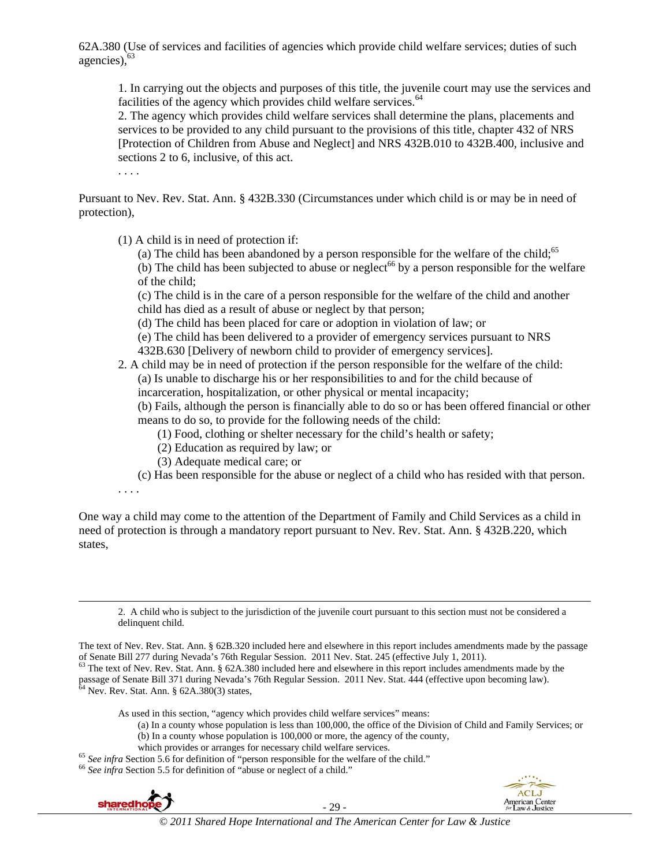62A.380 (Use of services and facilities of agencies which provide child welfare services; duties of such agencies), <sup>63</sup>

1. In carrying out the objects and purposes of this title, the juvenile court may use the services and facilities of the agency which provides child welfare services.<sup>64</sup>

2. The agency which provides child welfare services shall determine the plans, placements and services to be provided to any child pursuant to the provisions of this title, chapter 432 of NRS [Protection of Children from Abuse and Neglect] and NRS 432B.010 to 432B.400, inclusive and sections 2 to 6, inclusive, of this act.

. . . .

Pursuant to Nev. Rev. Stat. Ann. § 432B.330 (Circumstances under which child is or may be in need of protection),

(1) A child is in need of protection if:

(a) The child has been abandoned by a person responsible for the welfare of the child;<sup>65</sup> (b) The child has been subjected to abuse or neglect<sup>66</sup> by a person responsible for the welfare of the child;

(c) The child is in the care of a person responsible for the welfare of the child and another child has died as a result of abuse or neglect by that person;

(d) The child has been placed for care or adoption in violation of law; or

(e) The child has been delivered to a provider of emergency services pursuant to NRS 432B.630 [Delivery of newborn child to provider of emergency services].

#### 2. A child may be in need of protection if the person responsible for the welfare of the child: (a) Is unable to discharge his or her responsibilities to and for the child because of incarceration, hospitalization, or other physical or mental incapacity;

(b) Fails, although the person is financially able to do so or has been offered financial or other means to do so, to provide for the following needs of the child:

- (1) Food, clothing or shelter necessary for the child's health or safety;
- (2) Education as required by law; or
- (3) Adequate medical care; or

(c) Has been responsible for the abuse or neglect of a child who has resided with that person.

. . . .

 $\overline{\phantom{a}}$ 

One way a child may come to the attention of the Department of Family and Child Services as a child in need of protection is through a mandatory report pursuant to Nev. Rev. Stat. Ann. § 432B.220, which states,

2. A child who is subject to the jurisdiction of the juvenile court pursuant to this section must not be considered a delinquent child.

The text of Nev. Rev. Stat. Ann. § 62B.320 included here and elsewhere in this report includes amendments made by the passage of Senate Bill 277 during Nevada's 76th Regular Session. 2011 Nev. Stat. 245 (effective July 1,

As used in this section, "agency which provides child welfare services" means:

- (a) In a county whose population is less than 100,000, the office of the Division of Child and Family Services; or (b) In a county whose population is 100,000 or more, the agency of the county,
- 
- which provides or arranges for necessary child welfare services.<br>
<sup>65</sup> See infra Section 5.6 for definition of "person responsible for the welfare of the child."<br>
<sup>66</sup> See infra Section 5.5 for definition of "abuse or negl



- 29 -



 $^{63}$  The text of Nev. Rev. Stat. Ann. § 62A.380 included here and elsewhere in this report includes amendments made by the passage of Senate Bill 371 during Nevada's 76th Regular Session. 2011 Nev. Stat. 444 (effective upon becoming law). <sup>64</sup> Nev. Rev. Stat. Ann. § 62A.380(3) states,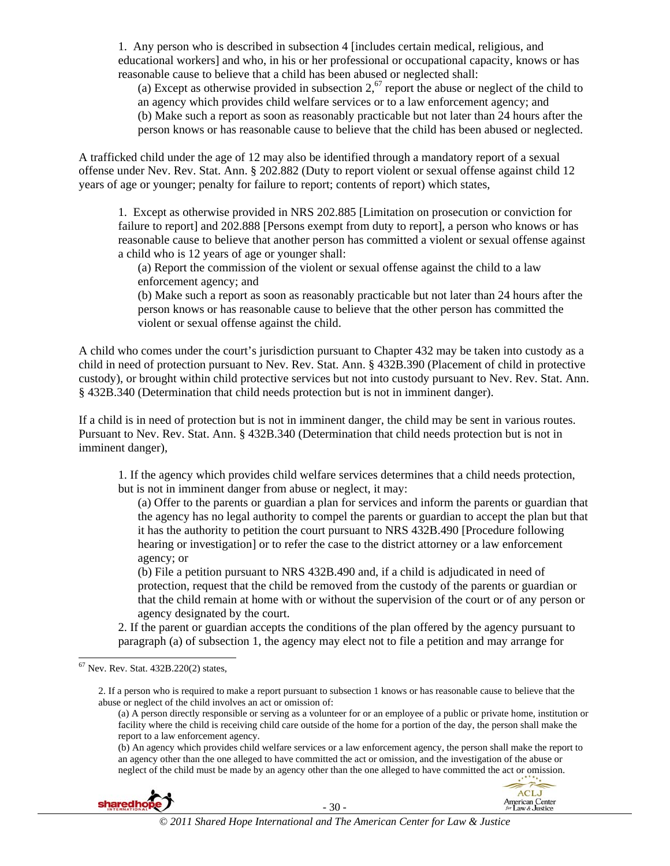1. Any person who is described in subsection 4 [includes certain medical, religious, and educational workers] and who, in his or her professional or occupational capacity, knows or has reasonable cause to believe that a child has been abused or neglected shall:

(a) Except as otherwise provided in subsection  $2<sup>67</sup>$  report the abuse or neglect of the child to an agency which provides child welfare services or to a law enforcement agency; and (b) Make such a report as soon as reasonably practicable but not later than 24 hours after the person knows or has reasonable cause to believe that the child has been abused or neglected.

A trafficked child under the age of 12 may also be identified through a mandatory report of a sexual offense under Nev. Rev. Stat. Ann. § 202.882 (Duty to report violent or sexual offense against child 12 years of age or younger; penalty for failure to report; contents of report) which states,

1. Except as otherwise provided in NRS 202.885 [Limitation on prosecution or conviction for failure to report] and 202.888 [Persons exempt from duty to report], a person who knows or has reasonable cause to believe that another person has committed a violent or sexual offense against a child who is 12 years of age or younger shall:

(a) Report the commission of the violent or sexual offense against the child to a law enforcement agency; and

(b) Make such a report as soon as reasonably practicable but not later than 24 hours after the person knows or has reasonable cause to believe that the other person has committed the violent or sexual offense against the child.

A child who comes under the court's jurisdiction pursuant to Chapter 432 may be taken into custody as a child in need of protection pursuant to Nev. Rev. Stat. Ann. § 432B.390 (Placement of child in protective custody), or brought within child protective services but not into custody pursuant to Nev. Rev. Stat. Ann. § 432B.340 (Determination that child needs protection but is not in imminent danger).

If a child is in need of protection but is not in imminent danger, the child may be sent in various routes. Pursuant to Nev. Rev. Stat. Ann. § 432B.340 (Determination that child needs protection but is not in imminent danger),

1. If the agency which provides child welfare services determines that a child needs protection, but is not in imminent danger from abuse or neglect, it may:

(a) Offer to the parents or guardian a plan for services and inform the parents or guardian that the agency has no legal authority to compel the parents or guardian to accept the plan but that it has the authority to petition the court pursuant to NRS 432B.490 [Procedure following hearing or investigation] or to refer the case to the district attorney or a law enforcement agency; or

(b) File a petition pursuant to NRS 432B.490 and, if a child is adjudicated in need of protection, request that the child be removed from the custody of the parents or guardian or that the child remain at home with or without the supervision of the court or of any person or agency designated by the court.

2. If the parent or guardian accepts the conditions of the plan offered by the agency pursuant to paragraph (a) of subsection 1, the agency may elect not to file a petition and may arrange for

 $\overline{\phantom{a}}$ 

2. If a person who is required to make a report pursuant to subsection 1 knows or has reasonable cause to believe that the abuse or neglect of the child involves an act or omission of:

(b) An agency which provides child welfare services or a law enforcement agency, the person shall make the report to an agency other than the one alleged to have committed the act or omission, and the investigation of the abuse or neglect of the child must be made by an agency other than the one alleged to have committed the act or omission.



- 30 -



 $67$  Nev. Rev. Stat.  $432B.220(2)$  states,

<sup>(</sup>a) A person directly responsible or serving as a volunteer for or an employee of a public or private home, institution or facility where the child is receiving child care outside of the home for a portion of the day, the person shall make the report to a law enforcement agency.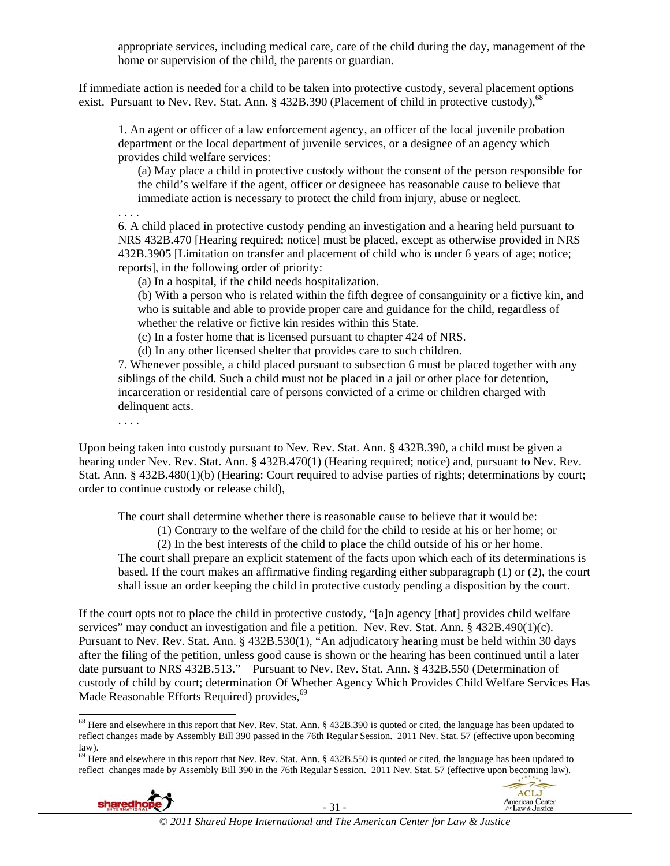appropriate services, including medical care, care of the child during the day, management of the home or supervision of the child, the parents or guardian.

If immediate action is needed for a child to be taken into protective custody, several placement options exist. Pursuant to Nev. Rev. Stat. Ann. § 432B.390 (Placement of child in protective custody),<sup>68</sup>

1. An agent or officer of a law enforcement agency, an officer of the local juvenile probation department or the local department of juvenile services, or a designee of an agency which provides child welfare services:

(a) May place a child in protective custody without the consent of the person responsible for the child's welfare if the agent, officer or designeee has reasonable cause to believe that immediate action is necessary to protect the child from injury, abuse or neglect.

6. A child placed in protective custody pending an investigation and a hearing held pursuant to NRS 432B.470 [Hearing required; notice] must be placed, except as otherwise provided in NRS 432B.3905 [Limitation on transfer and placement of child who is under 6 years of age; notice; reports], in the following order of priority:

(a) In a hospital, if the child needs hospitalization.

(b) With a person who is related within the fifth degree of consanguinity or a fictive kin, and who is suitable and able to provide proper care and guidance for the child, regardless of whether the relative or fictive kin resides within this State.

(c) In a foster home that is licensed pursuant to chapter 424 of NRS.

(d) In any other licensed shelter that provides care to such children.

7. Whenever possible, a child placed pursuant to subsection 6 must be placed together with any siblings of the child. Such a child must not be placed in a jail or other place for detention, incarceration or residential care of persons convicted of a crime or children charged with delinquent acts.

. . . .

. . . .

Upon being taken into custody pursuant to Nev. Rev. Stat. Ann. § 432B.390, a child must be given a hearing under Nev. Rev. Stat. Ann. § 432B.470(1) (Hearing required; notice) and, pursuant to Nev. Rev. Stat. Ann. § 432B.480(1)(b) (Hearing: Court required to advise parties of rights; determinations by court; order to continue custody or release child),

The court shall determine whether there is reasonable cause to believe that it would be:

(1) Contrary to the welfare of the child for the child to reside at his or her home; or

 (2) In the best interests of the child to place the child outside of his or her home. The court shall prepare an explicit statement of the facts upon which each of its determinations is based. If the court makes an affirmative finding regarding either subparagraph (1) or (2), the court shall issue an order keeping the child in protective custody pending a disposition by the court.

If the court opts not to place the child in protective custody, "[a]n agency [that] provides child welfare services" may conduct an investigation and file a petition. Nev. Rev. Stat. Ann. § 432B.490(1)(c). Pursuant to Nev. Rev. Stat. Ann. § 432B.530(1), "An adjudicatory hearing must be held within 30 days after the filing of the petition, unless good cause is shown or the hearing has been continued until a later date pursuant to NRS 432B.513." Pursuant to Nev. Rev. Stat. Ann. § 432B.550 (Determination of custody of child by court; determination Of Whether Agency Which Provides Child Welfare Services Has Made Reasonable Efforts Required) provides,<sup>69</sup>

 $69$  Here and elsewhere in this report that Nev. Rev. Stat. Ann. § 432B.550 is quoted or cited, the language has been updated to reflect changes made by Assembly Bill 390 in the 76th Regular Session. 2011 Nev. Stat. 57 (effective upon becoming law).





 $\overline{\phantom{a}}$ <sup>68</sup> Here and elsewhere in this report that Nev. Rev. Stat. Ann. § 432B.390 is quoted or cited, the language has been updated to reflect changes made by Assembly Bill 390 passed in the 76th Regular Session. 2011 Nev. Stat. 57 (effective upon becoming law).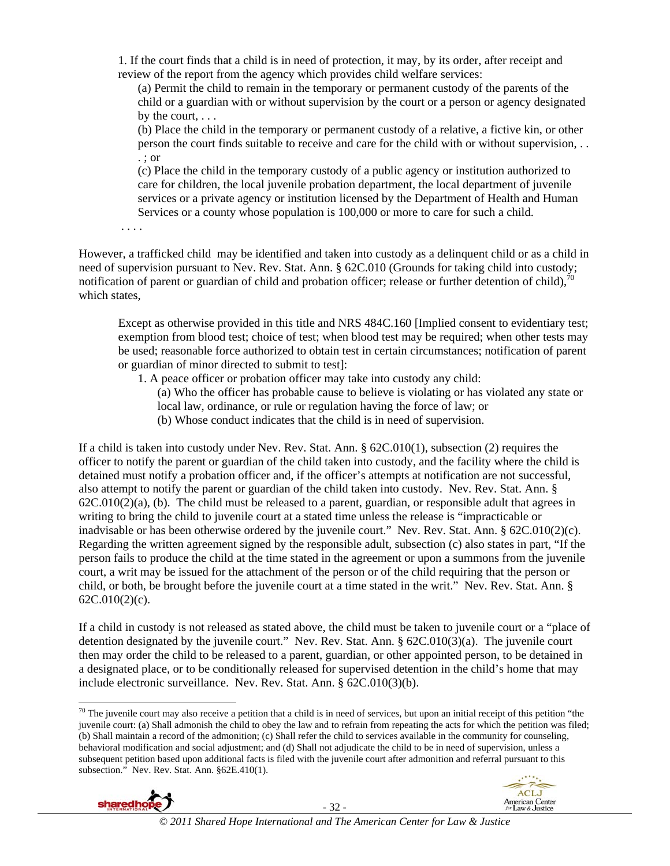1. If the court finds that a child is in need of protection, it may, by its order, after receipt and review of the report from the agency which provides child welfare services:

(a) Permit the child to remain in the temporary or permanent custody of the parents of the child or a guardian with or without supervision by the court or a person or agency designated by the court,  $\ldots$ 

(b) Place the child in the temporary or permanent custody of a relative, a fictive kin, or other person the court finds suitable to receive and care for the child with or without supervision, . . . ; or

(c) Place the child in the temporary custody of a public agency or institution authorized to care for children, the local juvenile probation department, the local department of juvenile services or a private agency or institution licensed by the Department of Health and Human Services or a county whose population is 100,000 or more to care for such a child.

. . . .

However, a trafficked child may be identified and taken into custody as a delinquent child or as a child in need of supervision pursuant to Nev. Rev. Stat. Ann. § 62C.010 (Grounds for taking child into custody; notification of parent or guardian of child and probation officer; release or further detention of child), $^{70}$ which states,

Except as otherwise provided in this title and NRS 484C.160 [Implied consent to evidentiary test; exemption from blood test; choice of test; when blood test may be required; when other tests may be used; reasonable force authorized to obtain test in certain circumstances; notification of parent or guardian of minor directed to submit to test]:

1. A peace officer or probation officer may take into custody any child:

(a) Who the officer has probable cause to believe is violating or has violated any state or local law, ordinance, or rule or regulation having the force of law; or

(b) Whose conduct indicates that the child is in need of supervision.

If a child is taken into custody under Nev. Rev. Stat. Ann. § 62C.010(1), subsection (2) requires the officer to notify the parent or guardian of the child taken into custody, and the facility where the child is detained must notify a probation officer and, if the officer's attempts at notification are not successful, also attempt to notify the parent or guardian of the child taken into custody. Nev. Rev. Stat. Ann. §  $62C.010(2)(a)$ , (b). The child must be released to a parent, guardian, or responsible adult that agrees in writing to bring the child to juvenile court at a stated time unless the release is "impracticable or inadvisable or has been otherwise ordered by the juvenile court." Nev. Rev. Stat. Ann. § 62C.010(2)(c). Regarding the written agreement signed by the responsible adult, subsection (c) also states in part, "If the person fails to produce the child at the time stated in the agreement or upon a summons from the juvenile court, a writ may be issued for the attachment of the person or of the child requiring that the person or child, or both, be brought before the juvenile court at a time stated in the writ." Nev. Rev. Stat. Ann. § 62C.010(2)(c).

If a child in custody is not released as stated above, the child must be taken to juvenile court or a "place of detention designated by the juvenile court." Nev. Rev. Stat. Ann. § 62C.010(3)(a). The juvenile court then may order the child to be released to a parent, guardian, or other appointed person, to be detained in a designated place, or to be conditionally released for supervised detention in the child's home that may include electronic surveillance. Nev. Rev. Stat. Ann. § 62C.010(3)(b).

 $70$  The juvenile court may also receive a petition that a child is in need of services, but upon an initial receipt of this petition "the juvenile court: (a) Shall admonish the child to obey the law and to refrain from repeating the acts for which the petition was filed; (b) Shall maintain a record of the admonition; (c) Shall refer the child to services available in the community for counseling, behavioral modification and social adjustment; and (d) Shall not adjudicate the child to be in need of supervision, unless a subsequent petition based upon additional facts is filed with the juvenile court after admonition and referral pursuant to this subsection." Nev. Rev. Stat. Ann. §62E.410(1).





 $\overline{\phantom{a}}$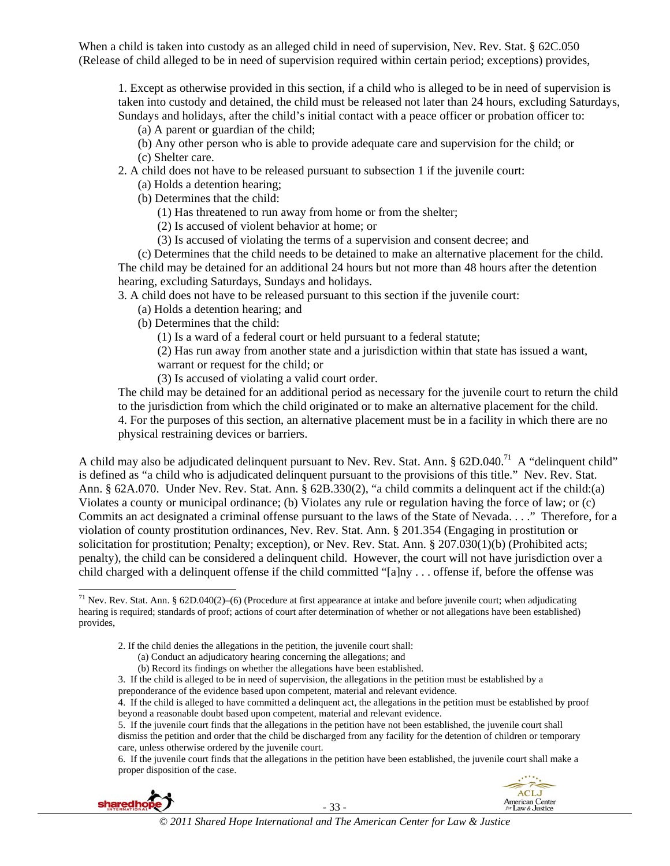When a child is taken into custody as an alleged child in need of supervision, Nev. Rev. Stat. § 62C.050 (Release of child alleged to be in need of supervision required within certain period; exceptions) provides,

1. Except as otherwise provided in this section, if a child who is alleged to be in need of supervision is taken into custody and detained, the child must be released not later than 24 hours, excluding Saturdays, Sundays and holidays, after the child's initial contact with a peace officer or probation officer to:

- (a) A parent or guardian of the child;
- (b) Any other person who is able to provide adequate care and supervision for the child; or (c) Shelter care.
- 2. A child does not have to be released pursuant to subsection 1 if the juvenile court:
	- (a) Holds a detention hearing;
	- (b) Determines that the child:
		- (1) Has threatened to run away from home or from the shelter;
		- (2) Is accused of violent behavior at home; or
		- (3) Is accused of violating the terms of a supervision and consent decree; and

(c) Determines that the child needs to be detained to make an alternative placement for the child. The child may be detained for an additional 24 hours but not more than 48 hours after the detention hearing, excluding Saturdays, Sundays and holidays.

3. A child does not have to be released pursuant to this section if the juvenile court:

- (a) Holds a detention hearing; and
- (b) Determines that the child:
	- (1) Is a ward of a federal court or held pursuant to a federal statute;
	- (2) Has run away from another state and a jurisdiction within that state has issued a want, warrant or request for the child; or
	- (3) Is accused of violating a valid court order.

The child may be detained for an additional period as necessary for the juvenile court to return the child to the jurisdiction from which the child originated or to make an alternative placement for the child. 4. For the purposes of this section, an alternative placement must be in a facility in which there are no physical restraining devices or barriers.

A child may also be adjudicated delinquent pursuant to Nev. Rev. Stat. Ann. § 62D.040.<sup>71</sup> A "delinquent child" is defined as "a child who is adjudicated delinquent pursuant to the provisions of this title." Nev. Rev. Stat. Ann. § 62A.070. Under Nev. Rev. Stat. Ann. § 62B.330(2), "a child commits a delinquent act if the child:(a) Violates a county or municipal ordinance; (b) Violates any rule or regulation having the force of law; or (c) Commits an act designated a criminal offense pursuant to the laws of the State of Nevada. . . ." Therefore, for a violation of county prostitution ordinances, Nev. Rev. Stat. Ann. § 201.354 (Engaging in prostitution or solicitation for prostitution; Penalty; exception), or Nev. Rev. Stat. Ann. § 207.030(1)(b) (Prohibited acts; penalty), the child can be considered a delinquent child. However, the court will not have jurisdiction over a child charged with a delinquent offense if the child committed "[a]ny . . . offense if, before the offense was

- 2. If the child denies the allegations in the petition, the juvenile court shall:
	- (a) Conduct an adjudicatory hearing concerning the allegations; and
	- (b) Record its findings on whether the allegations have been established.
- 3. If the child is alleged to be in need of supervision, the allegations in the petition must be established by a preponderance of the evidence based upon competent, material and relevant evidence.
- 4. If the child is alleged to have committed a delinquent act, the allegations in the petition must be established by proof beyond a reasonable doubt based upon competent, material and relevant evidence.

5. If the juvenile court finds that the allegations in the petition have not been established, the juvenile court shall dismiss the petition and order that the child be discharged from any facility for the detention of children or temporary care, unless otherwise ordered by the juvenile court.

6. If the juvenile court finds that the allegations in the petition have been established, the juvenile court shall make a proper disposition of the case.



 $\overline{\phantom{a}}$ 



 $71$  Nev. Rev. Stat. Ann. § 62D.040(2)–(6) (Procedure at first appearance at intake and before juvenile court; when adjudicating hearing is required; standards of proof; actions of court after determination of whether or not allegations have been established) provides,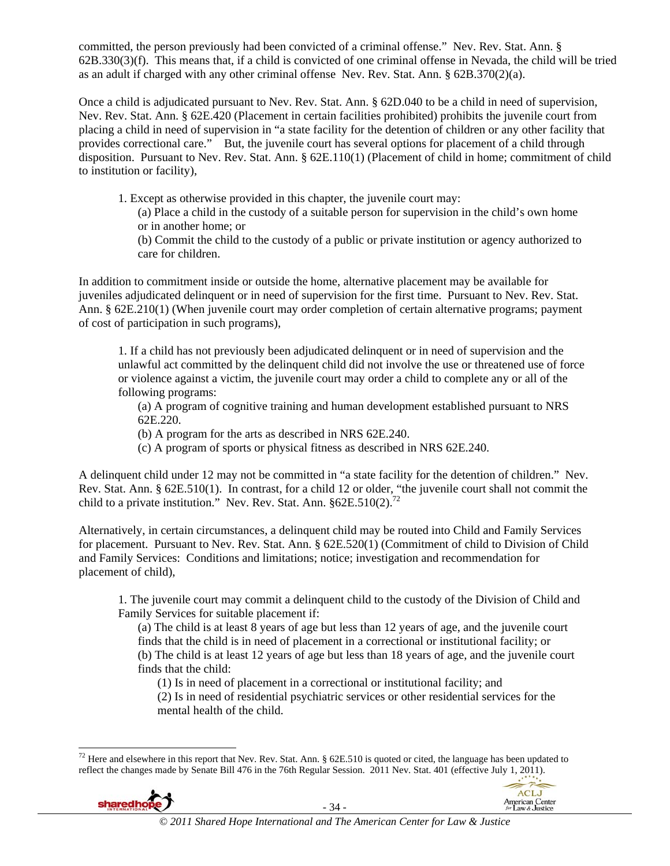committed, the person previously had been convicted of a criminal offense." Nev. Rev. Stat. Ann. § 62B.330(3)(f). This means that, if a child is convicted of one criminal offense in Nevada, the child will be tried as an adult if charged with any other criminal offense Nev. Rev. Stat. Ann. § 62B.370(2)(a).

Once a child is adjudicated pursuant to Nev. Rev. Stat. Ann. § 62D.040 to be a child in need of supervision, Nev. Rev. Stat. Ann. § 62E.420 (Placement in certain facilities prohibited) prohibits the juvenile court from placing a child in need of supervision in "a state facility for the detention of children or any other facility that provides correctional care." But, the juvenile court has several options for placement of a child through disposition. Pursuant to Nev. Rev. Stat. Ann. § 62E.110(1) (Placement of child in home; commitment of child to institution or facility),

1. Except as otherwise provided in this chapter, the juvenile court may:

(a) Place a child in the custody of a suitable person for supervision in the child's own home or in another home; or

(b) Commit the child to the custody of a public or private institution or agency authorized to care for children.

In addition to commitment inside or outside the home, alternative placement may be available for juveniles adjudicated delinquent or in need of supervision for the first time. Pursuant to Nev. Rev. Stat. Ann. § 62E.210(1) (When juvenile court may order completion of certain alternative programs; payment of cost of participation in such programs),

1. If a child has not previously been adjudicated delinquent or in need of supervision and the unlawful act committed by the delinquent child did not involve the use or threatened use of force or violence against a victim, the juvenile court may order a child to complete any or all of the following programs:

(a) A program of cognitive training and human development established pursuant to NRS 62E.220.

(b) A program for the arts as described in NRS 62E.240.

(c) A program of sports or physical fitness as described in NRS 62E.240.

A delinquent child under 12 may not be committed in "a state facility for the detention of children." Nev. Rev. Stat. Ann. § 62E.510(1). In contrast, for a child 12 or older, "the juvenile court shall not commit the child to a private institution." Nev. Rev. Stat. Ann.  $§62E.510(2).^{72}$ 

Alternatively, in certain circumstances, a delinquent child may be routed into Child and Family Services for placement. Pursuant to Nev. Rev. Stat. Ann. § 62E.520(1) (Commitment of child to Division of Child and Family Services: Conditions and limitations; notice; investigation and recommendation for placement of child),

1. The juvenile court may commit a delinquent child to the custody of the Division of Child and Family Services for suitable placement if:

(a) The child is at least 8 years of age but less than 12 years of age, and the juvenile court finds that the child is in need of placement in a correctional or institutional facility; or (b) The child is at least 12 years of age but less than 18 years of age, and the juvenile court finds that the child:

(1) Is in need of placement in a correctional or institutional facility; and

(2) Is in need of residential psychiatric services or other residential services for the mental health of the child.

 $\overline{a}$ <sup>72</sup> Here and elsewhere in this report that Nev. Rev. Stat. Ann. § 62E.510 is quoted or cited, the language has been updated to reflect the changes made by Senate Bill 476 in the 76th Regular Session. 2011 Nev. Stat. 401 (effective July 1, 2011).



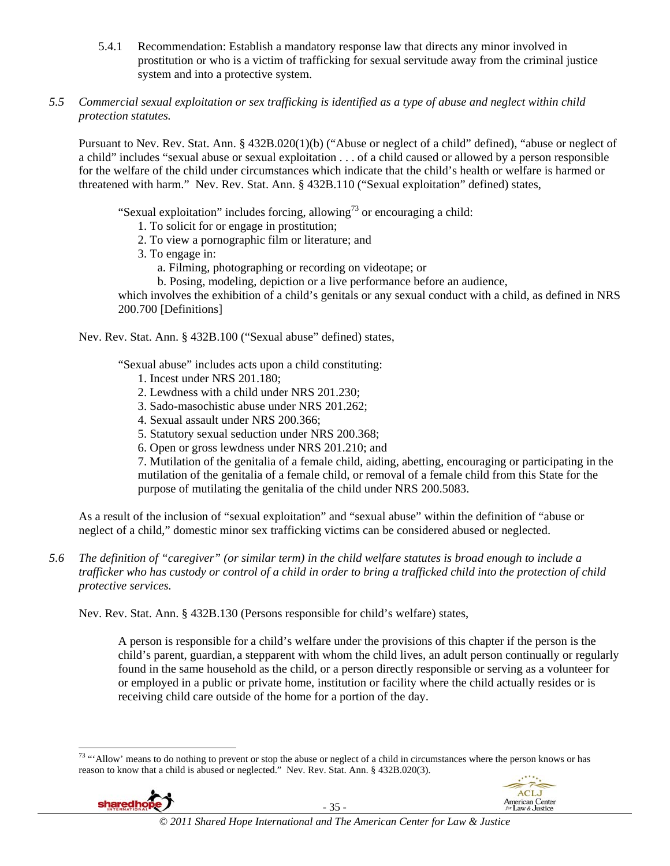- 5.4.1 Recommendation: Establish a mandatory response law that directs any minor involved in prostitution or who is a victim of trafficking for sexual servitude away from the criminal justice system and into a protective system.
- *5.5 Commercial sexual exploitation or sex trafficking is identified as a type of abuse and neglect within child protection statutes.*

Pursuant to Nev. Rev. Stat. Ann. § 432B.020(1)(b) ("Abuse or neglect of a child" defined), "abuse or neglect of a child" includes "sexual abuse or sexual exploitation . . . of a child caused or allowed by a person responsible for the welfare of the child under circumstances which indicate that the child's health or welfare is harmed or threatened with harm." Nev. Rev. Stat. Ann. § 432B.110 ("Sexual exploitation" defined) states,

"Sexual exploitation" includes forcing, allowing<sup>73</sup> or encouraging a child:

- 1. To solicit for or engage in prostitution;
- 2. To view a pornographic film or literature; and
- 3. To engage in:
	- a. Filming, photographing or recording on videotape; or
	- b. Posing, modeling, depiction or a live performance before an audience,

which involves the exhibition of a child's genitals or any sexual conduct with a child, as defined in NRS 200.700 [Definitions]

Nev. Rev. Stat. Ann. § 432B.100 ("Sexual abuse" defined) states,

"Sexual abuse" includes acts upon a child constituting:

- 1. Incest under NRS 201.180;
- 2. Lewdness with a child under NRS 201.230;
- 3. Sado-masochistic abuse under NRS 201.262;
- 4. Sexual assault under NRS 200.366;
- 5. Statutory sexual seduction under NRS 200.368;
- 6. Open or gross lewdness under NRS 201.210; and

7. Mutilation of the genitalia of a female child, aiding, abetting, encouraging or participating in the mutilation of the genitalia of a female child, or removal of a female child from this State for the purpose of mutilating the genitalia of the child under NRS 200.5083.

As a result of the inclusion of "sexual exploitation" and "sexual abuse" within the definition of "abuse or neglect of a child," domestic minor sex trafficking victims can be considered abused or neglected.

*5.6 The definition of "caregiver" (or similar term) in the child welfare statutes is broad enough to include a trafficker who has custody or control of a child in order to bring a trafficked child into the protection of child protective services.* 

Nev. Rev. Stat. Ann. § 432B.130 (Persons responsible for child's welfare) states,

A person is responsible for a child's welfare under the provisions of this chapter if the person is the child's parent, guardian, a stepparent with whom the child lives, an adult person continually or regularly found in the same household as the child, or a person directly responsible or serving as a volunteer for or employed in a public or private home, institution or facility where the child actually resides or is receiving child care outside of the home for a portion of the day.

 $\overline{a}$  $73$  "'Allow' means to do nothing to prevent or stop the abuse or neglect of a child in circumstances where the person knows or has reason to know that a child is abused or neglected." Nev. Rev. Stat. Ann. § 432B.020(3).



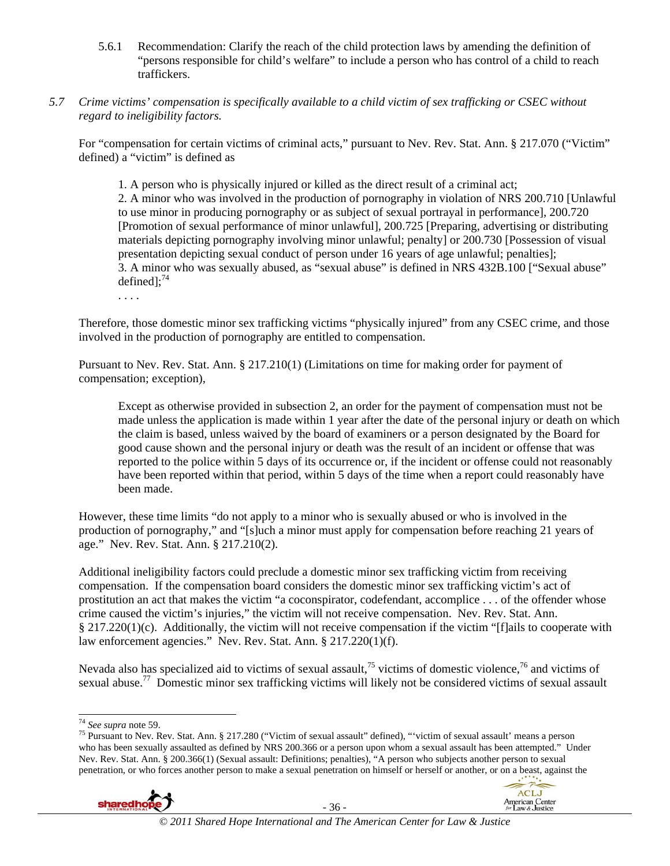- 5.6.1 Recommendation: Clarify the reach of the child protection laws by amending the definition of "persons responsible for child's welfare" to include a person who has control of a child to reach traffickers.
- *5.7 Crime victims' compensation is specifically available to a child victim of sex trafficking or CSEC without regard to ineligibility factors.*

For "compensation for certain victims of criminal acts," pursuant to Nev. Rev. Stat. Ann. § 217.070 ("Victim" defined) a "victim" is defined as

1. A person who is physically injured or killed as the direct result of a criminal act; 2. A minor who was involved in the production of pornography in violation of NRS 200.710 [Unlawful to use minor in producing pornography or as subject of sexual portrayal in performance], 200.720 [Promotion of sexual performance of minor unlawful], 200.725 [Preparing, advertising or distributing materials depicting pornography involving minor unlawful; penalty] or 200.730 [Possession of visual presentation depicting sexual conduct of person under 16 years of age unlawful; penalties]; 3. A minor who was sexually abused, as "sexual abuse" is defined in NRS 432B.100 ["Sexual abuse" defined]; $^{74}$ 

. . . .

Therefore, those domestic minor sex trafficking victims "physically injured" from any CSEC crime, and those involved in the production of pornography are entitled to compensation.

Pursuant to Nev. Rev. Stat. Ann. § 217.210(1) (Limitations on time for making order for payment of compensation; exception),

Except as otherwise provided in subsection 2, an order for the payment of compensation must not be made unless the application is made within 1 year after the date of the personal injury or death on which the claim is based, unless waived by the board of examiners or a person designated by the Board for good cause shown and the personal injury or death was the result of an incident or offense that was reported to the police within 5 days of its occurrence or, if the incident or offense could not reasonably have been reported within that period, within 5 days of the time when a report could reasonably have been made.

However, these time limits "do not apply to a minor who is sexually abused or who is involved in the production of pornography," and "[s]uch a minor must apply for compensation before reaching 21 years of age." Nev. Rev. Stat. Ann. § 217.210(2).

Additional ineligibility factors could preclude a domestic minor sex trafficking victim from receiving compensation. If the compensation board considers the domestic minor sex trafficking victim's act of prostitution an act that makes the victim "a coconspirator, codefendant, accomplice . . . of the offender whose crime caused the victim's injuries," the victim will not receive compensation. Nev. Rev. Stat. Ann. § 217.220(1)(c). Additionally, the victim will not receive compensation if the victim "[f]ails to cooperate with law enforcement agencies." Nev. Rev. Stat. Ann. § 217.220(1)(f).

Nevada also has specialized aid to victims of sexual assault,<sup>75</sup> victims of domestic violence,<sup>76</sup> and victims of sexual abuse.77 Domestic minor sex trafficking victims will likely not be considered victims of sexual assault

<sup>&</sup>lt;sup>75</sup> Pursuant to Nev. Rev. Stat. Ann. § 217.280 ("Victim of sexual assault" defined), "'victim of sexual assault' means a person who has been sexually assaulted as defined by NRS 200.366 or a person upon whom a sexual assault has been attempted." Under Nev. Rev. Stat. Ann. § 200.366(1) (Sexual assault: Definitions; penalties), "A person who subjects another person to sexual penetration, or who forces another person to make a sexual penetration on himself or herself or another, or on a beast, against the





<sup>&</sup>lt;sup>74</sup> See supra note 59.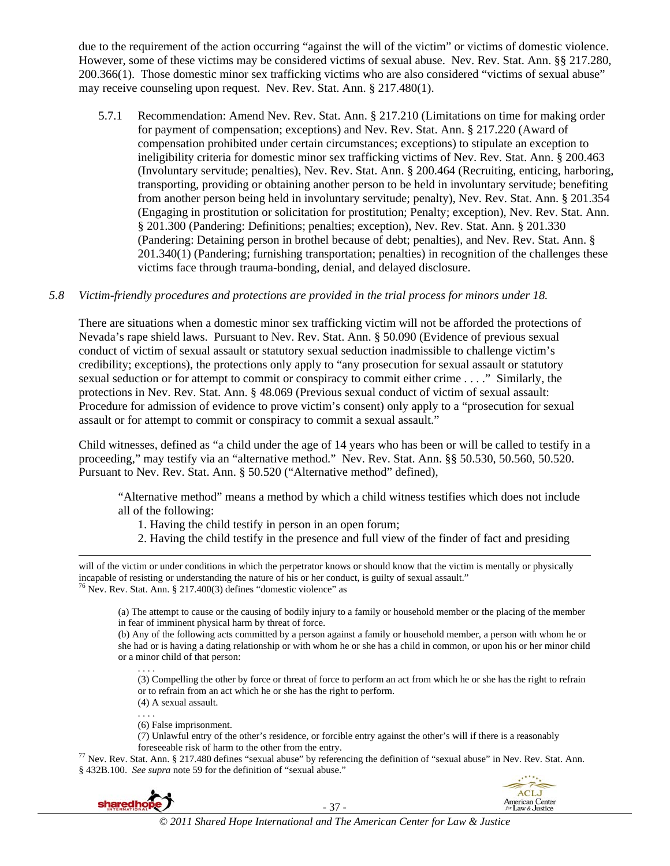due to the requirement of the action occurring "against the will of the victim" or victims of domestic violence. However, some of these victims may be considered victims of sexual abuse. Nev. Rev. Stat. Ann. §§ 217.280, 200.366(1). Those domestic minor sex trafficking victims who are also considered "victims of sexual abuse" may receive counseling upon request. Nev. Rev. Stat. Ann. § 217.480(1).

5.7.1 Recommendation: Amend Nev. Rev. Stat. Ann. § 217.210 (Limitations on time for making order for payment of compensation; exceptions) and Nev. Rev. Stat. Ann. § 217.220 (Award of compensation prohibited under certain circumstances; exceptions) to stipulate an exception to ineligibility criteria for domestic minor sex trafficking victims of Nev. Rev. Stat. Ann. § 200.463 (Involuntary servitude; penalties), Nev. Rev. Stat. Ann. § 200.464 (Recruiting, enticing, harboring, transporting, providing or obtaining another person to be held in involuntary servitude; benefiting from another person being held in involuntary servitude; penalty), Nev. Rev. Stat. Ann. § 201.354 (Engaging in prostitution or solicitation for prostitution; Penalty; exception), Nev. Rev. Stat. Ann. § 201.300 (Pandering: Definitions; penalties; exception), Nev. Rev. Stat. Ann. § 201.330 (Pandering: Detaining person in brothel because of debt; penalties), and Nev. Rev. Stat. Ann. § 201.340(1) (Pandering; furnishing transportation; penalties) in recognition of the challenges these victims face through trauma-bonding, denial, and delayed disclosure.

#### *5.8 Victim-friendly procedures and protections are provided in the trial process for minors under 18.*

There are situations when a domestic minor sex trafficking victim will not be afforded the protections of Nevada's rape shield laws. Pursuant to Nev. Rev. Stat. Ann. § 50.090 (Evidence of previous sexual conduct of victim of sexual assault or statutory sexual seduction inadmissible to challenge victim's credibility; exceptions), the protections only apply to "any prosecution for sexual assault or statutory sexual seduction or for attempt to commit or conspiracy to commit either crime . . . ." Similarly, the protections in Nev. Rev. Stat. Ann. § 48.069 (Previous sexual conduct of victim of sexual assault: Procedure for admission of evidence to prove victim's consent) only apply to a "prosecution for sexual assault or for attempt to commit or conspiracy to commit a sexual assault."

Child witnesses, defined as "a child under the age of 14 years who has been or will be called to testify in a proceeding," may testify via an "alternative method." Nev. Rev. Stat. Ann. §§ 50.530, 50.560, 50.520. Pursuant to Nev. Rev. Stat. Ann. § 50.520 ("Alternative method" defined),

"Alternative method" means a method by which a child witness testifies which does not include all of the following:

- 1. Having the child testify in person in an open forum;
- 2. Having the child testify in the presence and full view of the finder of fact and presiding

(a) The attempt to cause or the causing of bodily injury to a family or household member or the placing of the member in fear of imminent physical harm by threat of force.

(b) Any of the following acts committed by a person against a family or household member, a person with whom he or she had or is having a dating relationship or with whom he or she has a child in common, or upon his or her minor child or a minor child of that person:

. . . . (3) Compelling the other by force or threat of force to perform an act from which he or she has the right to refrain or to refrain from an act which he or she has the right to perform.

(4) A sexual assault.

. . . . (6) False imprisonment.

(7) Unlawful entry of the other's residence, or forcible entry against the other's will if there is a reasonably

foreseeable risk of harm to the other from the entry. 77 Nev. Rev. Stat. Ann. § 217.480 defines "sexual abuse" by referencing the definition of "sexual abuse" in Nev. Rev. Stat. Ann. § 432B.100. *See supra* note 59 for the definition of "sexual abuse."



 $\overline{a}$ 

- 37 -



will of the victim or under conditions in which the perpetrator knows or should know that the victim is mentally or physically incapable of resisting or understanding the nature of his or her conduct, is guilty of sexual assault." <sup>76</sup> Nev. Rev. Stat. Ann. § 217.400(3) defines "domestic violence" as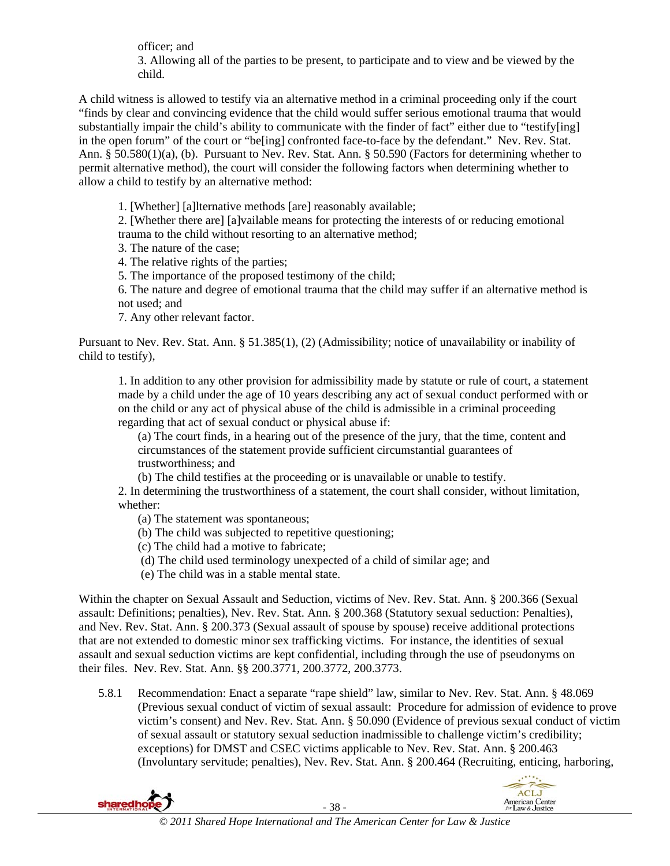officer; and 3. Allowing all of the parties to be present, to participate and to view and be viewed by the child.

A child witness is allowed to testify via an alternative method in a criminal proceeding only if the court "finds by clear and convincing evidence that the child would suffer serious emotional trauma that would substantially impair the child's ability to communicate with the finder of fact" either due to "testify[ing] in the open forum" of the court or "be[ing] confronted face-to-face by the defendant." Nev. Rev. Stat. Ann. § 50.580(1)(a), (b). Pursuant to Nev. Rev. Stat. Ann. § 50.590 (Factors for determining whether to permit alternative method), the court will consider the following factors when determining whether to allow a child to testify by an alternative method:

1. [Whether] [a]lternative methods [are] reasonably available;

2. [Whether there are] [a]vailable means for protecting the interests of or reducing emotional trauma to the child without resorting to an alternative method;

3. The nature of the case;

4. The relative rights of the parties;

5. The importance of the proposed testimony of the child;

6. The nature and degree of emotional trauma that the child may suffer if an alternative method is not used; and

7. Any other relevant factor.

Pursuant to Nev. Rev. Stat. Ann. § 51.385(1), (2) (Admissibility; notice of unavailability or inability of child to testify),

1. In addition to any other provision for admissibility made by statute or rule of court, a statement made by a child under the age of 10 years describing any act of sexual conduct performed with or on the child or any act of physical abuse of the child is admissible in a criminal proceeding regarding that act of sexual conduct or physical abuse if:

(a) The court finds, in a hearing out of the presence of the jury, that the time, content and circumstances of the statement provide sufficient circumstantial guarantees of trustworthiness; and

(b) The child testifies at the proceeding or is unavailable or unable to testify.

2. In determining the trustworthiness of a statement, the court shall consider, without limitation, whether:

(a) The statement was spontaneous;

- (b) The child was subjected to repetitive questioning;
- (c) The child had a motive to fabricate;
- (d) The child used terminology unexpected of a child of similar age; and
- (e) The child was in a stable mental state.

Within the chapter on Sexual Assault and Seduction, victims of Nev. Rev. Stat. Ann. § 200.366 (Sexual assault: Definitions; penalties), Nev. Rev. Stat. Ann. § 200.368 (Statutory sexual seduction: Penalties), and Nev. Rev. Stat. Ann. § 200.373 (Sexual assault of spouse by spouse) receive additional protections that are not extended to domestic minor sex trafficking victims. For instance, the identities of sexual assault and sexual seduction victims are kept confidential, including through the use of pseudonyms on their files. Nev. Rev. Stat. Ann. §§ 200.3771, 200.3772, 200.3773.

5.8.1 Recommendation: Enact a separate "rape shield" law, similar to Nev. Rev. Stat. Ann. § 48.069 (Previous sexual conduct of victim of sexual assault: Procedure for admission of evidence to prove victim's consent) and Nev. Rev. Stat. Ann. § 50.090 (Evidence of previous sexual conduct of victim of sexual assault or statutory sexual seduction inadmissible to challenge victim's credibility; exceptions) for DMST and CSEC victims applicable to Nev. Rev. Stat. Ann. § 200.463 (Involuntary servitude; penalties), Nev. Rev. Stat. Ann. § 200.464 (Recruiting, enticing, harboring,



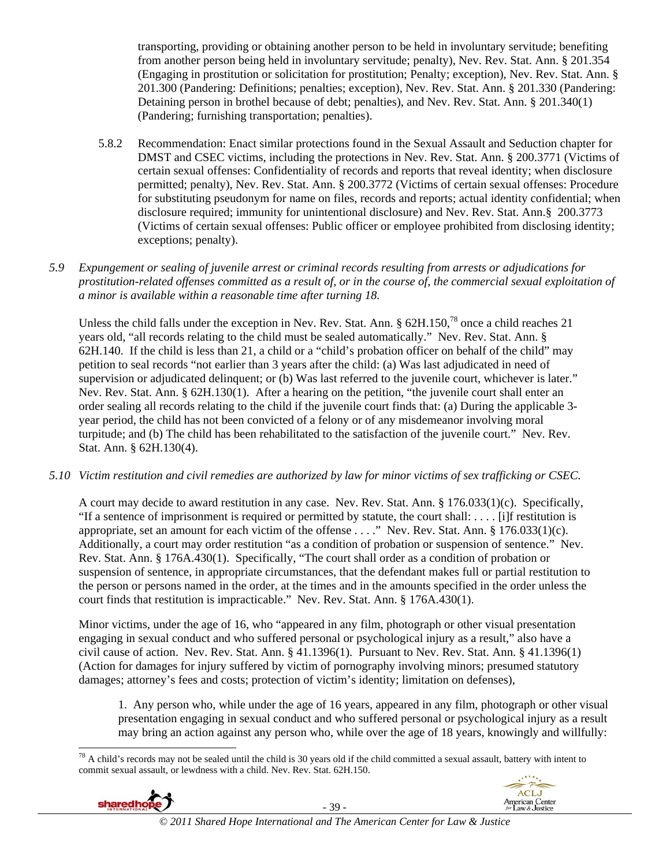transporting, providing or obtaining another person to be held in involuntary servitude; benefiting from another person being held in involuntary servitude; penalty), Nev. Rev. Stat. Ann. § 201.354 (Engaging in prostitution or solicitation for prostitution; Penalty; exception), Nev. Rev. Stat. Ann. § 201.300 (Pandering: Definitions; penalties; exception), Nev. Rev. Stat. Ann. § 201.330 (Pandering: Detaining person in brothel because of debt; penalties), and Nev. Rev. Stat. Ann. § 201.340(1) (Pandering; furnishing transportation; penalties).

- 5.8.2 Recommendation: Enact similar protections found in the Sexual Assault and Seduction chapter for DMST and CSEC victims, including the protections in Nev. Rev. Stat. Ann. § 200.3771 (Victims of certain sexual offenses: Confidentiality of records and reports that reveal identity; when disclosure permitted; penalty), Nev. Rev. Stat. Ann. § 200.3772 (Victims of certain sexual offenses: Procedure for substituting pseudonym for name on files, records and reports; actual identity confidential; when disclosure required; immunity for unintentional disclosure) and Nev. Rev. Stat. Ann.§ 200.3773 (Victims of certain sexual offenses: Public officer or employee prohibited from disclosing identity; exceptions; penalty).
- *5.9 Expungement or sealing of juvenile arrest or criminal records resulting from arrests or adjudications for prostitution-related offenses committed as a result of, or in the course of, the commercial sexual exploitation of a minor is available within a reasonable time after turning 18.*

Unless the child falls under the exception in Nev. Rev. Stat. Ann. § 62H.150,<sup>78</sup> once a child reaches 21 years old, "all records relating to the child must be sealed automatically." Nev. Rev. Stat. Ann. § 62H.140. If the child is less than 21, a child or a "child's probation officer on behalf of the child" may petition to seal records "not earlier than 3 years after the child: (a) Was last adjudicated in need of supervision or adjudicated delinquent; or (b) Was last referred to the juvenile court, whichever is later." Nev. Rev. Stat. Ann. § 62H.130(1). After a hearing on the petition, "the juvenile court shall enter an order sealing all records relating to the child if the juvenile court finds that: (a) During the applicable 3 year period, the child has not been convicted of a felony or of any misdemeanor involving moral turpitude; and (b) The child has been rehabilitated to the satisfaction of the juvenile court." Nev. Rev. Stat. Ann. § 62H.130(4).

*5.10 Victim restitution and civil remedies are authorized by law for minor victims of sex trafficking or CSEC.* 

A court may decide to award restitution in any case. Nev. Rev. Stat. Ann. § 176.033(1)(c). Specifically, "If a sentence of imprisonment is required or permitted by statute, the court shall: . . . . [i]f restitution is appropriate, set an amount for each victim of the offense . . . ." Nev. Rev. Stat. Ann. § 176.033(1)(c). Additionally, a court may order restitution "as a condition of probation or suspension of sentence." Nev. Rev. Stat. Ann. § 176A.430(1). Specifically, "The court shall order as a condition of probation or suspension of sentence, in appropriate circumstances, that the defendant makes full or partial restitution to the person or persons named in the order, at the times and in the amounts specified in the order unless the court finds that restitution is impracticable." Nev. Rev. Stat. Ann. § 176A.430(1).

Minor victims, under the age of 16, who "appeared in any film, photograph or other visual presentation engaging in sexual conduct and who suffered personal or psychological injury as a result," also have a civil cause of action. Nev. Rev. Stat. Ann. § 41.1396(1). Pursuant to Nev. Rev. Stat. Ann. § 41.1396(1) (Action for damages for injury suffered by victim of pornography involving minors; presumed statutory damages; attorney's fees and costs; protection of victim's identity; limitation on defenses),

1. Any person who, while under the age of 16 years, appeared in any film, photograph or other visual presentation engaging in sexual conduct and who suffered personal or psychological injury as a result may bring an action against any person who, while over the age of 18 years, knowingly and willfully:

 $\overline{a}$  $^{78}$  A child's records may not be sealed until the child is 30 years old if the child committed a sexual assault, battery with intent to commit sexual assault, or lewdness with a child. Nev. Rev. Stat. 62H.150.



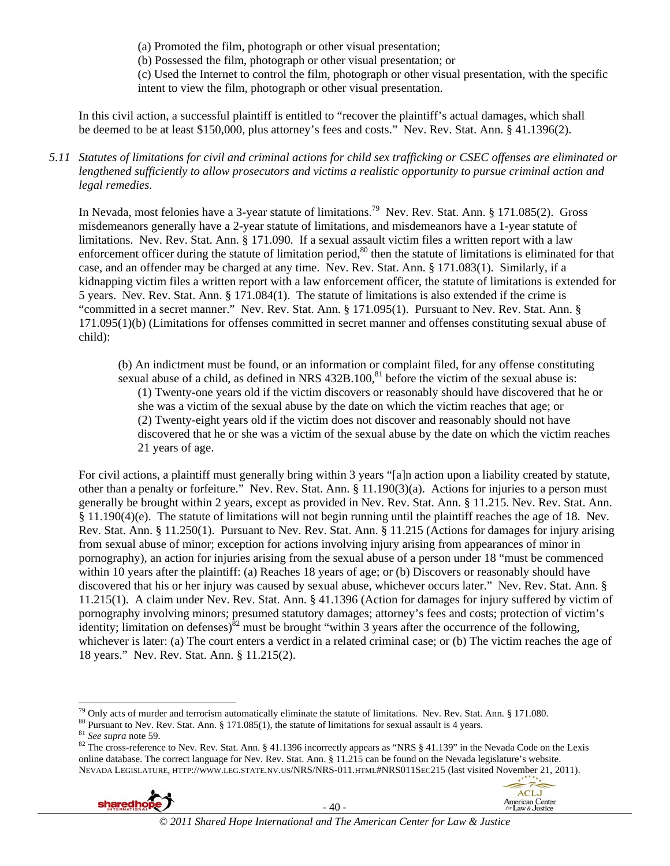(a) Promoted the film, photograph or other visual presentation;

(b) Possessed the film, photograph or other visual presentation; or

(c) Used the Internet to control the film, photograph or other visual presentation, with the specific intent to view the film, photograph or other visual presentation.

In this civil action, a successful plaintiff is entitled to "recover the plaintiff's actual damages, which shall be deemed to be at least \$150,000, plus attorney's fees and costs." Nev. Rev. Stat. Ann. § 41.1396(2).

### *5.11 Statutes of limitations for civil and criminal actions for child sex trafficking or CSEC offenses are eliminated or lengthened sufficiently to allow prosecutors and victims a realistic opportunity to pursue criminal action and legal remedies.*

In Nevada, most felonies have a 3-year statute of limitations.<sup>79</sup> Nev. Rev. Stat. Ann. § 171.085(2). Gross misdemeanors generally have a 2-year statute of limitations, and misdemeanors have a 1-year statute of limitations. Nev. Rev. Stat. Ann. § 171.090. If a sexual assault victim files a written report with a law enforcement officer during the statute of limitation period, $80$  then the statute of limitations is eliminated for that case, and an offender may be charged at any time. Nev. Rev. Stat. Ann. § 171.083(1). Similarly, if a kidnapping victim files a written report with a law enforcement officer, the statute of limitations is extended for 5 years. Nev. Rev. Stat. Ann. § 171.084(1). The statute of limitations is also extended if the crime is "committed in a secret manner." Nev. Rev. Stat. Ann. § 171.095(1). Pursuant to Nev. Rev. Stat. Ann. § 171.095(1)(b) (Limitations for offenses committed in secret manner and offenses constituting sexual abuse of child):

(b) An indictment must be found, or an information or complaint filed, for any offense constituting sexual abuse of a child, as defined in NRS  $432B.100$ ,  $81$  before the victim of the sexual abuse is: (1) Twenty-one years old if the victim discovers or reasonably should have discovered that he or she was a victim of the sexual abuse by the date on which the victim reaches that age; or (2) Twenty-eight years old if the victim does not discover and reasonably should not have discovered that he or she was a victim of the sexual abuse by the date on which the victim reaches 21 years of age.

For civil actions, a plaintiff must generally bring within 3 years "[a]n action upon a liability created by statute, other than a penalty or forfeiture." Nev. Rev. Stat. Ann. § 11.190(3)(a). Actions for injuries to a person must generally be brought within 2 years, except as provided in Nev. Rev. Stat. Ann. § 11.215. Nev. Rev. Stat. Ann. § 11.190(4)(e). The statute of limitations will not begin running until the plaintiff reaches the age of 18. Nev. Rev. Stat. Ann. § 11.250(1). Pursuant to Nev. Rev. Stat. Ann. § 11.215 (Actions for damages for injury arising from sexual abuse of minor; exception for actions involving injury arising from appearances of minor in pornography), an action for injuries arising from the sexual abuse of a person under 18 "must be commenced within 10 years after the plaintiff: (a) Reaches 18 years of age; or (b) Discovers or reasonably should have discovered that his or her injury was caused by sexual abuse, whichever occurs later." Nev. Rev. Stat. Ann. § 11.215(1). A claim under Nev. Rev. Stat. Ann. § 41.1396 (Action for damages for injury suffered by victim of pornography involving minors; presumed statutory damages; attorney's fees and costs; protection of victim's identity; limitation on defenses)<sup>82</sup> must be brought "within 3 years after the occurrence of the following, whichever is later: (a) The court enters a verdict in a related criminal case; or (b) The victim reaches the age of 18 years." Nev. Rev. Stat. Ann. § 11.215(2).

<sup>&</sup>lt;sup>79</sup> Only acts of murder and terrorism automatically eliminate the statute of limitations. Nev. Rev. Stat. Ann. § 171.080.<br><sup>80</sup> Pursuant to Nev. Rev. Stat. Ann. § 171.085(1), the statute of limitations for sexual assault online database. The correct language for Nev. Rev. Stat. Ann. § 11.215 can be found on the Nevada legislature's website. NEVADA LEGISLATURE, HTTP://WWW.LEG.STATE.NV.US/NRS/NRS-011.HTML#NRS011SEC215 (last visited November 21, 2011).





 $\overline{\phantom{a}}$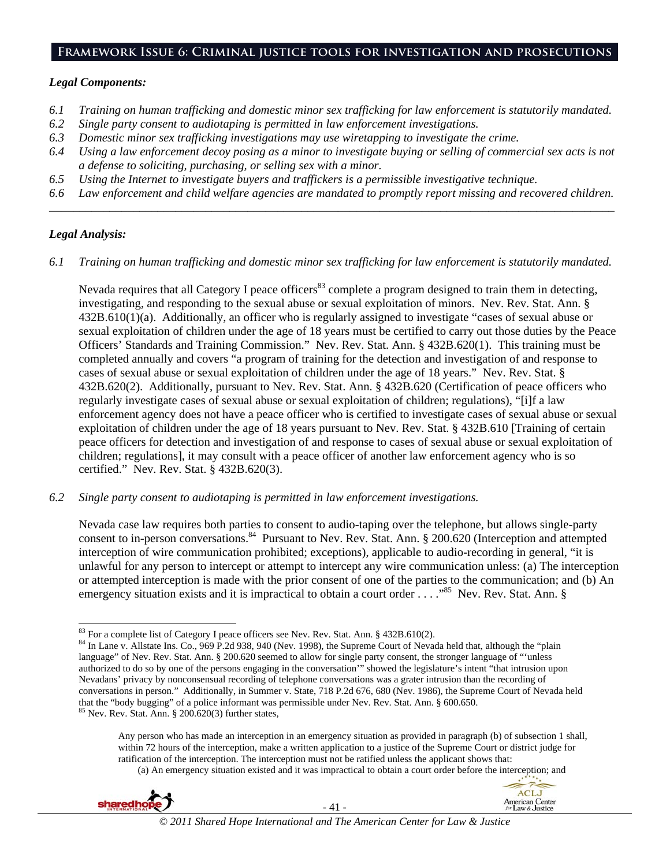### **Framework Issue 6: Criminal justice tools for investigation and prosecutions**

#### *Legal Components:*

- *6.1 Training on human trafficking and domestic minor sex trafficking for law enforcement is statutorily mandated.*
- *6.2 Single party consent to audiotaping is permitted in law enforcement investigations.*
- *6.3 Domestic minor sex trafficking investigations may use wiretapping to investigate the crime.*
- *6.4 Using a law enforcement decoy posing as a minor to investigate buying or selling of commercial sex acts is not a defense to soliciting, purchasing, or selling sex with a minor.*
- *6.5 Using the Internet to investigate buyers and traffickers is a permissible investigative technique.*
- *6.6 Law enforcement and child welfare agencies are mandated to promptly report missing and recovered children. \_\_\_\_\_\_\_\_\_\_\_\_\_\_\_\_\_\_\_\_\_\_\_\_\_\_\_\_\_\_\_\_\_\_\_\_\_\_\_\_\_\_\_\_\_\_\_\_\_\_\_\_\_\_\_\_\_\_\_\_\_\_\_\_\_\_\_\_\_\_\_\_\_\_\_\_\_\_\_\_\_\_\_\_\_\_\_\_\_\_\_\_\_\_*

## *Legal Analysis:*

*6.1 Training on human trafficking and domestic minor sex trafficking for law enforcement is statutorily mandated.*

Nevada requires that all Category I peace officers<sup>83</sup> complete a program designed to train them in detecting, investigating, and responding to the sexual abuse or sexual exploitation of minors. Nev. Rev. Stat. Ann. § 432B.610(1)(a). Additionally, an officer who is regularly assigned to investigate "cases of sexual abuse or sexual exploitation of children under the age of 18 years must be certified to carry out those duties by the Peace Officers' Standards and Training Commission." Nev. Rev. Stat. Ann. § 432B.620(1). This training must be completed annually and covers "a program of training for the detection and investigation of and response to cases of sexual abuse or sexual exploitation of children under the age of 18 years." Nev. Rev. Stat. § 432B.620(2). Additionally, pursuant to Nev. Rev. Stat. Ann. § 432B.620 (Certification of peace officers who regularly investigate cases of sexual abuse or sexual exploitation of children; regulations), "[i]f a law enforcement agency does not have a peace officer who is certified to investigate cases of sexual abuse or sexual exploitation of children under the age of 18 years pursuant to Nev. Rev. Stat. § 432B.610 [Training of certain peace officers for detection and investigation of and response to cases of sexual abuse or sexual exploitation of children; regulations], it may consult with a peace officer of another law enforcement agency who is so certified." Nev. Rev. Stat. § 432B.620(3).

*6.2 Single party consent to audiotaping is permitted in law enforcement investigations.* 

Nevada case law requires both parties to consent to audio-taping over the telephone, but allows single-party consent to in-person conversations.<sup>84</sup> Pursuant to Nev. Rev. Stat. Ann. § 200.620 (Interception and attempted interception of wire communication prohibited; exceptions), applicable to audio-recording in general, "it is unlawful for any person to intercept or attempt to intercept any wire communication unless: (a) The interception or attempted interception is made with the prior consent of one of the parties to the communication; and (b) An emergency situation exists and it is impractical to obtain a court order . . . .<sup>85</sup> Nev. Rev. Stat. Ann. §

(a) An emergency situation existed and it was impractical to obtain a court order before the interception; and



<sup>83</sup> For a complete list of Category I peace officers see Nev. Rev. Stat. Ann. § 432B.610(2).

<sup>&</sup>lt;sup>84</sup> In Lane v. Allstate Ins. Co., 969 P.2d 938, 940 (Nev. 1998), the Supreme Court of Nevada held that, although the "plain language" of Nev. Rev. Stat. Ann. § 200.620 seemed to allow for single party consent, the stronger language of "'unless authorized to do so by one of the persons engaging in the conversation'" showed the legislature's intent "that intrusion upon Nevadans' privacy by nonconsensual recording of telephone conversations was a grater intrusion than the recording of conversations in person." Additionally, in Summer v. State, 718 P.2d 676, 680 (Nev. 1986), the Supreme Court of Nevada held that the "body bugging" of a police informant was permissible under Nev. Rev. Stat. Ann. § 600.650. <sup>85</sup> Nev. Rev. Stat. Ann. § 200.620(3) further states,

Any person who has made an interception in an emergency situation as provided in paragraph (b) of subsection 1 shall, within 72 hours of the interception, make a written application to a justice of the Supreme Court or district judge for ratification of the interception. The interception must not be ratified unless the applicant shows that: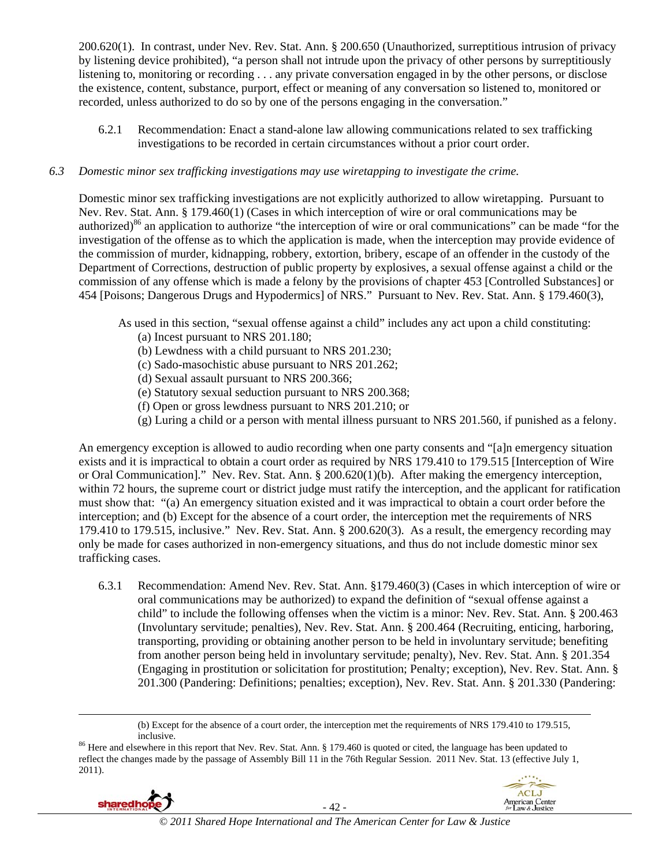200.620(1). In contrast, under Nev. Rev. Stat. Ann. § 200.650 (Unauthorized, surreptitious intrusion of privacy by listening device prohibited), "a person shall not intrude upon the privacy of other persons by surreptitiously listening to, monitoring or recording . . . any private conversation engaged in by the other persons, or disclose the existence, content, substance, purport, effect or meaning of any conversation so listened to, monitored or recorded, unless authorized to do so by one of the persons engaging in the conversation."

6.2.1 Recommendation: Enact a stand-alone law allowing communications related to sex trafficking investigations to be recorded in certain circumstances without a prior court order.

# *6.3 Domestic minor sex trafficking investigations may use wiretapping to investigate the crime.*

Domestic minor sex trafficking investigations are not explicitly authorized to allow wiretapping. Pursuant to Nev. Rev. Stat. Ann. § 179.460(1) (Cases in which interception of wire or oral communications may be authorized)<sup>86</sup> an application to authorize "the interception of wire or oral communications" can be made "for the investigation of the offense as to which the application is made, when the interception may provide evidence of the commission of murder, kidnapping, robbery, extortion, bribery, escape of an offender in the custody of the Department of Corrections, destruction of public property by explosives, a sexual offense against a child or the commission of any offense which is made a felony by the provisions of chapter 453 [Controlled Substances] or 454 [Poisons; Dangerous Drugs and Hypodermics] of NRS." Pursuant to Nev. Rev. Stat. Ann. § 179.460(3),

As used in this section, "sexual offense against a child" includes any act upon a child constituting:

- (a) Incest pursuant to NRS 201.180;
- (b) Lewdness with a child pursuant to NRS 201.230;
- (c) Sado-masochistic abuse pursuant to NRS 201.262;
- (d) Sexual assault pursuant to NRS 200.366;
- (e) Statutory sexual seduction pursuant to NRS 200.368;
- (f) Open or gross lewdness pursuant to NRS 201.210; or
- (g) Luring a child or a person with mental illness pursuant to NRS 201.560, if punished as a felony.

An emergency exception is allowed to audio recording when one party consents and "[a]n emergency situation exists and it is impractical to obtain a court order as required by NRS 179.410 to 179.515 [Interception of Wire or Oral Communication]." Nev. Rev. Stat. Ann. § 200.620(1)(b). After making the emergency interception, within 72 hours, the supreme court or district judge must ratify the interception, and the applicant for ratification must show that: "(a) An emergency situation existed and it was impractical to obtain a court order before the interception; and (b) Except for the absence of a court order, the interception met the requirements of NRS 179.410 to 179.515, inclusive." Nev. Rev. Stat. Ann. § 200.620(3). As a result, the emergency recording may only be made for cases authorized in non-emergency situations, and thus do not include domestic minor sex trafficking cases.

6.3.1 Recommendation: Amend Nev. Rev. Stat. Ann. §179.460(3) (Cases in which interception of wire or oral communications may be authorized) to expand the definition of "sexual offense against a child" to include the following offenses when the victim is a minor: Nev. Rev. Stat. Ann. § 200.463 (Involuntary servitude; penalties), Nev. Rev. Stat. Ann. § 200.464 (Recruiting, enticing, harboring, transporting, providing or obtaining another person to be held in involuntary servitude; benefiting from another person being held in involuntary servitude; penalty), Nev. Rev. Stat. Ann. § 201.354 (Engaging in prostitution or solicitation for prostitution; Penalty; exception), Nev. Rev. Stat. Ann. § 201.300 (Pandering: Definitions; penalties; exception), Nev. Rev. Stat. Ann. § 201.330 (Pandering:

reflect the changes made by the passage of Assembly Bill 11 in the 76th Regular Session. 2011 Nev. Stat. 13 (effective July 1, 2011).



 $\overline{a}$ 



<sup>(</sup>b) Except for the absence of a court order, the interception met the requirements of NRS 179.410 to 179.515, inclusive.<br><sup>86</sup> Here and elsewhere in this report that Nev. Rev. Stat. Ann. § 179.460 is quoted or cited, the language has been updated to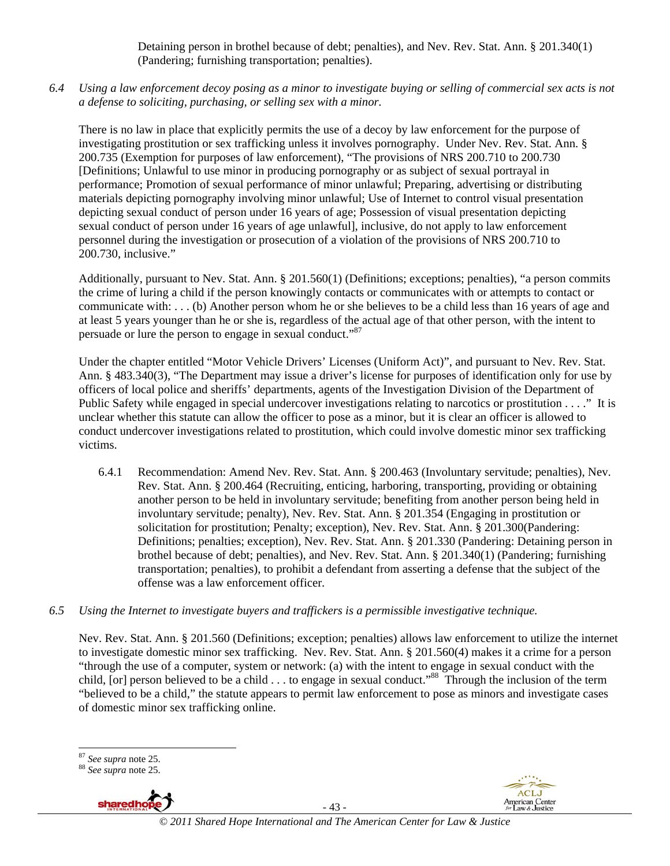Detaining person in brothel because of debt; penalties), and Nev. Rev. Stat. Ann. § 201.340(1) (Pandering; furnishing transportation; penalties).

*6.4 Using a law enforcement decoy posing as a minor to investigate buying or selling of commercial sex acts is not a defense to soliciting, purchasing, or selling sex with a minor.* 

There is no law in place that explicitly permits the use of a decoy by law enforcement for the purpose of investigating prostitution or sex trafficking unless it involves pornography. Under Nev. Rev. Stat. Ann. § 200.735 (Exemption for purposes of law enforcement), "The provisions of NRS 200.710 to 200.730 [Definitions; Unlawful to use minor in producing pornography or as subject of sexual portrayal in performance; Promotion of sexual performance of minor unlawful; Preparing, advertising or distributing materials depicting pornography involving minor unlawful; Use of Internet to control visual presentation depicting sexual conduct of person under 16 years of age; Possession of visual presentation depicting sexual conduct of person under 16 years of age unlawful], inclusive, do not apply to law enforcement personnel during the investigation or prosecution of a violation of the provisions of NRS 200.710 to 200.730, inclusive."

Additionally, pursuant to Nev. Stat. Ann. § 201.560(1) (Definitions; exceptions; penalties), "a person commits the crime of luring a child if the person knowingly contacts or communicates with or attempts to contact or communicate with: . . . (b) Another person whom he or she believes to be a child less than 16 years of age and at least 5 years younger than he or she is, regardless of the actual age of that other person, with the intent to persuade or lure the person to engage in sexual conduct."87

Under the chapter entitled "Motor Vehicle Drivers' Licenses (Uniform Act)", and pursuant to Nev. Rev. Stat. Ann. § 483.340(3), "The Department may issue a driver's license for purposes of identification only for use by officers of local police and sheriffs' departments, agents of the Investigation Division of the Department of Public Safety while engaged in special undercover investigations relating to narcotics or prostitution . . . ." It is unclear whether this statute can allow the officer to pose as a minor, but it is clear an officer is allowed to conduct undercover investigations related to prostitution, which could involve domestic minor sex trafficking victims.

- 6.4.1 Recommendation: Amend Nev. Rev. Stat. Ann. § 200.463 (Involuntary servitude; penalties), Nev. Rev. Stat. Ann. § 200.464 (Recruiting, enticing, harboring, transporting, providing or obtaining another person to be held in involuntary servitude; benefiting from another person being held in involuntary servitude; penalty), Nev. Rev. Stat. Ann. § 201.354 (Engaging in prostitution or solicitation for prostitution; Penalty; exception), Nev. Rev. Stat. Ann. § 201.300(Pandering: Definitions; penalties; exception), Nev. Rev. Stat. Ann. § 201.330 (Pandering: Detaining person in brothel because of debt; penalties), and Nev. Rev. Stat. Ann. § 201.340(1) (Pandering; furnishing transportation; penalties), to prohibit a defendant from asserting a defense that the subject of the offense was a law enforcement officer.
- *6.5 Using the Internet to investigate buyers and traffickers is a permissible investigative technique.*

Nev. Rev. Stat. Ann. § 201.560 (Definitions; exception; penalties) allows law enforcement to utilize the internet to investigate domestic minor sex trafficking. Nev. Rev. Stat. Ann. § 201.560(4) makes it a crime for a person "through the use of a computer, system or network: (a) with the intent to engage in sexual conduct with the child, [or] person believed to be a child  $\dots$  to engage in sexual conduct."<sup>88</sup> Through the inclusion of the term "believed to be a child," the statute appears to permit law enforcement to pose as minors and investigate cases of domestic minor sex trafficking online.

<sup>87</sup> *See supra* note 25. 88 *See supra* note 25.



- 43 -



<sup>&</sup>lt;sup>87</sup> See supra note 25.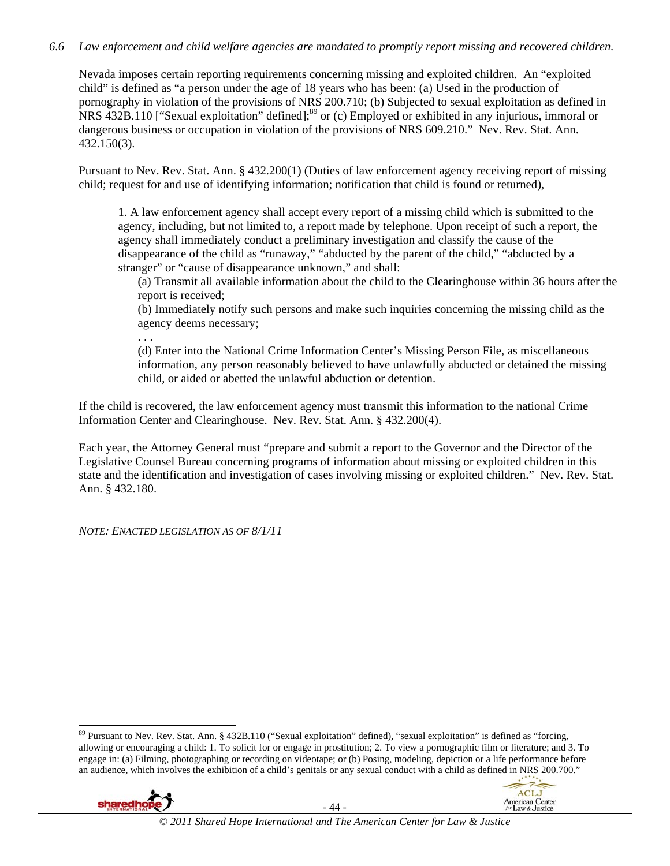# *6.6 Law enforcement and child welfare agencies are mandated to promptly report missing and recovered children.*

Nevada imposes certain reporting requirements concerning missing and exploited children. An "exploited child" is defined as "a person under the age of 18 years who has been: (a) Used in the production of pornography in violation of the provisions of NRS 200.710; (b) Subjected to sexual exploitation as defined in NRS 432B.110 ["Sexual exploitation" defined];<sup>89</sup> or (c) Employed or exhibited in any injurious, immoral or dangerous business or occupation in violation of the provisions of NRS 609.210." Nev. Rev. Stat. Ann. 432.150(3).

Pursuant to Nev. Rev. Stat. Ann. § 432.200(1) (Duties of law enforcement agency receiving report of missing child; request for and use of identifying information; notification that child is found or returned),

1. A law enforcement agency shall accept every report of a missing child which is submitted to the agency, including, but not limited to, a report made by telephone. Upon receipt of such a report, the agency shall immediately conduct a preliminary investigation and classify the cause of the disappearance of the child as "runaway," "abducted by the parent of the child," "abducted by a stranger" or "cause of disappearance unknown," and shall:

(a) Transmit all available information about the child to the Clearinghouse within 36 hours after the report is received;

(b) Immediately notify such persons and make such inquiries concerning the missing child as the agency deems necessary;

. . .

(d) Enter into the National Crime Information Center's Missing Person File, as miscellaneous information, any person reasonably believed to have unlawfully abducted or detained the missing child, or aided or abetted the unlawful abduction or detention.

If the child is recovered, the law enforcement agency must transmit this information to the national Crime Information Center and Clearinghouse. Nev. Rev. Stat. Ann. § 432.200(4).

Each year, the Attorney General must "prepare and submit a report to the Governor and the Director of the Legislative Counsel Bureau concerning programs of information about missing or exploited children in this state and the identification and investigation of cases involving missing or exploited children." Nev. Rev. Stat. Ann. § 432.180.

*NOTE: ENACTED LEGISLATION AS OF 8/1/11*

 $\overline{a}$ <sup>89</sup> Pursuant to Nev. Rev. Stat. Ann. § 432B.110 ("Sexual exploitation" defined), "sexual exploitation" is defined as "forcing, allowing or encouraging a child: 1. To solicit for or engage in prostitution; 2. To view a pornographic film or literature; and 3. To engage in: (a) Filming, photographing or recording on videotape; or (b) Posing, modeling, depiction or a life performance before an audience, which involves the exhibition of a child's genitals or any sexual conduct with a child as defined in NRS 200.700."



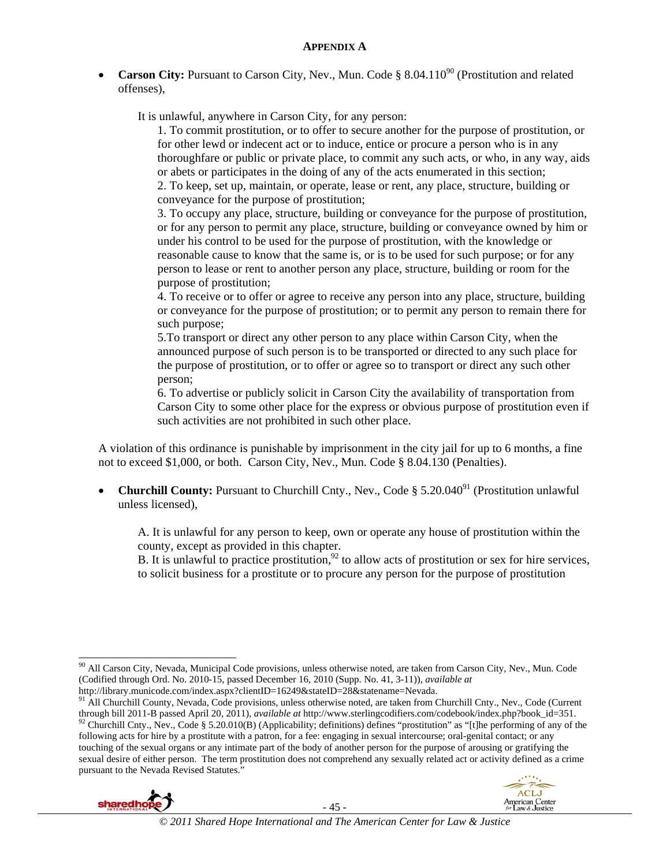**Carson City:** Pursuant to Carson City, Nev., Mun. Code § 8.04.110<sup>90</sup> (Prostitution and related offenses),

It is unlawful, anywhere in Carson City, for any person:

1. To commit prostitution, or to offer to secure another for the purpose of prostitution, or for other lewd or indecent act or to induce, entice or procure a person who is in any thoroughfare or public or private place, to commit any such acts, or who, in any way, aids or abets or participates in the doing of any of the acts enumerated in this section;

2. To keep, set up, maintain, or operate, lease or rent, any place, structure, building or conveyance for the purpose of prostitution;

3. To occupy any place, structure, building or conveyance for the purpose of prostitution, or for any person to permit any place, structure, building or conveyance owned by him or under his control to be used for the purpose of prostitution, with the knowledge or reasonable cause to know that the same is, or is to be used for such purpose; or for any person to lease or rent to another person any place, structure, building or room for the purpose of prostitution;

4. To receive or to offer or agree to receive any person into any place, structure, building or conveyance for the purpose of prostitution; or to permit any person to remain there for such purpose;

 5.To transport or direct any other person to any place within Carson City, when the announced purpose of such person is to be transported or directed to any such place for the purpose of prostitution, or to offer or agree so to transport or direct any such other person;

 6. To advertise or publicly solicit in Carson City the availability of transportation from Carson City to some other place for the express or obvious purpose of prostitution even if such activities are not prohibited in such other place.

A violation of this ordinance is punishable by imprisonment in the city jail for up to 6 months, a fine not to exceed \$1,000, or both. Carson City, Nev., Mun. Code § 8.04.130 (Penalties).

**Churchill County:** Pursuant to Churchill Cnty., Nev., Code § 5.20.040<sup>91</sup> (Prostitution unlawful) unless licensed),

 A. It is unlawful for any person to keep, own or operate any house of prostitution within the county, except as provided in this chapter.

B. It is unlawful to practice prostitution,  $92$  to allow acts of prostitution or sex for hire services, to solicit business for a prostitute or to procure any person for the purpose of prostitution

http://library.municode.com/index.aspx?clientID=16249&stateID=28&statename=Nevada.

<sup>&</sup>lt;sup>91</sup> All Churchill County, Nevada, Code provisions, unless otherwise noted, are taken from Churchill Cnty., Nev., Code (Current through bill 2011-B passed April 20, 2011), *available at* http://www.sterlingcodifiers.com/codebook/index.php?book\_id=351.<br><sup>92</sup> Churchill Cnty., Nev., Code § 5.20.010(B) (Applicability; definitions) defines "prostitution following acts for hire by a prostitute with a patron, for a fee: engaging in sexual intercourse; oral-genital contact; or any touching of the sexual organs or any intimate part of the body of another person for the purpose of arousing or gratifying the sexual desire of either person. The term prostitution does not comprehend any sexually related act or activity defined as a crime pursuant to the Nevada Revised Statutes."





 $\overline{a}$ <sup>90</sup> All Carson City, Nevada, Municipal Code provisions, unless otherwise noted, are taken from Carson City, Nev., Mun. Code (Codified through Ord. No. 2010-15, passed December 16, 2010 (Supp. No. 41, 3-11)), *available at*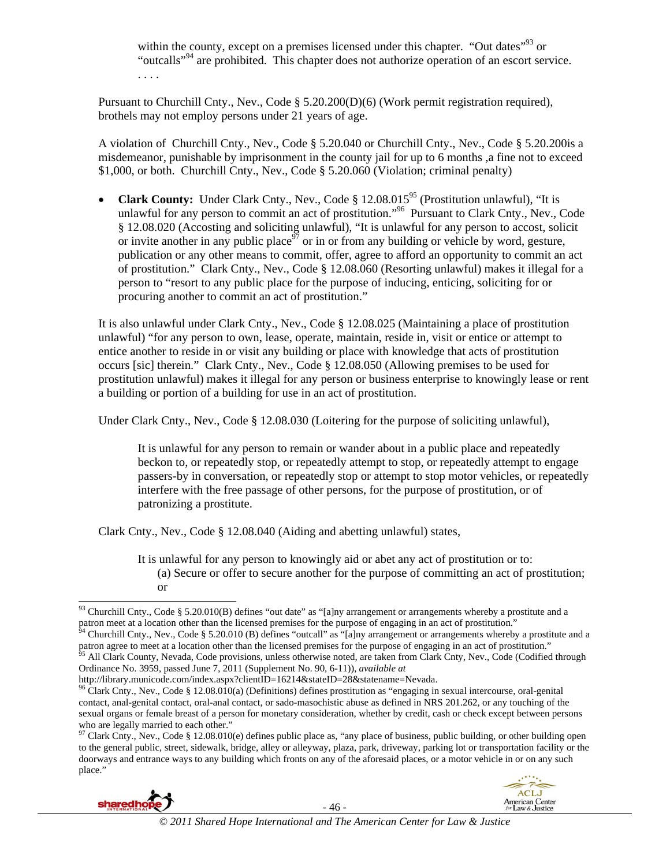within the county, except on a premises licensed under this chapter. "Out dates"<sup>93</sup> or "outcalls"94 are prohibited. This chapter does not authorize operation of an escort service. . . . .

Pursuant to Churchill Cnty., Nev., Code § 5.20.200(D)(6) (Work permit registration required), brothels may not employ persons under 21 years of age.

A violation of Churchill Cnty., Nev., Code § 5.20.040 or Churchill Cnty., Nev., Code § 5.20.200is a misdemeanor, punishable by imprisonment in the county jail for up to 6 months ,a fine not to exceed \$1,000, or both. Churchill Cnty., Nev., Code § 5.20.060 (Violation; criminal penalty)

• **Clark County:** Under Clark Cnty., Nev., Code § 12.08.015<sup>95</sup> (Prostitution unlawful), "It is unlawful for any person to commit an act of prostitution."<sup>96</sup> Pursuant to Clark Cnty., Nev., Code § 12.08.020 (Accosting and soliciting unlawful), "It is unlawful for any person to accost, solicit or invite another in any public place<sup>97</sup> or in or from any building or vehicle by word, gesture, publication or any other means to commit, offer, agree to afford an opportunity to commit an act of prostitution." Clark Cnty., Nev., Code § 12.08.060 (Resorting unlawful) makes it illegal for a person to "resort to any public place for the purpose of inducing, enticing, soliciting for or procuring another to commit an act of prostitution."

It is also unlawful under Clark Cnty., Nev., Code § 12.08.025 (Maintaining a place of prostitution unlawful) "for any person to own, lease, operate, maintain, reside in, visit or entice or attempt to entice another to reside in or visit any building or place with knowledge that acts of prostitution occurs [sic] therein." Clark Cnty., Nev., Code § 12.08.050 (Allowing premises to be used for prostitution unlawful) makes it illegal for any person or business enterprise to knowingly lease or rent a building or portion of a building for use in an act of prostitution.

Under Clark Cnty., Nev., Code § 12.08.030 (Loitering for the purpose of soliciting unlawful),

It is unlawful for any person to remain or wander about in a public place and repeatedly beckon to, or repeatedly stop, or repeatedly attempt to stop, or repeatedly attempt to engage passers-by in conversation, or repeatedly stop or attempt to stop motor vehicles, or repeatedly interfere with the free passage of other persons, for the purpose of prostitution, or of patronizing a prostitute.

Clark Cnty., Nev., Code § 12.08.040 (Aiding and abetting unlawful) states,

It is unlawful for any person to knowingly aid or abet any act of prostitution or to: (a) Secure or offer to secure another for the purpose of committing an act of prostitution; or

http://library.municode.com/index.aspx?clientID=16214&stateID=28&statename=Nevada.

 $^{97}$  Clark Cnty., Nev., Code § 12.08.010(e) defines public place as, "any place of business, public building, or other building open to the general public, street, sidewalk, bridge, alley or alleyway, plaza, park, driveway, parking lot or transportation facility or the doorways and entrance ways to any building which fronts on any of the aforesaid places, or a motor vehicle in or on any such place."





 $\overline{a}$ <sup>93</sup> Churchill Cnty., Code § 5.20.010(B) defines "out date" as "[a]ny arrangement or arrangements whereby a prostitute and a patron meet at a location other than the licensed premises for the purpose of engaging in an act of prostitution."<br><sup>94</sup> Churchill Cnty., Nev., Code § 5.20.010 (B) defines "outcall" as "[a]ny arrangement or arrangements whe

parton agree to meet at a location other than the licensed premises for the purpose of engaging in an act of prostitution."<br><sup>95</sup> All Clark County, Nevada, Code provisions, unless otherwise noted, are taken from Clark Cnty,

Ordinance No. 3959, passed June 7, 2011 (Supplement No. 90, 6-11)), *available at* 

<sup>&</sup>lt;sup>96</sup> Clark Cnty., Nev., Code § 12.08.010(a) (Definitions) defines prostitution as "engaging in sexual intercourse, oral-genital contact, anal-genital contact, oral-anal contact, or sado-masochistic abuse as defined in NRS 201.262, or any touching of the sexual organs or female breast of a person for monetary consideration, whether by credit, cash or check except between persons who are legally married to each other."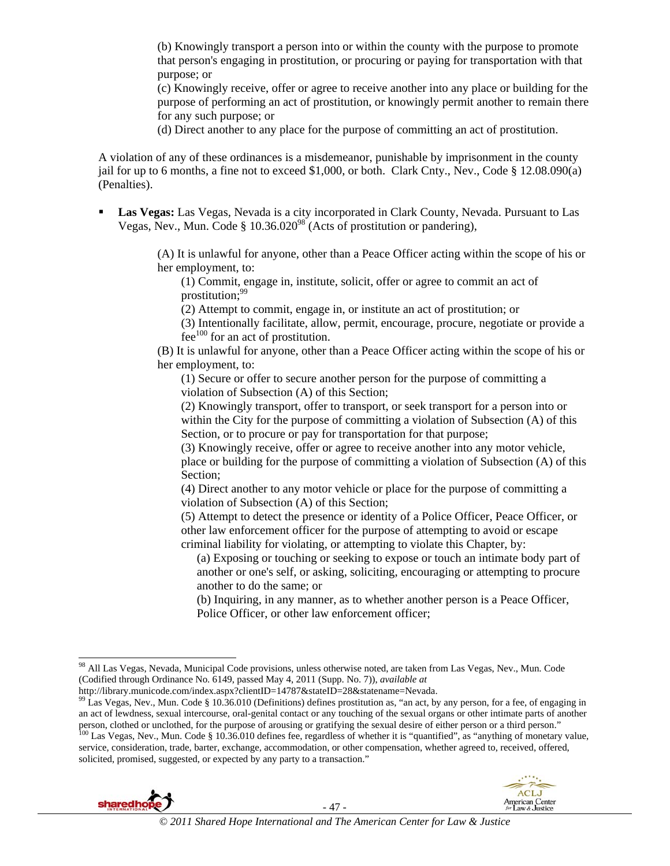(b) Knowingly transport a person into or within the county with the purpose to promote that person's engaging in prostitution, or procuring or paying for transportation with that purpose; or

(c) Knowingly receive, offer or agree to receive another into any place or building for the purpose of performing an act of prostitution, or knowingly permit another to remain there for any such purpose; or

(d) Direct another to any place for the purpose of committing an act of prostitution.

A violation of any of these ordinances is a misdemeanor, punishable by imprisonment in the county jail for up to 6 months, a fine not to exceed \$1,000, or both. Clark Cnty., Nev., Code § 12.08.090(a) (Penalties).

 **Las Vegas:** Las Vegas, Nevada is a city incorporated in Clark County, Nevada. Pursuant to Las Vegas, Nev., Mun. Code § 10.36.020<sup>98</sup> (Acts of prostitution or pandering),

> (A) It is unlawful for anyone, other than a Peace Officer acting within the scope of his or her employment, to:

(1) Commit, engage in, institute, solicit, offer or agree to commit an act of prostitution; $99$ 

(2) Attempt to commit, engage in, or institute an act of prostitution; or

(3) Intentionally facilitate, allow, permit, encourage, procure, negotiate or provide a fee $100$  for an act of prostitution.

(B) It is unlawful for anyone, other than a Peace Officer acting within the scope of his or her employment, to:

(1) Secure or offer to secure another person for the purpose of committing a violation of Subsection (A) of this Section;

(2) Knowingly transport, offer to transport, or seek transport for a person into or within the City for the purpose of committing a violation of Subsection (A) of this Section, or to procure or pay for transportation for that purpose;

(3) Knowingly receive, offer or agree to receive another into any motor vehicle, place or building for the purpose of committing a violation of Subsection (A) of this Section;

(4) Direct another to any motor vehicle or place for the purpose of committing a violation of Subsection (A) of this Section;

(5) Attempt to detect the presence or identity of a Police Officer, Peace Officer, or other law enforcement officer for the purpose of attempting to avoid or escape criminal liability for violating, or attempting to violate this Chapter, by:

(a) Exposing or touching or seeking to expose or touch an intimate body part of another or one's self, or asking, soliciting, encouraging or attempting to procure another to do the same; or

(b) Inquiring, in any manner, as to whether another person is a Peace Officer, Police Officer, or other law enforcement officer;

http://library.municode.com/index.aspx?clientID=14787&stateID=28&statename=Nevada.

<sup>&</sup>lt;sup>99</sup> Las Vegas, Nev., Mun. Code § 10.36.010 (Definitions) defines prostitution as, "an act, by any person, for a fee, of engaging in an act of lewdness, sexual intercourse, oral-genital contact or any touching of the sexual organs or other intimate parts of another person, clothed or unclothed, for the purpose of arousing or gratifying the sexual desire of either person or a third person."<br><sup>100</sup> Las Vegas, Nev., Mun. Code § 10.36.010 defines fee, regardless of whether it is "quantifi service, consideration, trade, barter, exchange, accommodation, or other compensation, whether agreed to, received, offered, solicited, promised, suggested, or expected by any party to a transaction."





 $\overline{a}$ 

<sup>98</sup> All Las Vegas, Nevada, Municipal Code provisions, unless otherwise noted, are taken from Las Vegas, Nev., Mun. Code (Codified through Ordinance No. 6149, passed May 4, 2011 (Supp. No. 7)), *available at*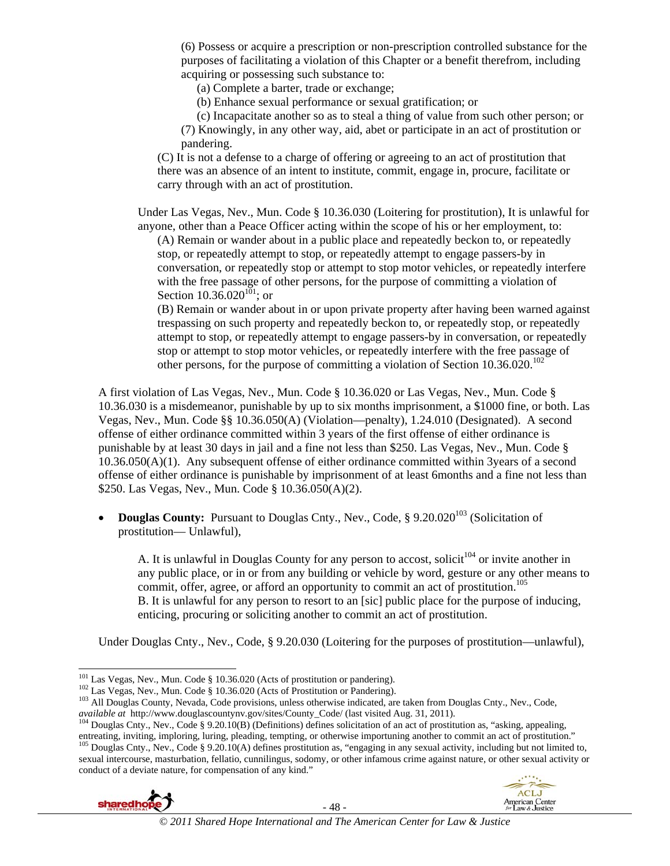(6) Possess or acquire a prescription or non-prescription controlled substance for the purposes of facilitating a violation of this Chapter or a benefit therefrom, including acquiring or possessing such substance to:

(a) Complete a barter, trade or exchange;

(b) Enhance sexual performance or sexual gratification; or

(c) Incapacitate another so as to steal a thing of value from such other person; or

(7) Knowingly, in any other way, aid, abet or participate in an act of prostitution or pandering.

(C) It is not a defense to a charge of offering or agreeing to an act of prostitution that there was an absence of an intent to institute, commit, engage in, procure, facilitate or carry through with an act of prostitution.

Under Las Vegas, Nev., Mun. Code § 10.36.030 (Loitering for prostitution), It is unlawful for anyone, other than a Peace Officer acting within the scope of his or her employment, to:

(A) Remain or wander about in a public place and repeatedly beckon to, or repeatedly stop, or repeatedly attempt to stop, or repeatedly attempt to engage passers-by in conversation, or repeatedly stop or attempt to stop motor vehicles, or repeatedly interfere with the free passage of other persons, for the purpose of committing a violation of Section  $10.36.020^{101}$ ; or

(B) Remain or wander about in or upon private property after having been warned against trespassing on such property and repeatedly beckon to, or repeatedly stop, or repeatedly attempt to stop, or repeatedly attempt to engage passers-by in conversation, or repeatedly stop or attempt to stop motor vehicles, or repeatedly interfere with the free passage of other persons, for the purpose of committing a violation of Section  $10.36.020$ .<sup>102</sup>

A first violation of Las Vegas, Nev., Mun. Code § 10.36.020 or Las Vegas, Nev., Mun. Code § 10.36.030 is a misdemeanor, punishable by up to six months imprisonment, a \$1000 fine, or both. Las Vegas, Nev., Mun. Code §§ 10.36.050(A) (Violation—penalty), 1.24.010 (Designated). A second offense of either ordinance committed within 3 years of the first offense of either ordinance is punishable by at least 30 days in jail and a fine not less than \$250. Las Vegas, Nev., Mun. Code § 10.36.050(A)(1). Any subsequent offense of either ordinance committed within 3years of a second offense of either ordinance is punishable by imprisonment of at least 6months and a fine not less than \$250. Las Vegas, Nev., Mun. Code § 10.36.050(A)(2).

**Douglas County:** Pursuant to Douglas Cnty., Nev., Code, § 9.20.020<sup>103</sup> (Solicitation of prostitution— Unlawful),

A. It is unlawful in Douglas County for any person to accost, solicit<sup>104</sup> or invite another in any public place, or in or from any building or vehicle by word, gesture or any other means to commit, offer, agree, or afford an opportunity to commit an act of prostitution.<sup>105</sup> B. It is unlawful for any person to resort to an [sic] public place for the purpose of inducing, enticing, procuring or soliciting another to commit an act of prostitution.

Under Douglas Cnty., Nev., Code, § 9.20.030 (Loitering for the purposes of prostitution—unlawful),

entreating, inviting, imploring, luring, pleading, tempting, or otherwise importuning another to commit an act of prostitution."<br><sup>105</sup> Douglas Cnty., Nev., Code § 9.20.10(A) defines prostitution as, "engaging in any sexual sexual intercourse, masturbation, fellatio, cunnilingus, sodomy, or other infamous crime against nature, or other sexual activity or conduct of a deviate nature, for compensation of any kind."





<sup>&</sup>lt;sup>101</sup> Las Vegas, Nev., Mun. Code § 10.36.020 (Acts of prostitution or pandering).

<sup>&</sup>lt;sup>102</sup> Las Vegas, Nev., Mun. Code § 10.36.020 (Acts of Prostitution or Pandering).<br><sup>103</sup> All Douglas County, Nevada, Code provisions, unless otherwise indicated, are taken from Douglas Cnty., Nev., Code, *available at* http

 $^{104}$  Douglas Cnty., Nev., Code § 9.20.10(B) (Definitions) defines solicitation of an act of prostitution as, "asking, appealing,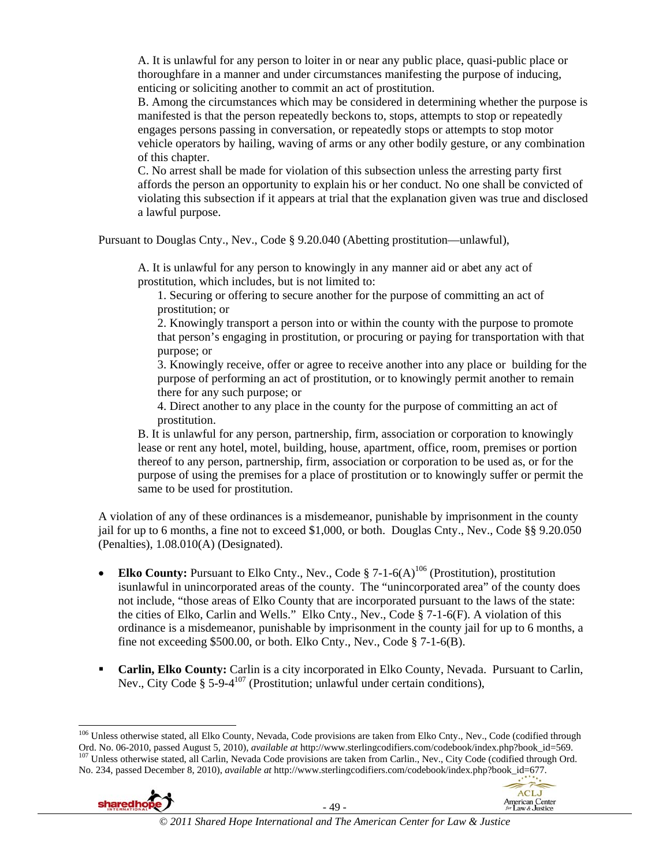A. It is unlawful for any person to loiter in or near any public place, quasi-public place or thoroughfare in a manner and under circumstances manifesting the purpose of inducing, enticing or soliciting another to commit an act of prostitution.

B. Among the circumstances which may be considered in determining whether the purpose is manifested is that the person repeatedly beckons to, stops, attempts to stop or repeatedly engages persons passing in conversation, or repeatedly stops or attempts to stop motor vehicle operators by hailing, waving of arms or any other bodily gesture, or any combination of this chapter.

C. No arrest shall be made for violation of this subsection unless the arresting party first affords the person an opportunity to explain his or her conduct. No one shall be convicted of violating this subsection if it appears at trial that the explanation given was true and disclosed a lawful purpose.

Pursuant to Douglas Cnty., Nev., Code § 9.20.040 (Abetting prostitution—unlawful),

A. It is unlawful for any person to knowingly in any manner aid or abet any act of prostitution, which includes, but is not limited to:

1. Securing or offering to secure another for the purpose of committing an act of prostitution; or

2. Knowingly transport a person into or within the county with the purpose to promote that person's engaging in prostitution, or procuring or paying for transportation with that purpose; or

3. Knowingly receive, offer or agree to receive another into any place or building for the purpose of performing an act of prostitution, or to knowingly permit another to remain there for any such purpose; or

4. Direct another to any place in the county for the purpose of committing an act of prostitution.

B. It is unlawful for any person, partnership, firm, association or corporation to knowingly lease or rent any hotel, motel, building, house, apartment, office, room, premises or portion thereof to any person, partnership, firm, association or corporation to be used as, or for the purpose of using the premises for a place of prostitution or to knowingly suffer or permit the same to be used for prostitution.

A violation of any of these ordinances is a misdemeanor, punishable by imprisonment in the county jail for up to 6 months, a fine not to exceed \$1,000, or both. Douglas Cnty., Nev., Code §§ 9.20.050 (Penalties), 1.08.010(A) (Designated).

- **Elko County:** Pursuant to Elko Cnty., Nev., Code  $\S$  7-1-6(A)<sup>106</sup> (Prostitution), prostitution isunlawful in unincorporated areas of the county. The "unincorporated area" of the county does not include, "those areas of Elko County that are incorporated pursuant to the laws of the state: the cities of Elko, Carlin and Wells." Elko Cnty., Nev., Code § 7-1-6(F). A violation of this ordinance is a misdemeanor, punishable by imprisonment in the county jail for up to 6 months, a fine not exceeding \$500.00, or both. Elko Cnty., Nev., Code § 7-1-6(B).
- **Carlin, Elko County:** Carlin is a city incorporated in Elko County, Nevada. Pursuant to Carlin, Nev., City Code §  $5-9-4^{107}$  (Prostitution; unlawful under certain conditions),

<sup>&</sup>lt;sup>106</sup> Unless otherwise stated, all Elko County, Nevada, Code provisions are taken from Elko Cnty., Nev., Code (codified through Ord. No. 06-2010, passed August 5, 2010), *available at* http://www.sterlingcodifiers.com/codebook/index.php?book\_id=569.<br><sup>107</sup> Unless otherwise stated, all Carlin, Nevada Code provisions are taken from Carlin., Nev., City No. 234, passed December 8, 2010), *available at* http://www.sterlingcodifiers.com/codebook/index.php?book\_id=677.



 $\overline{a}$ 

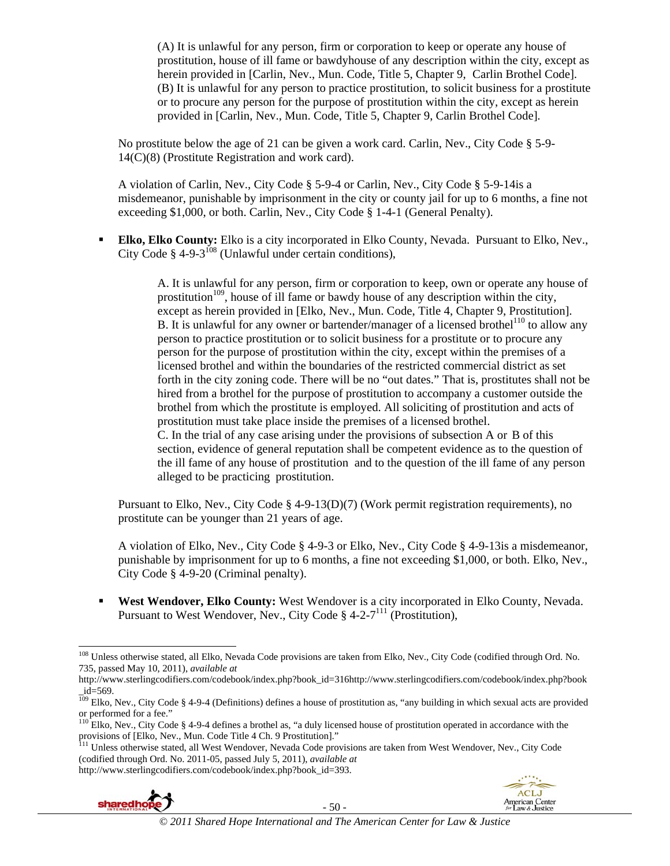(A) It is unlawful for any person, firm or corporation to keep or operate any house of prostitution, house of ill fame or bawdyhouse of any description within the city, except as herein provided in [Carlin, Nev., Mun. Code, Title 5, Chapter 9, Carlin Brothel Code]. (B) It is unlawful for any person to practice prostitution, to solicit business for a prostitute or to procure any person for the purpose of prostitution within the city, except as herein provided in [Carlin, Nev., Mun. Code, Title 5, Chapter 9, Carlin Brothel Code].

No prostitute below the age of 21 can be given a work card. Carlin, Nev., City Code § 5-9- 14(C)(8) (Prostitute Registration and work card).

A violation of Carlin, Nev., City Code § 5-9-4 or Carlin, Nev., City Code § 5-9-14is a misdemeanor, punishable by imprisonment in the city or county jail for up to 6 months, a fine not exceeding \$1,000, or both. Carlin, Nev., City Code § 1-4-1 (General Penalty).

 **Elko, Elko County:** Elko is a city incorporated in Elko County, Nevada. Pursuant to Elko, Nev., City Code  $\S$  4-9-3<sup>108</sup> (Unlawful under certain conditions),

> A. It is unlawful for any person, firm or corporation to keep, own or operate any house of prostitution<sup>109</sup>, house of ill fame or bawdy house of any description within the city, except as herein provided in [Elko, Nev., Mun. Code, Title 4, Chapter 9, Prostitution]. B. It is unlawful for any owner or bartender/manager of a licensed brothel<sup>110</sup> to allow any person to practice prostitution or to solicit business for a prostitute or to procure any person for the purpose of prostitution within the city, except within the premises of a licensed brothel and within the boundaries of the restricted commercial district as set forth in the city zoning code. There will be no "out dates." That is, prostitutes shall not be hired from a brothel for the purpose of prostitution to accompany a customer outside the brothel from which the prostitute is employed. All soliciting of prostitution and acts of prostitution must take place inside the premises of a licensed brothel. C. In the trial of any case arising under the provisions of subsection A or B of this section, evidence of general reputation shall be competent evidence as to the question of the ill fame of any house of prostitution and to the question of the ill fame of any person alleged to be practicing prostitution.

Pursuant to Elko, Nev., City Code § 4-9-13(D)(7) (Work permit registration requirements), no prostitute can be younger than 21 years of age.

A violation of Elko, Nev., City Code § 4-9-3 or Elko, Nev., City Code § 4-9-13is a misdemeanor, punishable by imprisonment for up to 6 months, a fine not exceeding \$1,000, or both. Elko, Nev., City Code § 4-9-20 (Criminal penalty).

 **West Wendover, Elko County:** West Wendover is a city incorporated in Elko County, Nevada. Pursuant to West Wendover, Nev., City Code § 4-2-7<sup>111</sup> (Prostitution),

<sup>&</sup>lt;sup>111</sup> Unless otherwise stated, all West Wendover, Nevada Code provisions are taken from West Wendover, Nev., City Code (codified through Ord. No. 2011-05, passed July 5, 2011), *available at*  http://www.sterlingcodifiers.com/codebook/index.php?book\_id=393.





 $\overline{a}$ <sup>108</sup> Unless otherwise stated, all Elko, Nevada Code provisions are taken from Elko, Nev., City Code (codified through Ord. No. 735, passed May 10, 2011), *available at* 

http://www.sterlingcodifiers.com/codebook/index.php?book\_id=316http://www.sterlingcodifiers.com/codebook/index.php?book  $_id = 569$ .

 $109$  Elko, Nev., City Code § 4-9-4 (Definitions) defines a house of prostitution as, "any building in which sexual acts are provided or performed for a fee."

 $110$  Elko, Nev., City Code § 4-9-4 defines a brothel as, "a duly licensed house of prostitution operated in accordance with the provisions of [Elko, Nev., Mun. Code Title 4 Ch. 9 Prostitution]."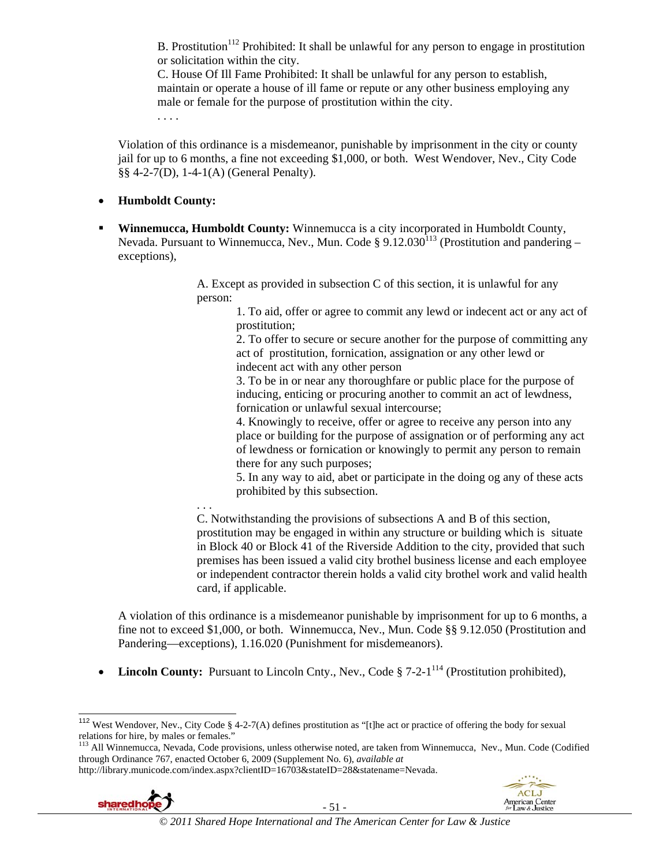B. Prostitution<sup>112</sup> Prohibited: It shall be unlawful for any person to engage in prostitution or solicitation within the city.

 C. House Of Ill Fame Prohibited: It shall be unlawful for any person to establish, maintain or operate a house of ill fame or repute or any other business employing any male or female for the purpose of prostitution within the city.

. . . .

Violation of this ordinance is a misdemeanor, punishable by imprisonment in the city or county jail for up to 6 months, a fine not exceeding \$1,000, or both. West Wendover, Nev., City Code §§ 4-2-7(D), 1-4-1(A) (General Penalty).

- **Humboldt County:**
- **Winnemucca, Humboldt County:** Winnemucca is a city incorporated in Humboldt County, Nevada. Pursuant to Winnemucca, Nev., Mun. Code  $\S 9.12.030^{113}$  (Prostitution and pandering – exceptions),

 A. Except as provided in subsection C of this section, it is unlawful for any person:

> 1. To aid, offer or agree to commit any lewd or indecent act or any act of prostitution;

> 2. To offer to secure or secure another for the purpose of committing any act of prostitution, fornication, assignation or any other lewd or indecent act with any other person

 3. To be in or near any thoroughfare or public place for the purpose of inducing, enticing or procuring another to commit an act of lewdness, fornication or unlawful sexual intercourse;

 4. Knowingly to receive, offer or agree to receive any person into any place or building for the purpose of assignation or of performing any act of lewdness or fornication or knowingly to permit any person to remain there for any such purposes;

 5. In any way to aid, abet or participate in the doing og any of these acts prohibited by this subsection.

 . . . C. Notwithstanding the provisions of subsections A and B of this section, prostitution may be engaged in within any structure or building which is situate in Block 40 or Block 41 of the Riverside Addition to the city, provided that such premises has been issued a valid city brothel business license and each employee or independent contractor therein holds a valid city brothel work and valid health card, if applicable.

A violation of this ordinance is a misdemeanor punishable by imprisonment for up to 6 months, a fine not to exceed \$1,000, or both. Winnemucca, Nev., Mun. Code §§ 9.12.050 (Prostitution and Pandering—exceptions), 1.16.020 (Punishment for misdemeanors).

• **Lincoln County:** Pursuant to Lincoln Cnty., Nev., Code § 7-2-1<sup>114</sup> (Prostitution prohibited),

http://library.municode.com/index.aspx?clientID=16703&stateID=28&statename=Nevada.



 $\overline{\phantom{a}}$ 



<sup>&</sup>lt;sup>112</sup> West Wendover, Nev., City Code § 4-2-7(A) defines prostitution as "[t]he act or practice of offering the body for sexual relations for hire, by males or females."

<sup>&</sup>lt;sup>113</sup> All Winnemucca, Nevada, Code provisions, unless otherwise noted, are taken from Winnemucca, Nev., Mun. Code (Codified through Ordinance 767, enacted October 6, 2009 (Supplement No. 6), *available at*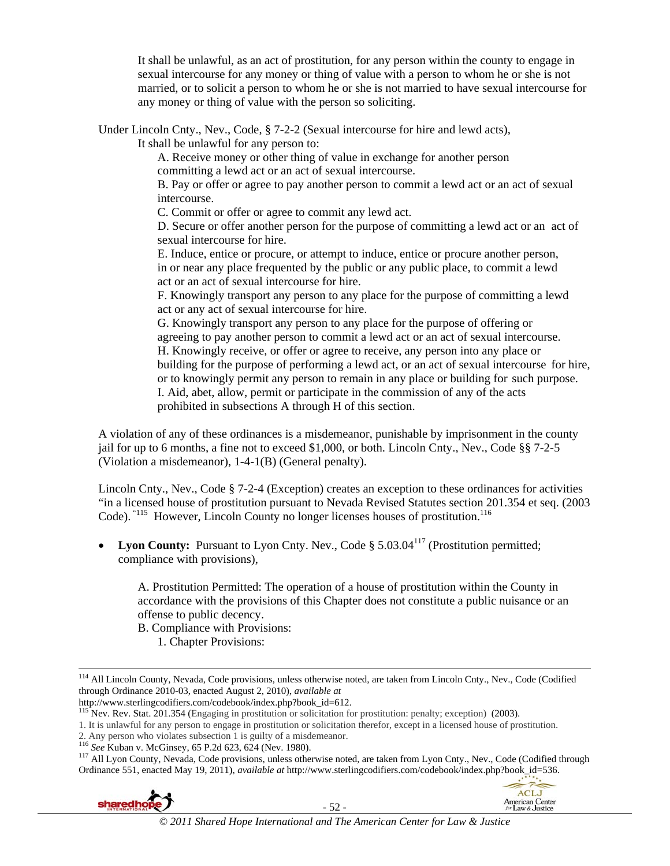It shall be unlawful, as an act of prostitution, for any person within the county to engage in sexual intercourse for any money or thing of value with a person to whom he or she is not married, or to solicit a person to whom he or she is not married to have sexual intercourse for any money or thing of value with the person so soliciting.

Under Lincoln Cnty., Nev., Code, § 7-2-2 (Sexual intercourse for hire and lewd acts),

It shall be unlawful for any person to:

 A. Receive money or other thing of value in exchange for another person committing a lewd act or an act of sexual intercourse.

 B. Pay or offer or agree to pay another person to commit a lewd act or an act of sexual intercourse.

C. Commit or offer or agree to commit any lewd act.

 D. Secure or offer another person for the purpose of committing a lewd act or an act of sexual intercourse for hire.

 E. Induce, entice or procure, or attempt to induce, entice or procure another person, in or near any place frequented by the public or any public place, to commit a lewd act or an act of sexual intercourse for hire.

 F. Knowingly transport any person to any place for the purpose of committing a lewd act or any act of sexual intercourse for hire.

 G. Knowingly transport any person to any place for the purpose of offering or agreeing to pay another person to commit a lewd act or an act of sexual intercourse. H. Knowingly receive, or offer or agree to receive, any person into any place or building for the purpose of performing a lewd act, or an act of sexual intercourse for hire, or to knowingly permit any person to remain in any place or building for such purpose. I. Aid, abet, allow, permit or participate in the commission of any of the acts prohibited in subsections A through H of this section.

A violation of any of these ordinances is a misdemeanor, punishable by imprisonment in the county jail for up to 6 months, a fine not to exceed \$1,000, or both. Lincoln Cnty., Nev., Code §§ 7-2-5 (Violation a misdemeanor), 1-4-1(B) (General penalty).

Lincoln Cnty., Nev., Code § 7-2-4 (Exception) creates an exception to these ordinances for activities "in a licensed house of prostitution pursuant to Nevada Revised Statutes section 201.354 et seq. (2003 Code). "<sup>115</sup> However, Lincoln County no longer licenses houses of prostitution.<sup>116</sup>

• Lyon County: Pursuant to Lyon Cnty. Nev., Code § 5.03.04<sup>117</sup> (Prostitution permitted; compliance with provisions),

 A. Prostitution Permitted: The operation of a house of prostitution within the County in accordance with the provisions of this Chapter does not constitute a public nuisance or an offense to public decency.

B. Compliance with Provisions:

1. Chapter Provisions:

<sup>116</sup> See Kuban v. McGinsey, 65 P.2d 623, 624 (Nev. 1980).<br><sup>117</sup> All Lyon County, Nevada, Code provisions, unless otherwise noted, are taken from Lyon Cnty., Nev., Code (Codified through Ordinance 551, enacted May 19, 2011), *available at* http://www.sterlingcodifiers.com/codebook/index.php?book\_id=536.





 <sup>114</sup> All Lincoln County, Nevada, Code provisions, unless otherwise noted, are taken from Lincoln Cnty., Nev., Code (Codified through Ordinance 2010-03, enacted August 2, 2010), *available at* 

 $h^{115}$  Nev. Rev. Stat. 201.354 (Engaging in prostitution or solicitation for prostitution: penalty; exception) (2003).

<sup>1.</sup> It is unlawful for any person to engage in prostitution or solicitation therefor, except in a licensed house of prostitution.<br>2. Any person who violates subsection 1 is guilty of a misdemeanor.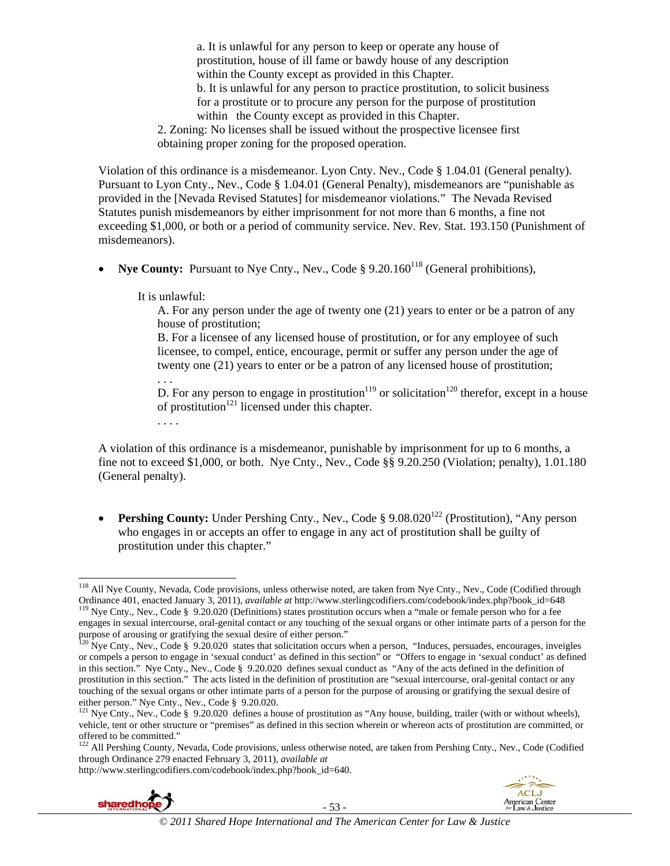a. It is unlawful for any person to keep or operate any house of prostitution, house of ill fame or bawdy house of any description within the County except as provided in this Chapter. b. It is unlawful for any person to practice prostitution, to solicit business for a prostitute or to procure any person for the purpose of prostitution within the County except as provided in this Chapter. 2. Zoning: No licenses shall be issued without the prospective licensee first

obtaining proper zoning for the proposed operation.

Violation of this ordinance is a misdemeanor. Lyon Cnty. Nev., Code § 1.04.01 (General penalty). Pursuant to Lyon Cnty., Nev., Code § 1.04.01 (General Penalty), misdemeanors are "punishable as provided in the [Nevada Revised Statutes] for misdemeanor violations." The Nevada Revised Statutes punish misdemeanors by either imprisonment for not more than 6 months, a fine not exceeding \$1,000, or both or a period of community service. Nev. Rev. Stat. 193.150 (Punishment of misdemeanors).

**Nye County:** Pursuant to Nye Cnty., Nev., Code § 9.20.160<sup>118</sup> (General prohibitions),

It is unlawful:

. . . .

 A. For any person under the age of twenty one (21) years to enter or be a patron of any house of prostitution;

 B. For a licensee of any licensed house of prostitution, or for any employee of such licensee, to compel, entice, encourage, permit or suffer any person under the age of twenty one (21) years to enter or be a patron of any licensed house of prostitution;

 . . . D. For any person to engage in prostitution<sup>119</sup> or solicitation<sup>120</sup> therefor, except in a house of prostitution<sup>121</sup> licensed under this chapter.

A violation of this ordinance is a misdemeanor, punishable by imprisonment for up to 6 months, a fine not to exceed \$1,000, or both. Nye Cnty., Nev., Code §§ 9.20.250 (Violation; penalty), 1.01.180 (General penalty).

• **Pershing County:** Under Pershing Cnty., Nev., Code § 9.08.020<sup>122</sup> (Prostitution), "Any person who engages in or accepts an offer to engage in any act of prostitution shall be guilty of prostitution under this chapter."

http://www.sterlingcodifiers.com/codebook/index.php?book\_id=640.



 $\overline{a}$ 



<sup>&</sup>lt;sup>118</sup> All Nye County, Nevada, Code provisions, unless otherwise noted, are taken from Nye Cnty., Nev., Code (Codified through Ordinance 401, enacted January 3, 2011), *available at* http://www.sterlingcodifiers.com/codebook/index.php?book\_id=648<br><sup>119</sup> Nye Cnty., Nev., Code § 9.20.020 (Definitions) states prostitution occurs when a "male or female engages in sexual intercourse, oral-genital contact or any touching of the sexual organs or other intimate parts of a person for the

purpose of arousing or gratifying the sexual desire of either person." 120 Nye Cnty., Nev., Code § 9.20.020 states that solicitation occurs when a person, "Induces, persuades, encourages, inveigles

or compels a person to engage in 'sexual conduct' as defined in this section" or "Offers to engage in 'sexual conduct' as defined in this section." Nye Cnty., Nev., Code § 9.20.020 defines sexual conduct as "Any of the acts defined in the definition of prostitution in this section." The acts listed in the definition of prostitution are "sexual intercourse, oral-genital contact or any touching of the sexual organs or other intimate parts of a person for the purpose of arousing or gratifying the sexual desire of either person." Nye Cnty., Nev., Code § 9.20.020.

<sup>&</sup>lt;sup>121</sup> Nye Cnty., Nev., Code § 9.20.020 defines a house of prostitution as "Any house, building, trailer (with or without wheels), vehicle, tent or other structure or "premises" as defined in this section wherein or whereon acts of prostitution are committed, or offered to be committed."

<sup>&</sup>lt;sup>122</sup> All Pershing County, Nevada, Code provisions, unless otherwise noted, are taken from Pershing Cnty., Nev., Code (Codified through Ordinance 279 enacted February 3, 2011), *available at*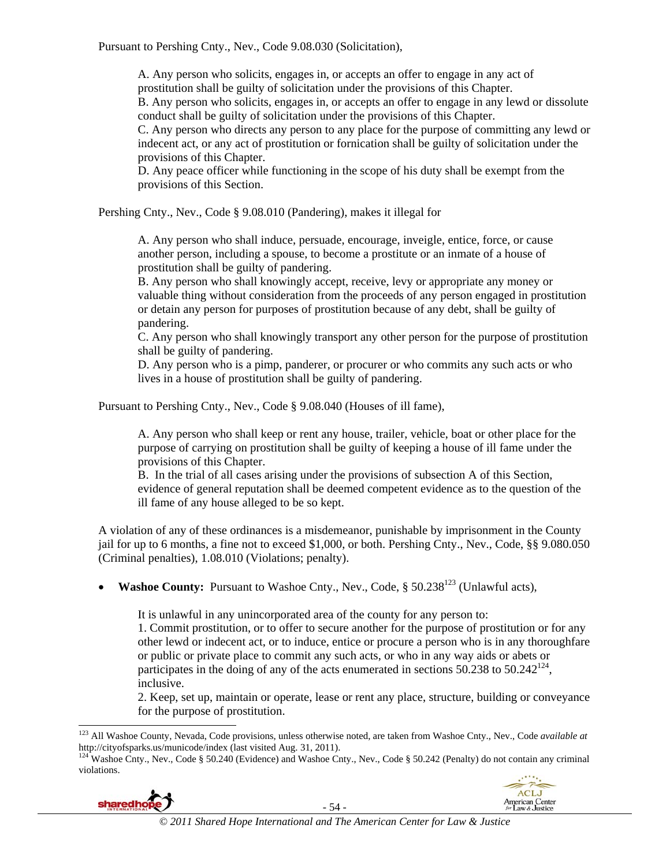Pursuant to Pershing Cnty., Nev., Code 9.08.030 (Solicitation),

A. Any person who solicits, engages in, or accepts an offer to engage in any act of prostitution shall be guilty of solicitation under the provisions of this Chapter.

B. Any person who solicits, engages in, or accepts an offer to engage in any lewd or dissolute conduct shall be guilty of solicitation under the provisions of this Chapter.

C. Any person who directs any person to any place for the purpose of committing any lewd or indecent act, or any act of prostitution or fornication shall be guilty of solicitation under the provisions of this Chapter.

D. Any peace officer while functioning in the scope of his duty shall be exempt from the provisions of this Section.

Pershing Cnty., Nev., Code § 9.08.010 (Pandering), makes it illegal for

A. Any person who shall induce, persuade, encourage, inveigle, entice, force, or cause another person, including a spouse, to become a prostitute or an inmate of a house of prostitution shall be guilty of pandering.

B. Any person who shall knowingly accept, receive, levy or appropriate any money or valuable thing without consideration from the proceeds of any person engaged in prostitution or detain any person for purposes of prostitution because of any debt, shall be guilty of pandering.

C. Any person who shall knowingly transport any other person for the purpose of prostitution shall be guilty of pandering.

D. Any person who is a pimp, panderer, or procurer or who commits any such acts or who lives in a house of prostitution shall be guilty of pandering.

Pursuant to Pershing Cnty., Nev., Code § 9.08.040 (Houses of ill fame),

A. Any person who shall keep or rent any house, trailer, vehicle, boat or other place for the purpose of carrying on prostitution shall be guilty of keeping a house of ill fame under the provisions of this Chapter.

B. In the trial of all cases arising under the provisions of subsection A of this Section, evidence of general reputation shall be deemed competent evidence as to the question of the ill fame of any house alleged to be so kept.

A violation of any of these ordinances is a misdemeanor, punishable by imprisonment in the County jail for up to 6 months, a fine not to exceed \$1,000, or both. Pershing Cnty., Nev., Code, §§ 9.080.050 (Criminal penalties), 1.08.010 (Violations; penalty).

**Washoe County:** Pursuant to Washoe Cnty., Nev., Code, § 50.238<sup>123</sup> (Unlawful acts).

It is unlawful in any unincorporated area of the county for any person to: 1. Commit prostitution, or to offer to secure another for the purpose of prostitution or for any other lewd or indecent act, or to induce, entice or procure a person who is in any thoroughfare or public or private place to commit any such acts, or who in any way aids or abets or participates in the doing of any of the acts enumerated in sections  $50.238$  to  $50.242^{124}$ , inclusive.

2. Keep, set up, maintain or operate, lease or rent any place, structure, building or conveyance for the purpose of prostitution.

violations.



 $\overline{a}$ 



<sup>123</sup> All Washoe County, Nevada, Code provisions, unless otherwise noted, are taken from Washoe Cnty., Nev., Code *available at*  http://cityofsparks.us/municode/index (last visited Aug. 31, 2011).<br><sup>124</sup> Washoe Cnty., Nev., Code § 50.240 (Evidence) and Washoe Cnty., Nev., Code § 50.242 (Penalty) do not contain any criminal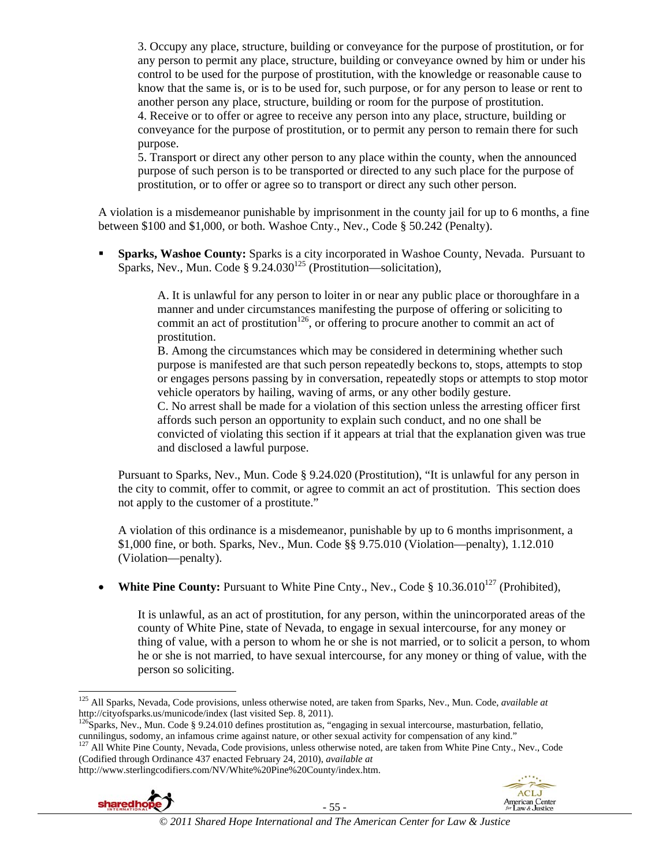3. Occupy any place, structure, building or conveyance for the purpose of prostitution, or for any person to permit any place, structure, building or conveyance owned by him or under his control to be used for the purpose of prostitution, with the knowledge or reasonable cause to know that the same is, or is to be used for, such purpose, or for any person to lease or rent to another person any place, structure, building or room for the purpose of prostitution.

4. Receive or to offer or agree to receive any person into any place, structure, building or conveyance for the purpose of prostitution, or to permit any person to remain there for such purpose.

5. Transport or direct any other person to any place within the county, when the announced purpose of such person is to be transported or directed to any such place for the purpose of prostitution, or to offer or agree so to transport or direct any such other person.

A violation is a misdemeanor punishable by imprisonment in the county jail for up to 6 months, a fine between \$100 and \$1,000, or both. Washoe Cnty., Nev., Code § 50.242 (Penalty).

**Sparks, Washoe County:** Sparks is a city incorporated in Washoe County, Nevada. Pursuant to Sparks, Nev., Mun. Code §  $9.24.030^{125}$  (Prostitution—solicitation),

> A. It is unlawful for any person to loiter in or near any public place or thoroughfare in a manner and under circumstances manifesting the purpose of offering or soliciting to commit an act of prostitution<sup>126</sup>, or offering to procure another to commit an act of prostitution.

B. Among the circumstances which may be considered in determining whether such purpose is manifested are that such person repeatedly beckons to, stops, attempts to stop or engages persons passing by in conversation, repeatedly stops or attempts to stop motor vehicle operators by hailing, waving of arms, or any other bodily gesture.

C. No arrest shall be made for a violation of this section unless the arresting officer first affords such person an opportunity to explain such conduct, and no one shall be convicted of violating this section if it appears at trial that the explanation given was true and disclosed a lawful purpose.

Pursuant to Sparks, Nev., Mun. Code § 9.24.020 (Prostitution), "It is unlawful for any person in the city to commit, offer to commit, or agree to commit an act of prostitution. This section does not apply to the customer of a prostitute."

A violation of this ordinance is a misdemeanor, punishable by up to 6 months imprisonment, a \$1,000 fine, or both. Sparks, Nev., Mun. Code §§ 9.75.010 (Violation—penalty), 1.12.010 (Violation—penalty).

• **White Pine County:** Pursuant to White Pine Cnty., Nev., Code § 10.36.010<sup>127</sup> (Prohibited).

It is unlawful, as an act of prostitution, for any person, within the unincorporated areas of the county of White Pine, state of Nevada, to engage in sexual intercourse, for any money or thing of value, with a person to whom he or she is not married, or to solicit a person, to whom he or she is not married, to have sexual intercourse, for any money or thing of value, with the person so soliciting.

http://www.sterlingcodifiers.com/NV/White%20Pine%20County/index.htm.





 $\overline{a}$ 125 All Sparks, Nevada, Code provisions, unless otherwise noted, are taken from Sparks, Nev., Mun. Code, *available at*  http://cityofsparks.us/municode/index (last visited Sep. 8, 2011).<br><sup>126</sup>Sparks, Nev., Mun. Code § 9.24.010 defines prostitution as, "engaging in sexual intercourse, masturbation, fellatio,

cunnilingus, sodomy, an infamous crime against nature, or other sexual activity for compensation of any kind."<br><sup>127</sup> All White Pine County, Nevada, Code provisions, unless otherwise noted, are taken from White Pine Cnty.,

<sup>(</sup>Codified through Ordinance 437 enacted February 24, 2010), *available at*